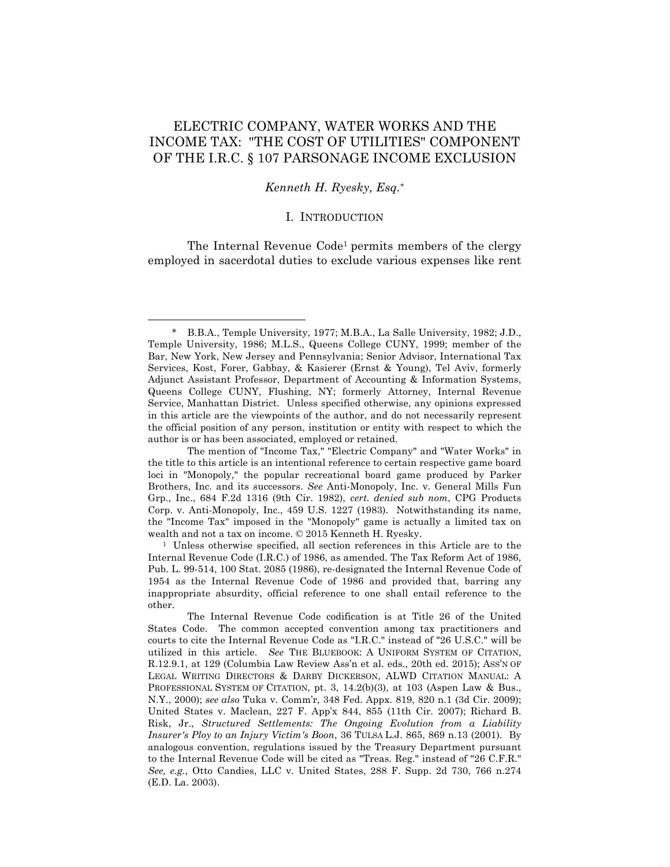# ELECTRIC COMPANY, WATER WORKS AND THE INCOME TAX: "THE COST OF UTILITIES" COMPONENT OF THE I.R.C. § 107 PARSONAGE INCOME EXCLUSION

### *Kenneth H. Ryesky, Esq.\**

### I. INTRODUCTION

The Internal Revenue Code<sup>1</sup> permits members of the clergy employed in sacerdotal duties to exclude various expenses like rent

<sup>\*</sup> B.B.A., Temple University, 1977; M.B.A., La Salle University, 1982; J.D., Temple University, 1986; M.L.S., Queens College CUNY, 1999; member of the Bar, New York, New Jersey and Pennsylvania; Senior Advisor, International Tax Services, Kost, Forer, Gabbay, & Kasierer (Ernst & Young), Tel Aviv, formerly Adjunct Assistant Professor, Department of Accounting & Information Systems, Queens College CUNY, Flushing, NY; formerly Attorney, Internal Revenue Service, Manhattan District. Unless specified otherwise, any opinions expressed in this article are the viewpoints of the author, and do not necessarily represent the official position of any person, institution or entity with respect to which the author is or has been associated, employed or retained.

The mention of "Income Tax," "Electric Company" and "Water Works" in the title to this article is an intentional reference to certain respective game board loci in "Monopoly," the popular recreational board game produced by Parker Brothers, Inc. and its successors. *See* Anti-Monopoly, Inc. v. General Mills Fun Grp., Inc., 684 F.2d 1316 (9th Cir. 1982), *cert. denied sub nom*, CPG Products Corp. v. Anti-Monopoly, Inc., 459 U.S. 1227 (1983). Notwithstanding its name, the "Income Tax" imposed in the "Monopoly" game is actually a limited tax on wealth and not a tax on income. © 2015 Kenneth H. Ryesky.

<sup>1</sup> Unless otherwise specified, all section references in this Article are to the Internal Revenue Code (I.R.C.) of 1986, as amended. The Tax Reform Act of 1986, Pub. L. 99-514, 100 Stat. 2085 (1986), re-designated the Internal Revenue Code of 1954 as the Internal Revenue Code of 1986 and provided that, barring any inappropriate absurdity, official reference to one shall entail reference to the other.

The Internal Revenue Code codification is at Title 26 of the United States Code. The common accepted convention among tax practitioners and courts to cite the Internal Revenue Code as "I.R.C." instead of "26 U.S.C." will be utilized in this article. *See* THE BLUEBOOK: A UNIFORM SYSTEM OF CITATION, R.12.9.1, at 129 (Columbia Law Review Ass'n et al. eds., 20th ed. 2015); ASS'N OF LEGAL WRITING DIRECTORS & DARBY DICKERSON, ALWD CITATION MANUAL: A PROFESSIONAL SYSTEM OF CITATION, pt. 3, 14.2(b)(3), at 103 (Aspen Law & Bus., N.Y., 2000); *see also* Tuka v. Comm'r, 348 Fed. Appx. 819, 820 n.1 (3d Cir. 2009); United States v. Maclean, 227 F. App'x 844, 855 (11th Cir. 2007); Richard B. Risk, Jr., *Structured Settlements: The Ongoing Evolution from a Liability Insurer's Ploy to an Injury Victim's Boon*, 36 TULSA L.J. 865, 869 n.13 (2001). By analogous convention, regulations issued by the Treasury Department pursuant to the Internal Revenue Code will be cited as "Treas. Reg." instead of "26 C.F.R." *See, e.g.*, Otto Candies, LLC v. United States, 288 F. Supp. 2d 730, 766 n.274 (E.D. La. 2003).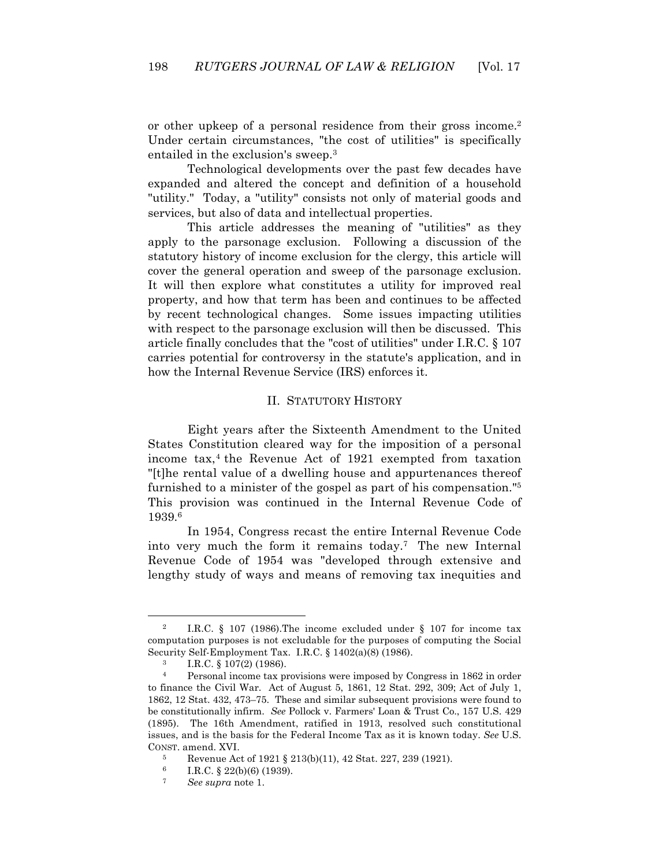or other upkeep of a personal residence from their gross income.<sup>2</sup> Under certain circumstances, "the cost of utilities" is specifically entailed in the exclusion's sweep.3

Technological developments over the past few decades have expanded and altered the concept and definition of a household "utility." Today, a "utility" consists not only of material goods and services, but also of data and intellectual properties.

This article addresses the meaning of "utilities" as they apply to the parsonage exclusion. Following a discussion of the statutory history of income exclusion for the clergy, this article will cover the general operation and sweep of the parsonage exclusion. It will then explore what constitutes a utility for improved real property, and how that term has been and continues to be affected by recent technological changes. Some issues impacting utilities with respect to the parsonage exclusion will then be discussed. This article finally concludes that the "cost of utilities" under I.R.C. § 107 carries potential for controversy in the statute's application, and in how the Internal Revenue Service (IRS) enforces it.

### II. STATUTORY HISTORY

Eight years after the Sixteenth Amendment to the United States Constitution cleared way for the imposition of a personal income tax,4 the Revenue Act of 1921 exempted from taxation "[t]he rental value of a dwelling house and appurtenances thereof furnished to a minister of the gospel as part of his compensation."5 This provision was continued in the Internal Revenue Code of 1939.6

In 1954, Congress recast the entire Internal Revenue Code into very much the form it remains today.7 The new Internal Revenue Code of 1954 was "developed through extensive and lengthy study of ways and means of removing tax inequities and

<sup>2</sup> I.R.C. § 107 (1986).The income excluded under § 107 for income tax computation purposes is not excludable for the purposes of computing the Social Security Self-Employment Tax. I.R.C. § 1402(a)(8) (1986).

 $\frac{3}{4}$  I.R.C.  $\frac{5}{8}$  107(2) (1986).

<sup>4</sup> Personal income tax provisions were imposed by Congress in 1862 in order to finance the Civil War. Act of August 5, 1861, 12 Stat. 292, 309; Act of July 1, 1862, 12 Stat. 432, 473–75. These and similar subsequent provisions were found to be constitutionally infirm. *See* Pollock v. Farmers' Loan & Trust Co., 157 U.S. 429 (1895). The 16th Amendment, ratified in 1913, resolved such constitutional issues, and is the basis for the Federal Income Tax as it is known today. *See* U.S. CONST. amend. XVI.

<sup>5</sup> Revenue Act of 1921 § 213(b)(11), 42 Stat. 227, 239 (1921).<br>  $\frac{6}{18}$  R C  $\frac{8}{22}$ (b)(6) (1939)

 $\frac{6}{7}$  I.R.C. § 22(b)(6) (1939).

<sup>7</sup> *See supra* note 1.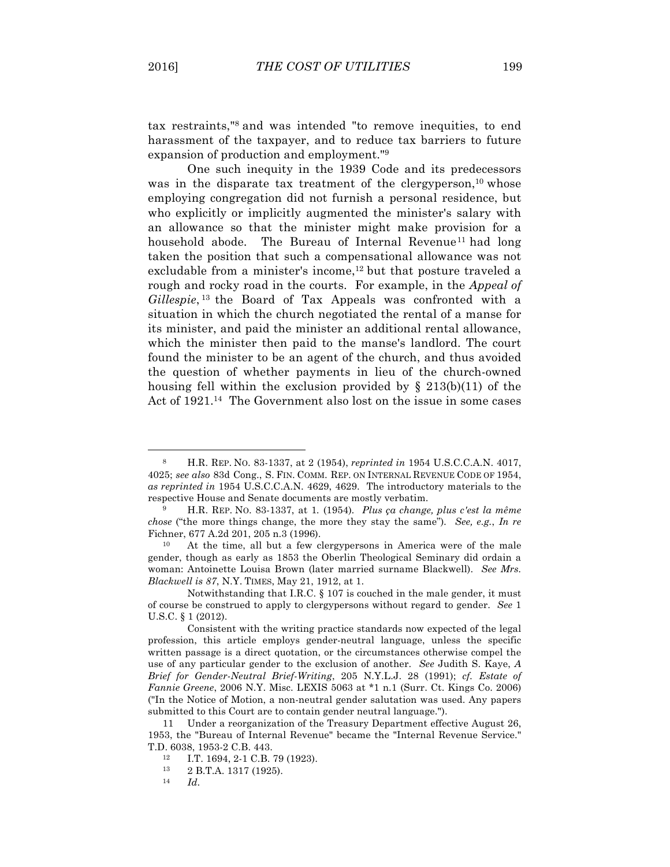$\overline{a}$ 

tax restraints,"8 and was intended "to remove inequities, to end harassment of the taxpayer, and to reduce tax barriers to future expansion of production and employment."9

One such inequity in the 1939 Code and its predecessors was in the disparate tax treatment of the clergy person,<sup>10</sup> whose employing congregation did not furnish a personal residence, but who explicitly or implicitly augmented the minister's salary with an allowance so that the minister might make provision for a household abode. The Bureau of Internal Revenue<sup>11</sup> had long taken the position that such a compensational allowance was not excludable from a minister's income,<sup>12</sup> but that posture traveled a rough and rocky road in the courts. For example, in the *Appeal of Gillespie*, <sup>13</sup> the Board of Tax Appeals was confronted with a situation in which the church negotiated the rental of a manse for its minister, and paid the minister an additional rental allowance, which the minister then paid to the manse's landlord. The court found the minister to be an agent of the church, and thus avoided the question of whether payments in lieu of the church-owned housing fell within the exclusion provided by  $\S$  213(b)(11) of the Act of 1921.<sup>14</sup> The Government also lost on the issue in some cases

<sup>8</sup> H.R. REP. NO. 83-1337, at 2 (1954), *reprinted in* 1954 U.S.C.C.A.N. 4017, 4025; *see also* 83d Cong., S. FIN. COMM. REP. ON INTERNAL REVENUE CODE OF 1954, *as reprinted in* 1954 U.S.C.C.A.N. 4629, 4629. The introductory materials to the respective House and Senate documents are mostly verbatim.

<sup>9</sup> H.R. REP. NO. 83-1337, at 1*.* (1954)*. Plus ça change, plus c'est la même chose* ("the more things change, the more they stay the same")*. See, e.g.*, *In re* Fichner, 677 A.2d 201, 205 n.3 (1996).

<sup>10</sup> At the time, all but a few clergypersons in America were of the male gender, though as early as 1853 the Oberlin Theological Seminary did ordain a woman: Antoinette Louisa Brown (later married surname Blackwell). *See Mrs. Blackwell is 87*, N.Y. TIMES, May 21, 1912, at 1.

Notwithstanding that I.R.C. § 107 is couched in the male gender, it must of course be construed to apply to clergypersons without regard to gender. *See* 1 U.S.C. § 1 (2012).

Consistent with the writing practice standards now expected of the legal profession, this article employs gender-neutral language, unless the specific written passage is a direct quotation, or the circumstances otherwise compel the use of any particular gender to the exclusion of another. *See* Judith S. Kaye, *A Brief for Gender-Neutral Brief-Writing*, 205 N.Y.L.J. 28 (1991); *cf. Estate of Fannie Greene*, 2006 N.Y. Misc. LEXIS 5063 at \*1 n.1 (Surr. Ct. Kings Co. 2006) ("In the Notice of Motion, a non-neutral gender salutation was used. Any papers submitted to this Court are to contain gender neutral language.").

<sup>11</sup> Under a reorganization of the Treasury Department effective August 26, 1953, the "Bureau of Internal Revenue" became the "Internal Revenue Service." T.D. 6038, 1953-2 C.B. 443.

<sup>&</sup>lt;sup>12</sup> I.T. 1694, 2-1 C.B. 79 (1923).<br><sup>13</sup> 2 B T A 1317 (1925)

 $\frac{13}{14}$  2 B.T.A. 1317 (1925).

<sup>14</sup> *Id*.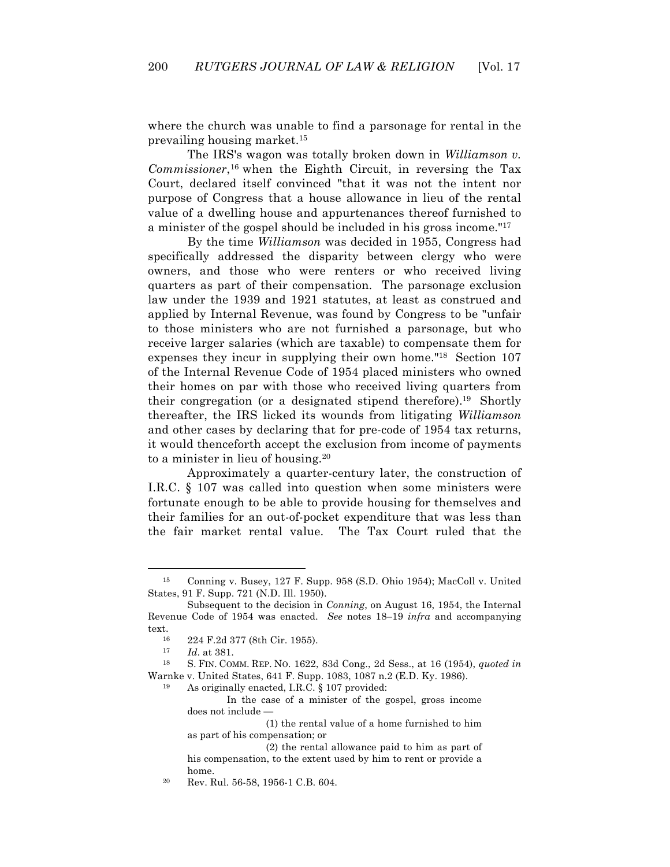where the church was unable to find a parsonage for rental in the prevailing housing market.15

The IRS's wagon was totally broken down in *Williamson v. Commissioner*,16 when the Eighth Circuit, in reversing the Tax Court, declared itself convinced "that it was not the intent nor purpose of Congress that a house allowance in lieu of the rental value of a dwelling house and appurtenances thereof furnished to a minister of the gospel should be included in his gross income."17

By the time *Williamson* was decided in 1955, Congress had specifically addressed the disparity between clergy who were owners, and those who were renters or who received living quarters as part of their compensation. The parsonage exclusion law under the 1939 and 1921 statutes, at least as construed and applied by Internal Revenue, was found by Congress to be "unfair to those ministers who are not furnished a parsonage, but who receive larger salaries (which are taxable) to compensate them for expenses they incur in supplying their own home."18 Section 107 of the Internal Revenue Code of 1954 placed ministers who owned their homes on par with those who received living quarters from their congregation (or a designated stipend therefore).19 Shortly thereafter, the IRS licked its wounds from litigating *Williamson* and other cases by declaring that for pre-code of 1954 tax returns, it would thenceforth accept the exclusion from income of payments to a minister in lieu of housing.20

Approximately a quarter-century later, the construction of I.R.C. § 107 was called into question when some ministers were fortunate enough to be able to provide housing for themselves and their families for an out-of-pocket expenditure that was less than the fair market rental value. The Tax Court ruled that the

 $\overline{a}$ 

<sup>19</sup> As originally enacted, I.R.C. § 107 provided:

(1) the rental value of a home furnished to him as part of his compensation; or

<sup>20</sup> Rev. Rul. 56-58, 1956-1 C.B. 604.

<sup>15</sup> Conning v. Busey, 127 F. Supp. 958 (S.D. Ohio 1954); MacColl v. United States, 91 F. Supp. 721 (N.D. Ill. 1950).

Subsequent to the decision in *Conning*, on August 16, 1954, the Internal Revenue Code of 1954 was enacted. *See* notes 18–19 *infra* and accompanying

text.<br><sup>16</sup> 224 F.2d 377 (8th Cir. 1955).<br><sup>17</sup> *Id* at 381

*Id.* at 381.

<sup>18</sup> S. FIN. COMM. REP. NO. 1622, 83d Cong., 2d Sess., at 16 (1954), *quoted in* Warnke v. United States, 641 F. Supp. 1083, 1087 n.2 (E.D. Ky. 1986).

In the case of a minister of the gospel, gross income does not include —

<sup>(2)</sup> the rental allowance paid to him as part of his compensation, to the extent used by him to rent or provide a home.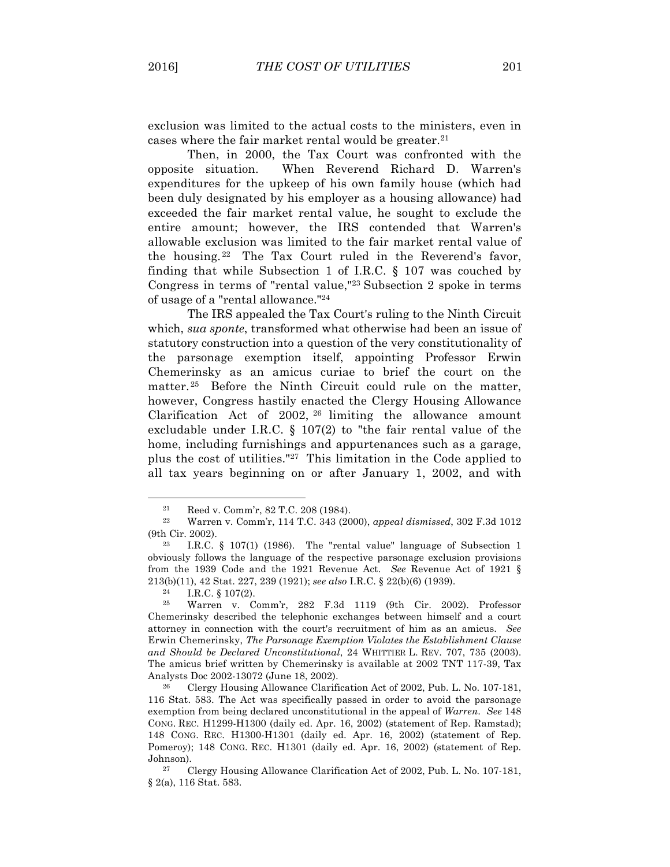exclusion was limited to the actual costs to the ministers, even in cases where the fair market rental would be greater.<sup>21</sup>

Then, in 2000, the Tax Court was confronted with the opposite situation. When Reverend Richard D. Warren's expenditures for the upkeep of his own family house (which had been duly designated by his employer as a housing allowance) had exceeded the fair market rental value, he sought to exclude the entire amount; however, the IRS contended that Warren's allowable exclusion was limited to the fair market rental value of the housing. 22 The Tax Court ruled in the Reverend's favor, finding that while Subsection 1 of I.R.C. § 107 was couched by Congress in terms of "rental value,"23 Subsection 2 spoke in terms of usage of a "rental allowance."24

The IRS appealed the Tax Court's ruling to the Ninth Circuit which, *sua sponte*, transformed what otherwise had been an issue of statutory construction into a question of the very constitutionality of the parsonage exemption itself, appointing Professor Erwin Chemerinsky as an amicus curiae to brief the court on the matter.<sup>25</sup> Before the Ninth Circuit could rule on the matter, however, Congress hastily enacted the Clergy Housing Allowance Clarification Act of 2002, <sup>26</sup> limiting the allowance amount excludable under I.R.C. § 107(2) to "the fair rental value of the home, including furnishings and appurtenances such as a garage, plus the cost of utilities."27 This limitation in the Code applied to all tax years beginning on or after January 1, 2002, and with

<sup>21</sup> Reed v. Comm'r, 82 T.C. 208 (1984).

<sup>22</sup> Warren v. Comm'r, 114 T.C. 343 (2000), *appeal dismissed*, 302 F.3d 1012 (9th Cir. 2002).

<sup>&</sup>lt;sup>23</sup> I.R.C. § 107(1) (1986). The "rental value" language of Subsection 1 obviously follows the language of the respective parsonage exclusion provisions from the 1939 Code and the 1921 Revenue Act. *See* Revenue Act of 1921 § 213(b)(11), 42 Stat. 227, 239 (1921); *see also* I.R.C. § 22(b)(6) (1939). 24 I.R.C. § 107(2). 25 Warren v. Comm'r, 282 F.3d 1119 (9th Cir. 2002). Professor

Chemerinsky described the telephonic exchanges between himself and a court attorney in connection with the court's recruitment of him as an amicus. *See* Erwin Chemerinsky, *The Parsonage Exemption Violates the Establishment Clause and Should be Declared Unconstitutional*, 24 WHITTIER L. REV. 707, 735 (2003). The amicus brief written by Chemerinsky is available at 2002 TNT 117-39, Tax Analysts Doc 2002-13072 (June 18, 2002).

<sup>26</sup> Clergy Housing Allowance Clarification Act of 2002, Pub. L. No. 107-181, 116 Stat. 583. The Act was specifically passed in order to avoid the parsonage exemption from being declared unconstitutional in the appeal of *Warren*. *See* 148 CONG. REC. H1299-H1300 (daily ed. Apr. 16, 2002) (statement of Rep. Ramstad); 148 CONG. REC. H1300-H1301 (daily ed. Apr. 16, 2002) (statement of Rep. Pomeroy); 148 CONG. REC. H1301 (daily ed. Apr. 16, 2002) (statement of Rep. Johnson).<br> $27 \t C$ 

<sup>27</sup> Clergy Housing Allowance Clarification Act of 2002, Pub. L. No. 107-181, § 2(a), 116 Stat. 583.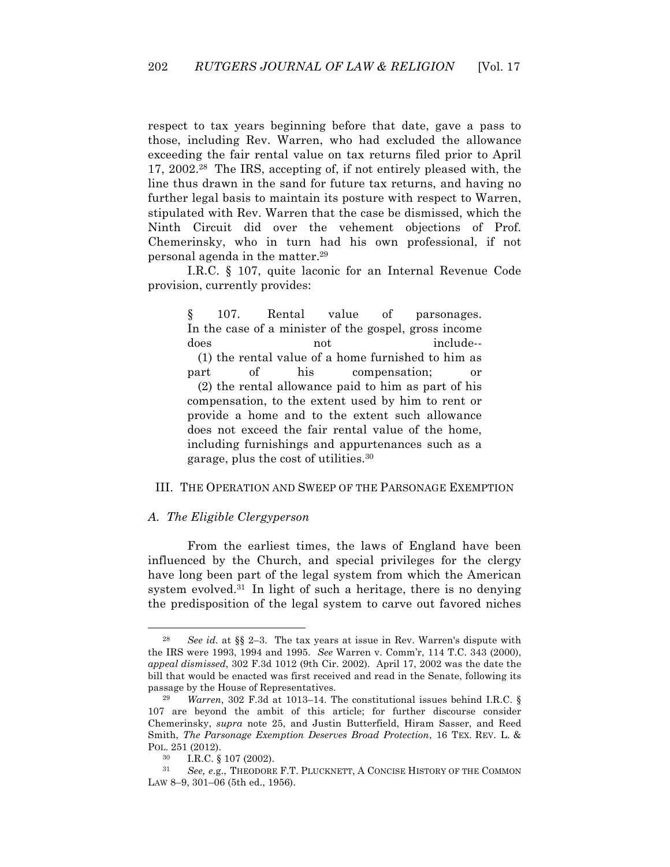respect to tax years beginning before that date, gave a pass to those, including Rev. Warren, who had excluded the allowance exceeding the fair rental value on tax returns filed prior to April 17, 2002.28 The IRS, accepting of, if not entirely pleased with, the line thus drawn in the sand for future tax returns, and having no further legal basis to maintain its posture with respect to Warren, stipulated with Rev. Warren that the case be dismissed, which the Ninth Circuit did over the vehement objections of Prof. Chemerinsky, who in turn had his own professional, if not personal agenda in the matter.29

I.R.C. § 107, quite laconic for an Internal Revenue Code provision, currently provides:

§ 107. Rental value of parsonages. In the case of a minister of the gospel, gross income does not include--(1) the rental value of a home furnished to him as part of his compensation; or (2) the rental allowance paid to him as part of his compensation, to the extent used by him to rent or provide a home and to the extent such allowance does not exceed the fair rental value of the home, including furnishings and appurtenances such as a garage, plus the cost of utilities.30

### III. THE OPERATION AND SWEEP OF THE PARSONAGE EXEMPTION

### *A. The Eligible Clergyperson*

From the earliest times, the laws of England have been influenced by the Church, and special privileges for the clergy have long been part of the legal system from which the American system evolved.<sup>31</sup> In light of such a heritage, there is no denying the predisposition of the legal system to carve out favored niches

<sup>28</sup> *See id*. at §§ 2–3. The tax years at issue in Rev. Warren's dispute with the IRS were 1993, 1994 and 1995. *See* Warren v. Comm'r, 114 T.C. 343 (2000), *appeal dismissed*, 302 F.3d 1012 (9th Cir. 2002). April 17, 2002 was the date the bill that would be enacted was first received and read in the Senate, following its passage by the House of Representatives.

<sup>29</sup> *Warren*, 302 F.3d at 1013–14. The constitutional issues behind I.R.C. § 107 are beyond the ambit of this article; for further discourse consider Chemerinsky, *supra* note 25, and Justin Butterfield, Hiram Sasser, and Reed Smith, *The Parsonage Exemption Deserves Broad Protection*, 16 TEX. REV. L. & POL. 251 (2012).

I.R.C. § 107 (2002).

<sup>31</sup> *See, e*.g., THEODORE F.T. PLUCKNETT, A CONCISE HISTORY OF THE COMMON LAW 8–9, 301–06 (5th ed., 1956).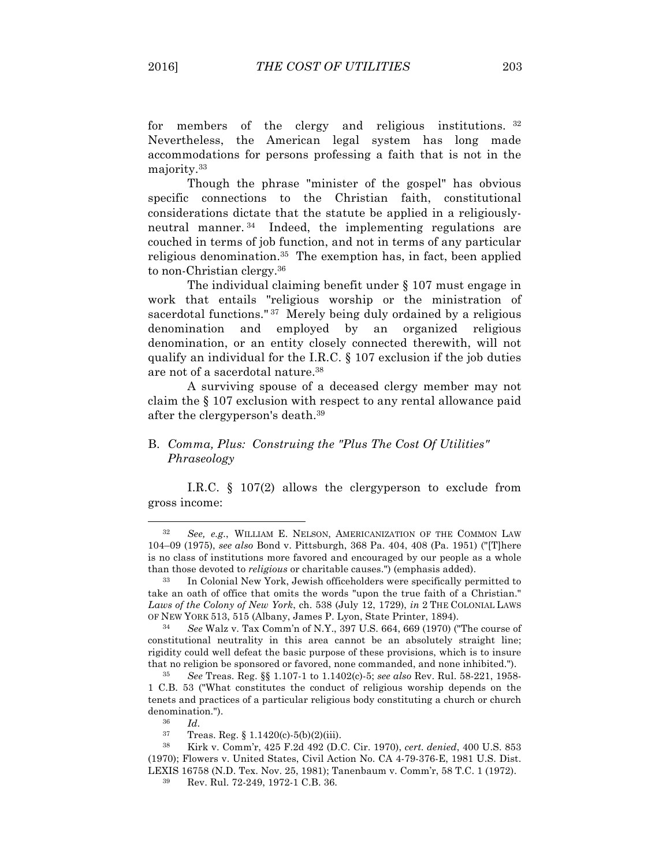for members of the clergy and religious institutions. 32 Nevertheless, the American legal system has long made accommodations for persons professing a faith that is not in the majority.33

Though the phrase "minister of the gospel" has obvious specific connections to the Christian faith, constitutional considerations dictate that the statute be applied in a religiouslyneutral manner. 34 Indeed, the implementing regulations are couched in terms of job function, and not in terms of any particular religious denomination.35 The exemption has, in fact, been applied to non-Christian clergy.36

The individual claiming benefit under § 107 must engage in work that entails "religious worship or the ministration of sacerdotal functions."<sup>37</sup> Merely being duly ordained by a religious denomination and employed by an organized religious denomination, or an entity closely connected therewith, will not qualify an individual for the I.R.C. § 107 exclusion if the job duties are not of a sacerdotal nature.38

A surviving spouse of a deceased clergy member may not claim the § 107 exclusion with respect to any rental allowance paid after the clergyperson's death.39

# B. *Comma, Plus: Construing the "Plus The Cost Of Utilities" Phraseology*

I.R.C. § 107(2) allows the clergyperson to exclude from gross income:

 $rac{36}{37}$  *Id.* 

<sup>32</sup> *See, e.g.*, WILLIAM E. NELSON, AMERICANIZATION OF THE COMMON LAW 104–09 (1975), *see also* Bond v. Pittsburgh, 368 Pa. 404, 408 (Pa. 1951) ("[T]here is no class of institutions more favored and encouraged by our people as a whole than those devoted to *religious* or charitable causes.") (emphasis added). 33 In Colonial New York, Jewish officeholders were specifically permitted to

take an oath of office that omits the words "upon the true faith of a Christian." *Laws of the Colony of New York*, ch. 538 (July 12, 1729), *in* 2 THE COLONIAL LAWS OF NEW YORK 513, 515 (Albany, James P. Lyon, State Printer, 1894).

<sup>34</sup> *See* Walz v. Tax Comm'n of N.Y., 397 U.S. 664, 669 (1970) ("The course of constitutional neutrality in this area cannot be an absolutely straight line; rigidity could well defeat the basic purpose of these provisions, which is to insure that no religion be sponsored or favored, none commanded, and none inhibited.").

<sup>35</sup> *See* Treas. Reg. §§ 1.107-1 to 1.1402(c)-5; *see also* Rev. Rul. 58-221, 1958- 1 C.B. 53 ("What constitutes the conduct of religious worship depends on the tenets and practices of a particular religious body constituting a church or church denomination.").

Treas. Reg. § 1.1420(c)-5(b)(2)(iii).

<sup>38</sup> Kirk v. Comm'r, 425 F.2d 492 (D.C. Cir. 1970), *cert. denied*, 400 U.S. 853 (1970); Flowers v. United States, Civil Action No. CA 4-79-376-E, 1981 U.S. Dist. LEXIS 16758 (N.D. Tex. Nov. 25, 1981); Tanenbaum v. Comm'r, 58 T.C. 1 (1972).<br><sup>39</sup> Pov. Bul. 72, 249, 1972 1 C.B. 36

<sup>39</sup> Rev. Rul. 72-249, 1972-1 C.B. 36.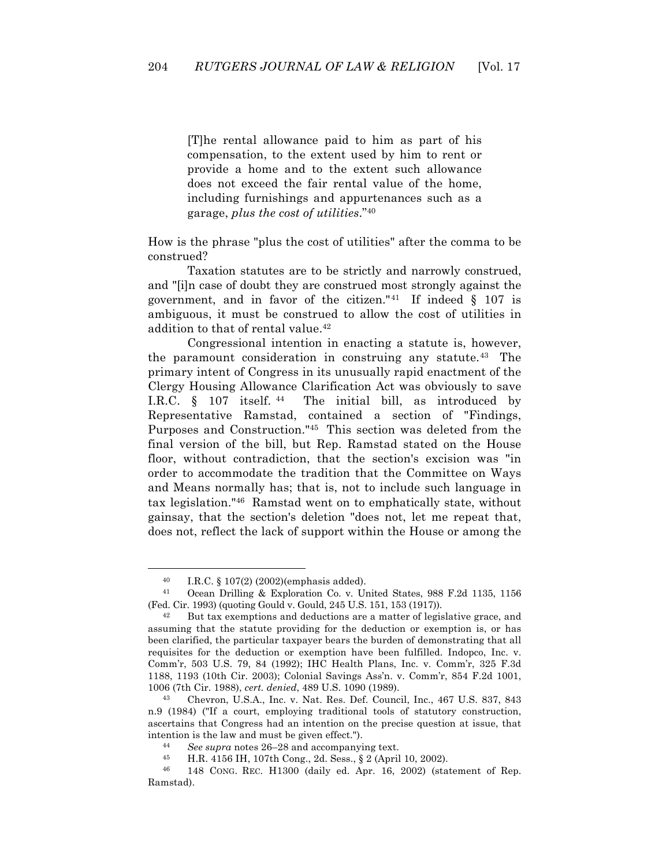[T]he rental allowance paid to him as part of his compensation, to the extent used by him to rent or provide a home and to the extent such allowance does not exceed the fair rental value of the home, including furnishings and appurtenances such as a garage, *plus the cost of utilities*."40

How is the phrase "plus the cost of utilities" after the comma to be construed?

Taxation statutes are to be strictly and narrowly construed, and "[i]n case of doubt they are construed most strongly against the government, and in favor of the citizen."<sup>41</sup> If indeed  $\S$  107 is ambiguous, it must be construed to allow the cost of utilities in addition to that of rental value.<sup>42</sup>

Congressional intention in enacting a statute is, however, the paramount consideration in construing any statute.43 The primary intent of Congress in its unusually rapid enactment of the Clergy Housing Allowance Clarification Act was obviously to save I.R.C. § 107 itself. 44 The initial bill, as introduced by Representative Ramstad, contained a section of "Findings, Purposes and Construction."45 This section was deleted from the final version of the bill, but Rep. Ramstad stated on the House floor, without contradiction, that the section's excision was "in order to accommodate the tradition that the Committee on Ways and Means normally has; that is, not to include such language in tax legislation."46 Ramstad went on to emphatically state, without gainsay, that the section's deletion "does not, let me repeat that, does not, reflect the lack of support within the House or among the

<sup>40</sup> I.R.C. § 107(2) (2002)(emphasis added). 41 Ocean Drilling & Exploration Co. v. United States, 988 F.2d 1135, 1156 (Fed. Cir. 1993) (quoting Gould v. Gould, 245 U.S. 151, 153 (1917)).

 $42$  But tax exemptions and deductions are a matter of legislative grace, and assuming that the statute providing for the deduction or exemption is, or has been clarified, the particular taxpayer bears the burden of demonstrating that all requisites for the deduction or exemption have been fulfilled. Indopco, Inc. v. Comm'r, 503 U.S. 79, 84 (1992); IHC Health Plans, Inc. v. Comm'r, 325 F.3d 1188, 1193 (10th Cir. 2003); Colonial Savings Ass'n. v. Comm'r, 854 F.2d 1001, 1006 (7th Cir. 1988), *cert. denied*, 489 U.S. 1090 (1989).

<sup>43</sup> Chevron, U.S.A., Inc. v. Nat. Res. Def. Council, Inc., 467 U.S. 837, 843 n.9 (1984) ("If a court, employing traditional tools of statutory construction, ascertains that Congress had an intention on the precise question at issue, that intention is the law and must be given effect.").

<sup>44</sup> *See supra* notes 26–28 and accompanying text.

<sup>45</sup> H.R. 4156 IH, 107th Cong., 2d. Sess., § 2 (April 10, 2002).

<sup>46</sup> 148 CONG. REC. H1300 (daily ed. Apr. 16, 2002) (statement of Rep. Ramstad).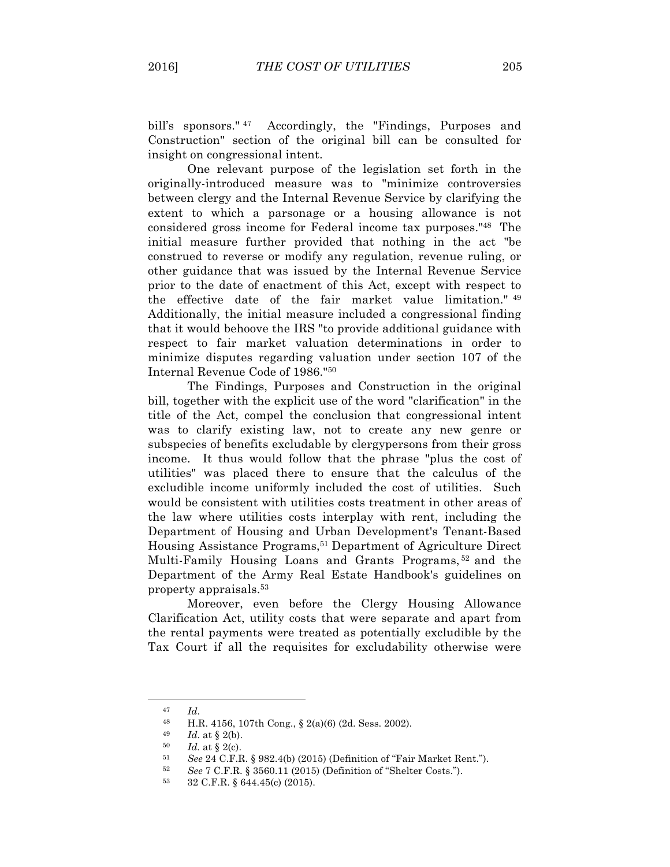bill's sponsors."<sup>47</sup> Accordingly, the "Findings, Purposes and Construction" section of the original bill can be consulted for insight on congressional intent.

One relevant purpose of the legislation set forth in the originally-introduced measure was to "minimize controversies between clergy and the Internal Revenue Service by clarifying the extent to which a parsonage or a housing allowance is not considered gross income for Federal income tax purposes."48 The initial measure further provided that nothing in the act "be construed to reverse or modify any regulation, revenue ruling, or other guidance that was issued by the Internal Revenue Service prior to the date of enactment of this Act, except with respect to the effective date of the fair market value limitation." 49 Additionally, the initial measure included a congressional finding that it would behoove the IRS "to provide additional guidance with respect to fair market valuation determinations in order to minimize disputes regarding valuation under section 107 of the Internal Revenue Code of 1986."50

The Findings, Purposes and Construction in the original bill, together with the explicit use of the word "clarification" in the title of the Act, compel the conclusion that congressional intent was to clarify existing law, not to create any new genre or subspecies of benefits excludable by clergypersons from their gross income. It thus would follow that the phrase "plus the cost of utilities" was placed there to ensure that the calculus of the excludible income uniformly included the cost of utilities. Such would be consistent with utilities costs treatment in other areas of the law where utilities costs interplay with rent, including the Department of Housing and Urban Development's Tenant-Based Housing Assistance Programs, <sup>51</sup> Department of Agriculture Direct Multi-Family Housing Loans and Grants Programs, <sup>52</sup> and the Department of the Army Real Estate Handbook's guidelines on property appraisals.53

Moreover, even before the Clergy Housing Allowance Clarification Act, utility costs that were separate and apart from the rental payments were treated as potentially excludible by the Tax Court if all the requisites for excludability otherwise were

<sup>47</sup> *Id*.

<sup>48</sup> H.R. 4156, 107th Cong., § 2(a)(6) (2d. Sess. 2002).

<sup>49</sup> *Id*. at § 2(b).

 $^{50}$  *Id.* at § 2(c).<br>  $^{51}$  See 24 C F E

<sup>51</sup> *See* 24 C.F.R. § 982.4(b) (2015) (Definition of "Fair Market Rent.").

<sup>52</sup> *See* 7 C.F.R. § 3560.11 (2015) (Definition of "Shelter Costs.").<br>53 32 C.F.B. § 644.45(a) (2015)

<sup>53</sup> 32 C.F.R. § 644.45(c) (2015).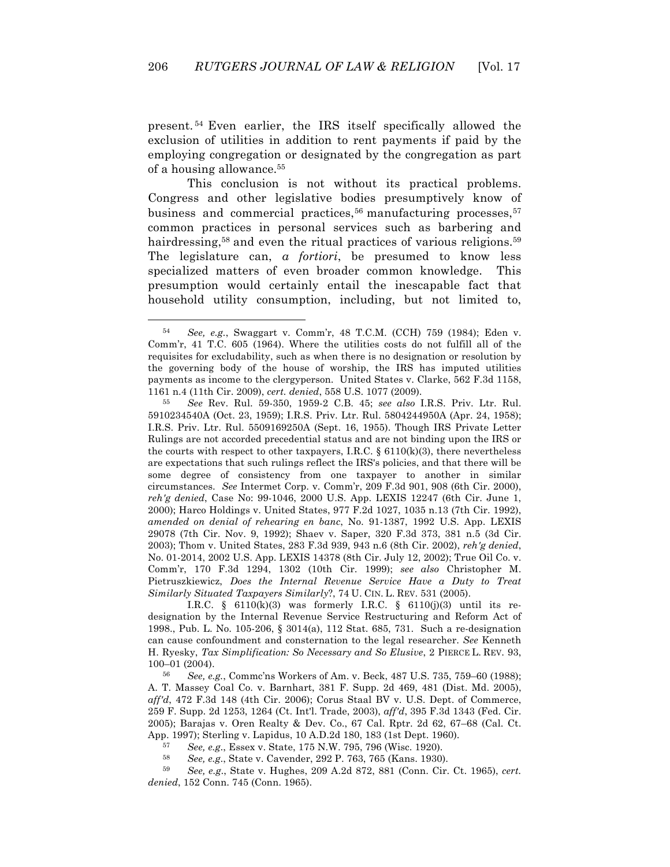present. <sup>54</sup> Even earlier, the IRS itself specifically allowed the exclusion of utilities in addition to rent payments if paid by the employing congregation or designated by the congregation as part of a housing allowance. 55

This conclusion is not without its practical problems. Congress and other legislative bodies presumptively know of business and commercial practices, $56$  manufacturing processes,  $57$ common practices in personal services such as barbering and hairdressing,<sup>58</sup> and even the ritual practices of various religions.<sup>59</sup> The legislature can, *a fortiori*, be presumed to know less specialized matters of even broader common knowledge. This presumption would certainly entail the inescapable fact that household utility consumption, including, but not limited to,

 $\overline{a}$ 

I.R.C. § 6110(k)(3) was formerly I.R.C. § 6110(j)(3) until its redesignation by the Internal Revenue Service Restructuring and Reform Act of 1998., Pub. L. No. 105-206, § 3014(a), 112 Stat. 685, 731. Such a re-designation can cause confoundment and consternation to the legal researcher. *See* Kenneth H. Ryesky, *Tax Simplification: So Necessary and So Elusive*, 2 PIERCE L. REV. 93, 100–01 (2004).

56 *See, e.g.*, Commc'ns Workers of Am. v. Beck, 487 U.S. 735, 759–60 (1988); A. T. Massey Coal Co. v. Barnhart, 381 F. Supp. 2d 469, 481 (Dist. Md. 2005), *aff'd*, 472 F.3d 148 (4th Cir. 2006); Corus Staal BV v. U.S. Dept. of Commerce, 259 F. Supp. 2d 1253, 1264 (Ct. Int'l. Trade, 2003), *aff'd*, 395 F.3d 1343 (Fed. Cir. 2005); Barajas v. Oren Realty & Dev. Co., 67 Cal. Rptr. 2d 62, 67–68 (Cal. Ct. App. 1997); Sterling v. Lapidus, 10 A.D.2d 180, 183 (1st Dept. 1960).

57 *See, e.g*., Essex v. State, 175 N.W. 795, 796 (Wisc. 1920).

58 *See, e.g*., State v. Cavender, 292 P. 763, 765 (Kans. 1930).

59 *See, e.g*., State v. Hughes, 209 A.2d 872, 881 (Conn. Cir. Ct. 1965), *cert. denied*, 152 Conn. 745 (Conn. 1965).

<sup>54</sup> *See, e.g.*, Swaggart v. Comm'r, 48 T.C.M. (CCH) 759 (1984); Eden v. Comm'r, 41 T.C. 605 (1964). Where the utilities costs do not fulfill all of the requisites for excludability, such as when there is no designation or resolution by the governing body of the house of worship, the IRS has imputed utilities payments as income to the clergyperson. United States v. Clarke, 562 F.3d 1158, 1161 n.4 (11th Cir. 2009), *cert. denied*, 558 U.S. 1077 (2009).

<sup>55</sup> *See* Rev. Rul. 59-350, 1959-2 C.B. 45; *see also* I.R.S. Priv. Ltr. Rul. 5910234540A (Oct. 23, 1959); I.R.S. Priv. Ltr. Rul. 5804244950A (Apr. 24, 1958); I.R.S. Priv. Ltr. Rul. 5509169250A (Sept. 16, 1955). Though IRS Private Letter Rulings are not accorded precedential status and are not binding upon the IRS or the courts with respect to other taxpayers, I.R.C.  $\S$  6110(k)(3), there nevertheless are expectations that such rulings reflect the IRS's policies, and that there will be some degree of consistency from one taxpayer to another in similar circumstances. *See* Intermet Corp. v. Comm'r, 209 F.3d 901, 908 (6th Cir. 2000), *reh'g denied*, Case No: 99-1046, 2000 U.S. App. LEXIS 12247 (6th Cir. June 1, 2000); Harco Holdings v. United States, 977 F.2d 1027, 1035 n.13 (7th Cir. 1992), *amended on denial of rehearing en banc*, No. 91-1387, 1992 U.S. App. LEXIS 29078 (7th Cir. Nov. 9, 1992); Shaev v. Saper, 320 F.3d 373, 381 n.5 (3d Cir. 2003); Thom v. United States, 283 F.3d 939, 943 n.6 (8th Cir. 2002), *reh'g denied*, No. 01-2014, 2002 U.S. App. LEXIS 14378 (8th Cir. July 12, 2002); True Oil Co. v. Comm'r, 170 F.3d 1294, 1302 (10th Cir. 1999); *see also* Christopher M. Pietruszkiewicz, *Does the Internal Revenue Service Have a Duty to Treat Similarly Situated Taxpayers Similarly*?, 74 U. CIN. L. REV. 531 (2005).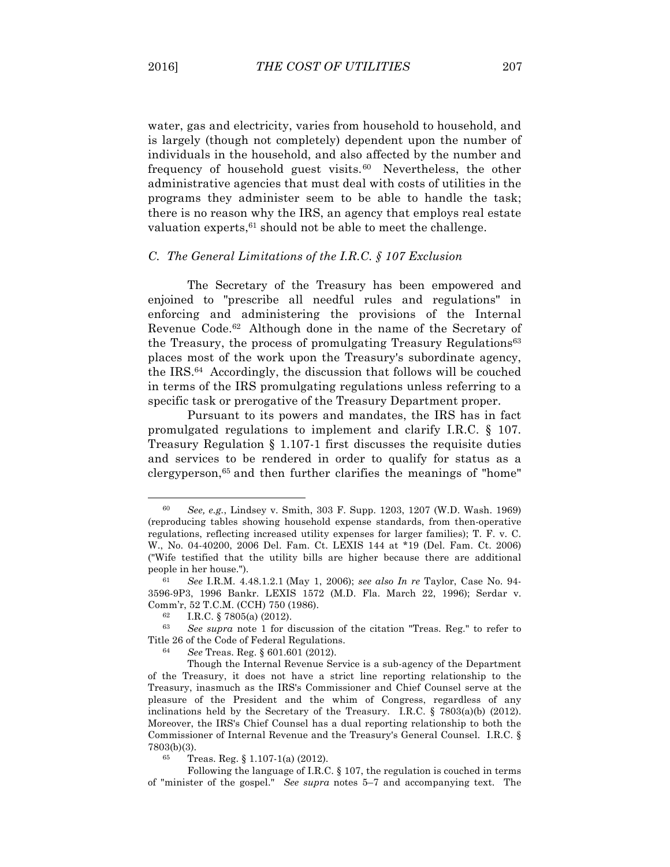water, gas and electricity, varies from household to household, and is largely (though not completely) dependent upon the number of individuals in the household, and also affected by the number and frequency of household guest visits.<sup>60</sup> Nevertheless, the other administrative agencies that must deal with costs of utilities in the programs they administer seem to be able to handle the task; there is no reason why the IRS, an agency that employs real estate valuation experts,  $61$  should not be able to meet the challenge.

### *C. The General Limitations of the I.R.C. § 107 Exclusion*

The Secretary of the Treasury has been empowered and enjoined to "prescribe all needful rules and regulations" in enforcing and administering the provisions of the Internal Revenue Code.62 Although done in the name of the Secretary of the Treasury, the process of promulgating Treasury Regulations<sup>63</sup> places most of the work upon the Treasury's subordinate agency, the IRS.64 Accordingly, the discussion that follows will be couched in terms of the IRS promulgating regulations unless referring to a specific task or prerogative of the Treasury Department proper.

Pursuant to its powers and mandates, the IRS has in fact promulgated regulations to implement and clarify I.R.C. § 107. Treasury Regulation § 1.107-1 first discusses the requisite duties and services to be rendered in order to qualify for status as a clergyperson,65 and then further clarifies the meanings of "home"

<sup>60</sup> *See, e.g.*, Lindsey v. Smith, 303 F. Supp. 1203, 1207 (W.D. Wash. 1969) (reproducing tables showing household expense standards, from then-operative regulations, reflecting increased utility expenses for larger families); T. F. v. C. W., No. 04-40200, 2006 Del. Fam. Ct. LEXIS 144 at \*19 (Del. Fam. Ct. 2006) ("Wife testified that the utility bills are higher because there are additional people in her house.").

<sup>61</sup> *See* I.R.M. 4.48.1.2.1 (May 1, 2006); *see also In re* Taylor, Case No. 94- 3596-9P3, 1996 Bankr. LEXIS 1572 (M.D. Fla. March 22, 1996); Serdar v. Comm'r, 52 T.C.M. (CCH) 750 (1986).

<sup>62</sup> I.R.C. § 7805(a) (2012).

<sup>63</sup> *See supra* note 1 for discussion of the citation "Treas. Reg." to refer to Title 26 of the Code of Federal Regulations.

<sup>64</sup> *See* Treas. Reg. § 601.601 (2012).

Though the Internal Revenue Service is a sub-agency of the Department of the Treasury, it does not have a strict line reporting relationship to the Treasury, inasmuch as the IRS's Commissioner and Chief Counsel serve at the pleasure of the President and the whim of Congress, regardless of any inclinations held by the Secretary of the Treasury. I.R.C. § 7803(a)(b) (2012). Moreover, the IRS's Chief Counsel has a dual reporting relationship to both the Commissioner of Internal Revenue and the Treasury's General Counsel. I.R.C. §  $7803(b)(3)$ .

Treas. Reg.  $§ 1.107-1(a) (2012)$ .

Following the language of I.R.C. § 107, the regulation is couched in terms of "minister of the gospel." *See supra* notes 5–7 and accompanying text. The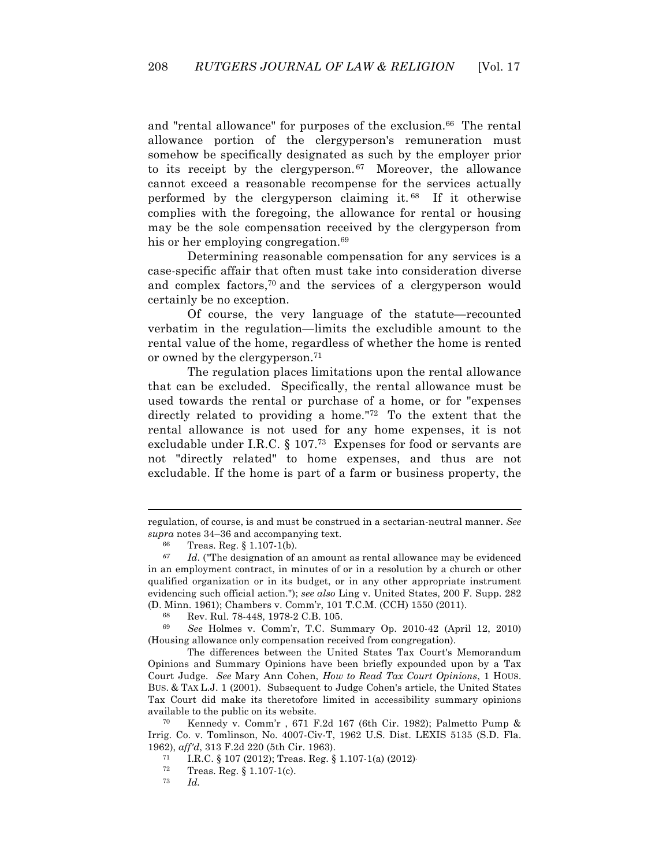and "rental allowance" for purposes of the exclusion.<sup>66</sup> The rental allowance portion of the clergyperson's remuneration must somehow be specifically designated as such by the employer prior to its receipt by the clergyperson. 67 Moreover, the allowance cannot exceed a reasonable recompense for the services actually performed by the clergyperson claiming it. 68 If it otherwise complies with the foregoing, the allowance for rental or housing may be the sole compensation received by the clergyperson from his or her employing congregation.<sup>69</sup>

Determining reasonable compensation for any services is a case-specific affair that often must take into consideration diverse and complex factors,70 and the services of a clergyperson would certainly be no exception.

Of course, the very language of the statute—recounted verbatim in the regulation—limits the excludible amount to the rental value of the home, regardless of whether the home is rented or owned by the clergyperson.71

The regulation places limitations upon the rental allowance that can be excluded. Specifically, the rental allowance must be used towards the rental or purchase of a home, or for "expenses directly related to providing a home."72 To the extent that the rental allowance is not used for any home expenses, it is not excludable under I.R.C. § 107.73 Expenses for food or servants are not "directly related" to home expenses, and thus are not excludable. If the home is part of a farm or business property, the

regulation, of course, is and must be construed in a sectarian-neutral manner. *See supra* notes 34–36 and accompanying text.

<sup>66</sup> Treas. Reg. § 1.107-1(b).

*<sup>67</sup> Id*. ("The designation of an amount as rental allowance may be evidenced in an employment contract, in minutes of or in a resolution by a church or other qualified organization or in its budget, or in any other appropriate instrument evidencing such official action."); *see also* Ling v. United States, 200 F. Supp. 282 (D. Minn. 1961); Chambers v. Comm'r, 101 T.C.M. (CCH) 1550 (2011).

<sup>68</sup> Rev. Rul. 78-448, 1978-2 C.B. 105.

<sup>69</sup>*See* Holmes v. Comm'r, T.C. Summary Op. 2010-42 (April 12, 2010) (Housing allowance only compensation received from congregation).

The differences between the United States Tax Court's Memorandum Opinions and Summary Opinions have been briefly expounded upon by a Tax Court Judge. *See* Mary Ann Cohen, *How to Read Tax Court Opinions*, 1 HOUS. BUS. & TAX L.J. 1 (2001). Subsequent to Judge Cohen's article, the United States Tax Court did make its theretofore limited in accessibility summary opinions available to the public on its website.

<sup>70</sup> Kennedy v. Comm'r , 671 F.2d 167 (6th Cir. 1982); Palmetto Pump & Irrig. Co. v. Tomlinson, No. 4007-Civ-T, 1962 U.S. Dist. LEXIS 5135 (S.D. Fla. 1962), *aff'd*, 313 F.2d 220 (5th Cir. 1963).

 $\frac{71}{72}$  I.R.C. § 107 (2012); Treas. Reg. § 1.107-1(a) (2012)<sup>-72</sup> Treas. Reg. § 1.107-1(c)

 $^{72}$  Treas. Reg. § 1.107-1(c).<br> $^{73}$  Ld

<sup>73</sup> *Id.*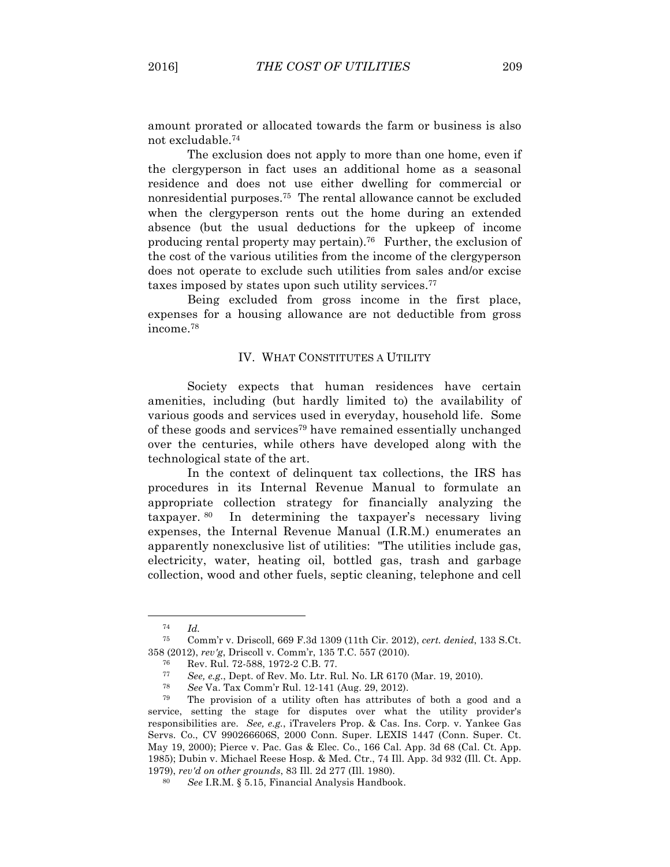amount prorated or allocated towards the farm or business is also not excludable.74

The exclusion does not apply to more than one home, even if the clergyperson in fact uses an additional home as a seasonal residence and does not use either dwelling for commercial or nonresidential purposes.75 The rental allowance cannot be excluded when the clergyperson rents out the home during an extended absence (but the usual deductions for the upkeep of income producing rental property may pertain).76 Further, the exclusion of the cost of the various utilities from the income of the clergyperson does not operate to exclude such utilities from sales and/or excise taxes imposed by states upon such utility services.77

Being excluded from gross income in the first place, expenses for a housing allowance are not deductible from gross income.78

### IV. WHAT CONSTITUTES A UTILITY

Society expects that human residences have certain amenities, including (but hardly limited to) the availability of various goods and services used in everyday, household life. Some of these goods and services79 have remained essentially unchanged over the centuries, while others have developed along with the technological state of the art.

In the context of delinquent tax collections, the IRS has procedures in its Internal Revenue Manual to formulate an appropriate collection strategy for financially analyzing the taxpayer. 80 In determining the taxpayer's necessary living expenses, the Internal Revenue Manual (I.R.M.) enumerates an apparently nonexclusive list of utilities: "The utilities include gas, electricity, water, heating oil, bottled gas, trash and garbage collection, wood and other fuels, septic cleaning, telephone and cell

<sup>74</sup> *Id.*

<sup>75</sup> Comm'r v. Driscoll, 669 F.3d 1309 (11th Cir. 2012), *cert. denied*, 133 S.Ct. 358 (2012), *rev'g*, Driscoll v. Comm'r, 135 T.C. 557 (2010).

<sup>76</sup> Rev. Rul. 72-588, 1972-2 C.B. 77.

<sup>77</sup> *See, e.g.*, Dept. of Rev. Mo. Ltr. Rul. No. LR 6170 (Mar. 19, 2010).

<sup>78</sup> *See* Va. Tax Comm'r Rul. 12-141 (Aug. 29, 2012).

<sup>79</sup> The provision of a utility often has attributes of both a good and a service, setting the stage for disputes over what the utility provider's responsibilities are. *See, e.g.*, iTravelers Prop. & Cas. Ins. Corp. v. Yankee Gas Servs. Co., CV 990266606S, 2000 Conn. Super. LEXIS 1447 (Conn. Super. Ct. May 19, 2000); Pierce v. Pac. Gas & Elec. Co., 166 Cal. App. 3d 68 (Cal. Ct. App. 1985); Dubin v. Michael Reese Hosp. & Med. Ctr., 74 Ill. App. 3d 932 (Ill. Ct. App. 1979), *rev'd on other grounds*, 83 Ill. 2d 277 (Ill. 1980).

See I.R.M. § 5.15, Financial Analysis Handbook.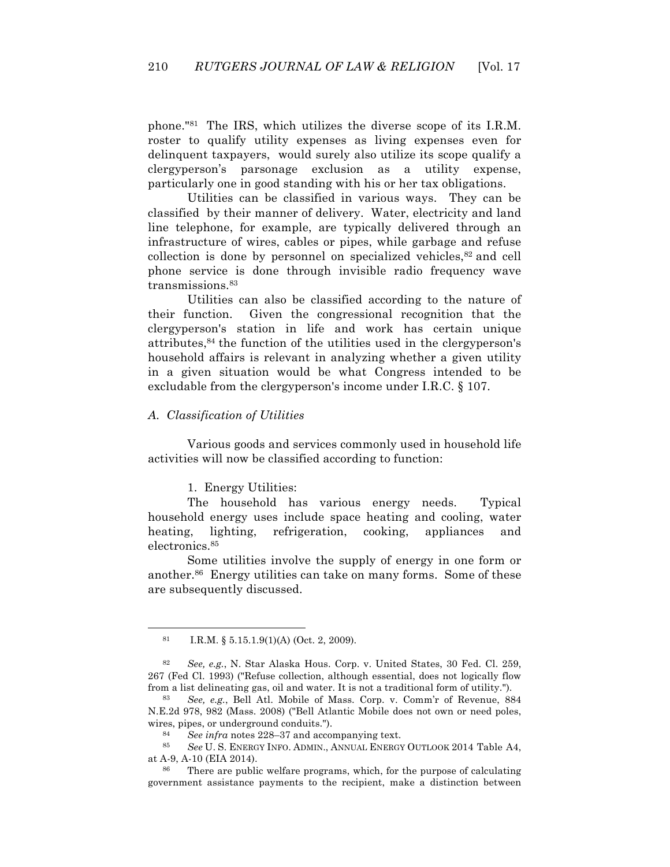phone."81 The IRS, which utilizes the diverse scope of its I.R.M. roster to qualify utility expenses as living expenses even for delinquent taxpayers, would surely also utilize its scope qualify a clergyperson's parsonage exclusion as a utility expense, particularly one in good standing with his or her tax obligations.

Utilities can be classified in various ways. They can be classified by their manner of delivery. Water, electricity and land line telephone, for example, are typically delivered through an infrastructure of wires, cables or pipes, while garbage and refuse collection is done by personnel on specialized vehicles,<sup>82</sup> and cell phone service is done through invisible radio frequency wave transmissions.83

Utilities can also be classified according to the nature of their function. Given the congressional recognition that the clergyperson's station in life and work has certain unique attributes,84 the function of the utilities used in the clergyperson's household affairs is relevant in analyzing whether a given utility in a given situation would be what Congress intended to be excludable from the clergyperson's income under I.R.C. § 107.

### *A. Classification of Utilities*

Various goods and services commonly used in household life activities will now be classified according to function:

### 1. Energy Utilities:

The household has various energy needs. Typical household energy uses include space heating and cooling, water heating, lighting, refrigeration, cooking, appliances and electronics.85

Some utilities involve the supply of energy in one form or another.86 Energy utilities can take on many forms. Some of these are subsequently discussed.

<sup>81</sup> I.R.M. § 5.15.1.9(1)(A) (Oct. 2, 2009).

<sup>82</sup> *See, e.g.*, N. Star Alaska Hous. Corp. v. United States, 30 Fed. Cl. 259, 267 (Fed Cl. 1993) ("Refuse collection, although essential, does not logically flow from a list delineating gas, oil and water. It is not a traditional form of utility.").

<sup>83</sup> *See, e.g.*, Bell Atl. Mobile of Mass. Corp. v. Comm'r of Revenue, 884 N.E.2d 978, 982 (Mass. 2008) ("Bell Atlantic Mobile does not own or need poles, wires, pipes, or underground conduits.").

<sup>84</sup> *See infra* notes 228–37 and accompanying text.

<sup>85</sup> *See* U. S. ENERGY INFO. ADMIN., ANNUAL ENERGY OUTLOOK 2014 Table A4, at A-9, A-10 (EIA 2014).

<sup>86</sup> There are public welfare programs, which, for the purpose of calculating government assistance payments to the recipient, make a distinction between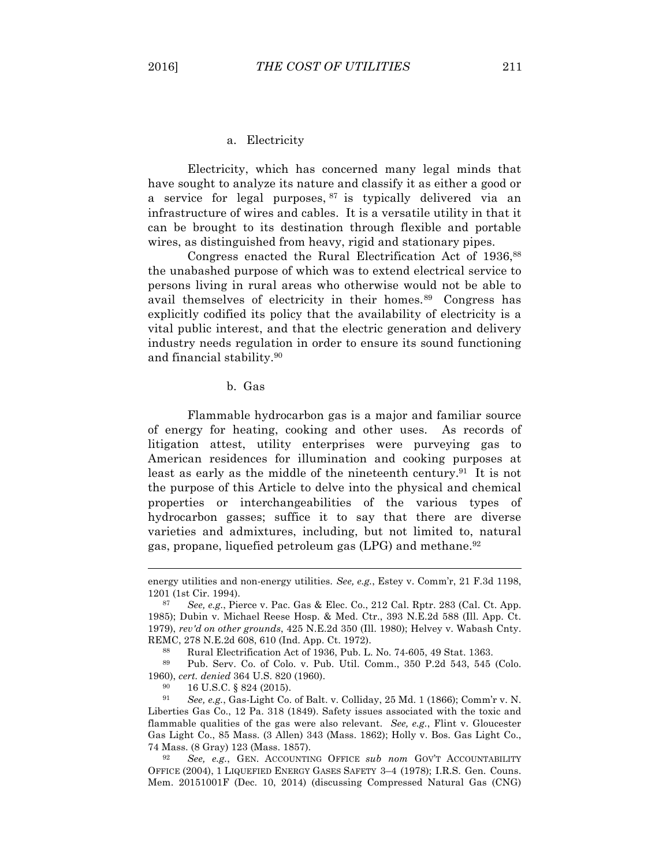#### a. Electricity

Electricity, which has concerned many legal minds that have sought to analyze its nature and classify it as either a good or a service for legal purposes, <sup>87</sup> is typically delivered via an infrastructure of wires and cables. It is a versatile utility in that it can be brought to its destination through flexible and portable wires, as distinguished from heavy, rigid and stationary pipes.

Congress enacted the Rural Electrification Act of 1936,<sup>88</sup> the unabashed purpose of which was to extend electrical service to persons living in rural areas who otherwise would not be able to avail themselves of electricity in their homes.<sup>89</sup> Congress has explicitly codified its policy that the availability of electricity is a vital public interest, and that the electric generation and delivery industry needs regulation in order to ensure its sound functioning and financial stability.90

# b. Gas

Flammable hydrocarbon gas is a major and familiar source of energy for heating, cooking and other uses. As records of litigation attest, utility enterprises were purveying gas to American residences for illumination and cooking purposes at least as early as the middle of the nineteenth century.<sup>91</sup> It is not the purpose of this Article to delve into the physical and chemical properties or interchangeabilities of the various types of hydrocarbon gasses; suffice it to say that there are diverse varieties and admixtures, including, but not limited to, natural gas, propane, liquefied petroleum gas (LPG) and methane.92

energy utilities and non-energy utilities. *See, e.g.*, Estey v. Comm'r, 21 F.3d 1198, 1201 (1st Cir. 1994).

<sup>87</sup> *See, e.g.*, Pierce v. Pac. Gas & Elec. Co., 212 Cal. Rptr. 283 (Cal. Ct. App. 1985); Dubin v. Michael Reese Hosp. & Med. Ctr., 393 N.E.2d 588 (Ill. App. Ct. 1979), *rev'd on other grounds*, 425 N.E.2d 350 (Ill. 1980); Helvey v. Wabash Cnty. REMC, 278 N.E.2d 608, 610 (Ind. App. Ct. 1972).

<sup>88</sup> Rural Electrification Act of 1936, Pub. L. No. 74-605, 49 Stat. 1363.

<sup>89</sup> Pub. Serv. Co. of Colo. v. Pub. Util. Comm., 350 P.2d 543, 545 (Colo. 1960), *cert. denied* 364 U.S. 820 (1960).

<sup>90</sup> 16 U.S.C. § 824 (2015).

<sup>91</sup> *See, e.g.*, Gas-Light Co. of Balt. v. Colliday, 25 Md. 1 (1866); Comm'r v. N. Liberties Gas Co., 12 Pa. 318 (1849). Safety issues associated with the toxic and flammable qualities of the gas were also relevant. *See, e.g.*, Flint v. Gloucester Gas Light Co., 85 Mass. (3 Allen) 343 (Mass. 1862); Holly v. Bos. Gas Light Co., 74 Mass. (8 Gray) 123 (Mass. 1857).

See, e.g., GEN. ACCOUNTING OFFICE *sub nom* GOV'T ACCOUNTABILITY OFFICE (2004), 1 LIQUEFIED ENERGY GASES SAFETY 3–4 (1978); I.R.S. Gen. Couns. Mem. 20151001F (Dec. 10, 2014) (discussing Compressed Natural Gas (CNG)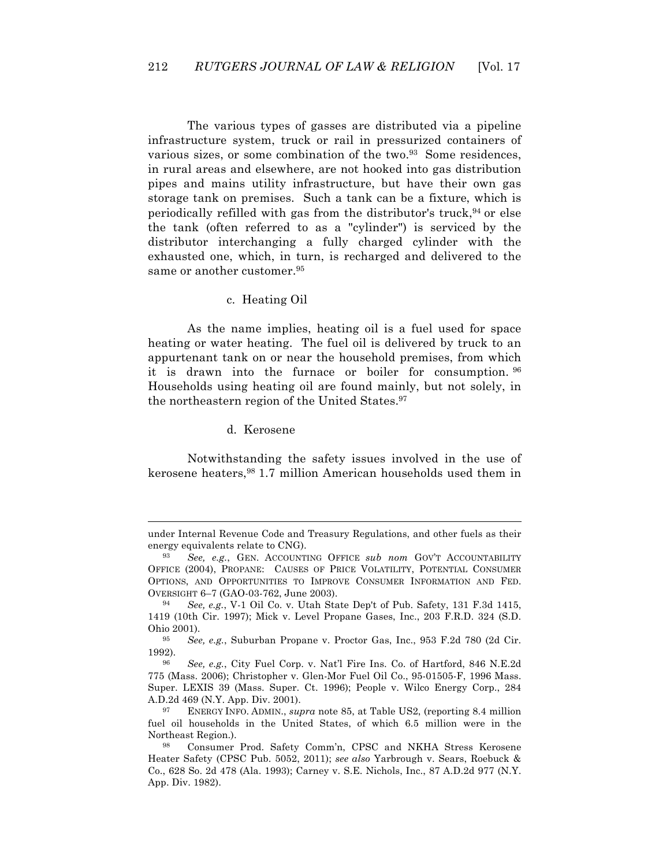The various types of gasses are distributed via a pipeline infrastructure system, truck or rail in pressurized containers of various sizes, or some combination of the two.<sup>93</sup> Some residences, in rural areas and elsewhere, are not hooked into gas distribution pipes and mains utility infrastructure, but have their own gas storage tank on premises. Such a tank can be a fixture, which is periodically refilled with gas from the distributor's truck,  $94$  or else the tank (often referred to as a "cylinder") is serviced by the distributor interchanging a fully charged cylinder with the exhausted one, which, in turn, is recharged and delivered to the same or another customer.<sup>95</sup>

### c. Heating Oil

As the name implies, heating oil is a fuel used for space heating or water heating. The fuel oil is delivered by truck to an appurtenant tank on or near the household premises, from which it is drawn into the furnace or boiler for consumption. 96 Households using heating oil are found mainly, but not solely, in the northeastern region of the United States.<sup>97</sup>

d. Kerosene

 $\overline{a}$ 

Notwithstanding the safety issues involved in the use of kerosene heaters,98 1.7 million American households used them in

under Internal Revenue Code and Treasury Regulations, and other fuels as their energy equivalents relate to CNG).

<sup>93</sup> *See, e.g.*, GEN. ACCOUNTING OFFICE *sub nom* GOV'T ACCOUNTABILITY OFFICE (2004), PROPANE: CAUSES OF PRICE VOLATILITY, POTENTIAL CONSUMER OPTIONS, AND OPPORTUNITIES TO IMPROVE CONSUMER INFORMATION AND FED. OVERSIGHT 6–7 (GAO-03-762, June 2003).

<sup>94</sup> *See, e.g.*, V-1 Oil Co. v. Utah State Dep't of Pub. Safety, 131 F.3d 1415, 1419 (10th Cir. 1997); Mick v. Level Propane Gases, Inc., 203 F.R.D. 324 (S.D. Ohio 2001).

<sup>95</sup> *See, e.g.*, Suburban Propane v. Proctor Gas, Inc., 953 F.2d 780 (2d Cir. 1992).

<sup>96</sup> *See, e.g.*, City Fuel Corp. v. Nat'l Fire Ins. Co. of Hartford, 846 N.E.2d 775 (Mass. 2006); Christopher v. Glen-Mor Fuel Oil Co., 95-01505-F, 1996 Mass. Super. LEXIS 39 (Mass. Super. Ct. 1996); People v. Wilco Energy Corp., 284 A.D.2d 469 (N.Y. App. Div. 2001).

<sup>97</sup> ENERGY INFO. ADMIN., *supra* note 85, at Table US2, (reporting 8.4 million fuel oil households in the United States, of which 6.5 million were in the Northeast Region.).

<sup>98</sup> Consumer Prod. Safety Comm'n, CPSC and NKHA Stress Kerosene Heater Safety (CPSC Pub. 5052, 2011); *see also* Yarbrough v. Sears, Roebuck & Co., 628 So. 2d 478 (Ala. 1993); Carney v. S.E. Nichols, Inc., 87 A.D.2d 977 (N.Y. App. Div. 1982).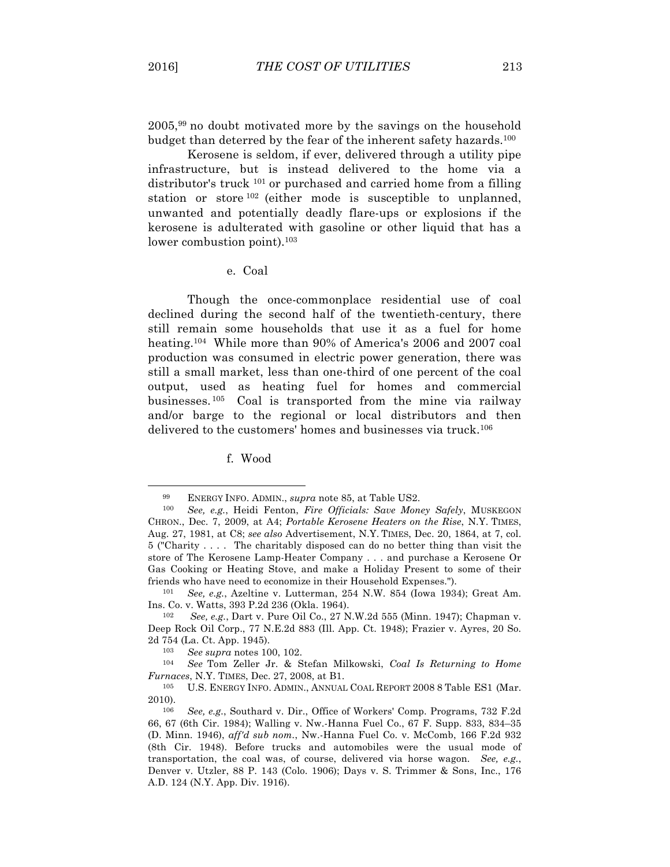$\overline{a}$ 

2005,99 no doubt motivated more by the savings on the household budget than deterred by the fear of the inherent safety hazards.100

Kerosene is seldom, if ever, delivered through a utility pipe infrastructure, but is instead delivered to the home via a distributor's truck 101 or purchased and carried home from a filling station or store <sup>102</sup> (either mode is susceptible to unplanned, unwanted and potentially deadly flare-ups or explosions if the kerosene is adulterated with gasoline or other liquid that has a lower combustion point).<sup>103</sup>

e. Coal

Though the once-commonplace residential use of coal declined during the second half of the twentieth-century, there still remain some households that use it as a fuel for home heating.<sup>104</sup> While more than 90% of America's 2006 and 2007 coal production was consumed in electric power generation, there was still a small market, less than one-third of one percent of the coal output, used as heating fuel for homes and commercial businesses. 105 Coal is transported from the mine via railway and/or barge to the regional or local distributors and then delivered to the customers' homes and businesses via truck.<sup>106</sup>

f. Wood

<sup>99</sup> ENERGY INFO. ADMIN., *supra* note 85, at Table US2.

<sup>100</sup> *See, e.g.*, Heidi Fenton, *Fire Officials: Save Money Safely*, MUSKEGON CHRON., Dec. 7, 2009, at A4; *Portable Kerosene Heaters on the Rise*, N.Y. TIMES, Aug. 27, 1981, at C8; *see also* Advertisement, N.Y. TIMES, Dec. 20, 1864, at 7, col. 5 ("Charity . . . . The charitably disposed can do no better thing than visit the store of The Kerosene Lamp-Heater Company . . . and purchase a Kerosene Or Gas Cooking or Heating Stove, and make a Holiday Present to some of their friends who have need to economize in their Household Expenses.").

<sup>101</sup> *See, e.g.*, Azeltine v. Lutterman, 254 N.W. 854 (Iowa 1934); Great Am. Ins. Co. v. Watts, 393 P.2d 236 (Okla. 1964).

<sup>102</sup> *See, e.g.*, Dart v. Pure Oil Co., 27 N.W.2d 555 (Minn. 1947); Chapman v. Deep Rock Oil Corp., 77 N.E.2d 883 (Ill. App. Ct. 1948); Frazier v. Ayres, 20 So. 2d 754 (La. Ct. App. 1945). 103 *See supra* notes 100, 102.

<sup>104</sup> *See* Tom Zeller Jr. & Stefan Milkowski, *Coal Is Returning to Home Furnaces*, N.Y. TIMES, Dec. 27, 2008, at B1.

<sup>105</sup> U.S. ENERGY INFO. ADMIN., ANNUAL COAL REPORT 2008 8 Table ES1 (Mar. 2010).

<sup>106</sup> *See, e.g.*, Southard v. Dir., Office of Workers' Comp. Programs, 732 F.2d 66, 67 (6th Cir. 1984); Walling v. Nw.-Hanna Fuel Co., 67 F. Supp. 833, 834–35 (D. Minn. 1946), *aff'd sub nom.*, Nw.-Hanna Fuel Co. v. McComb, 166 F.2d 932 (8th Cir. 1948). Before trucks and automobiles were the usual mode of transportation, the coal was, of course, delivered via horse wagon. *See, e.g.*, Denver v. Utzler, 88 P. 143 (Colo. 1906); Days v. S. Trimmer & Sons, Inc., 176 A.D. 124 (N.Y. App. Div. 1916).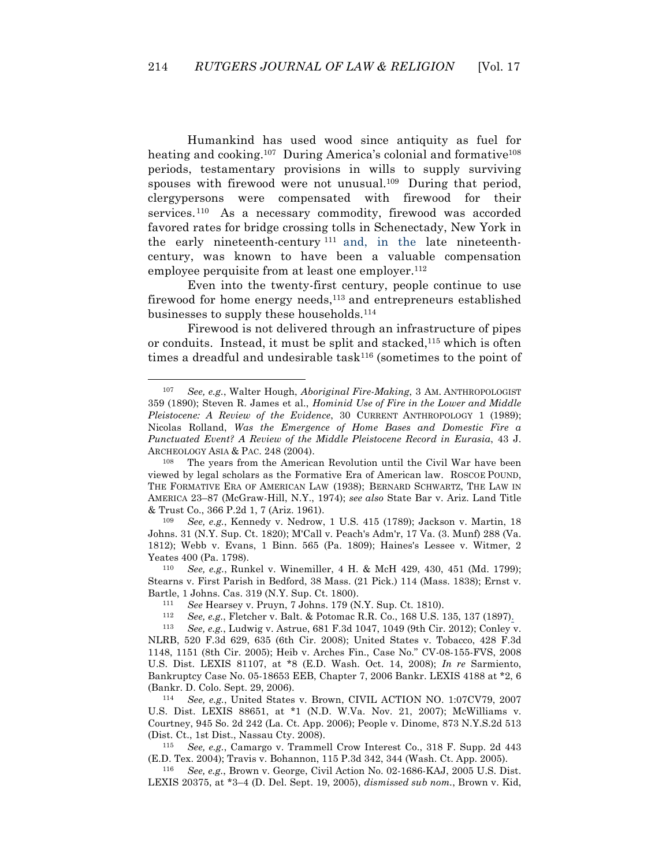Humankind has used wood since antiquity as fuel for heating and cooking.<sup>107</sup> During America's colonial and formative<sup>108</sup> periods, testamentary provisions in wills to supply surviving spouses with firewood were not unusual.<sup>109</sup> During that period, clergypersons were compensated with firewood for their services.<sup>110</sup> As a necessary commodity, firewood was accorded favored rates for bridge crossing tolls in Schenectady, New York in the early nineteenth-century <sup>111</sup> and, in the late nineteenthcentury, was known to have been a valuable compensation employee perquisite from at least one employer.<sup>112</sup>

Even into the twenty-first century, people continue to use firewood for home energy needs, $^{113}$  and entrepreneurs established businesses to supply these households.114

Firewood is not delivered through an infrastructure of pipes or conduits. Instead, it must be split and stacked, $115$  which is often times a dreadful and undesirable task<sup>116</sup> (sometimes to the point of

 $\overline{a}$ 

115 *See, e.g.*, Camargo v. Trammell Crow Interest Co., 318 F. Supp. 2d 443 (E.D. Tex. 2004); Travis v. Bohannon, 115 P.3d 342, 344 (Wash. Ct. App. 2005).

116 *See, e.g.*, Brown v. George, Civil Action No. 02-1686-KAJ, 2005 U.S. Dist. LEXIS 20375, at \*3–4 (D. Del. Sept. 19, 2005), *dismissed sub nom.*, Brown v. Kid,

<sup>107</sup> *See, e.g.*, Walter Hough, *Aboriginal Fire-Making*, 3 AM. ANTHROPOLOGIST 359 (1890); Steven R. James et al., *Hominid Use of Fire in the Lower and Middle Pleistocene: A Review of the Evidence*, 30 CURRENT ANTHROPOLOGY 1 (1989); Nicolas Rolland, *Was the Emergence of Home Bases and Domestic Fire a Punctuated Event? A Review of the Middle Pleistocene Record in Eurasia*, 43 J. ARCHEOLOGY ASIA & PAC. 248 (2004).

<sup>108</sup> The years from the American Revolution until the Civil War have been viewed by legal scholars as the Formative Era of American law. ROSCOE POUND, THE FORMATIVE ERA OF AMERICAN LAW (1938); BERNARD SCHWARTZ, THE LAW IN AMERICA 23–87 (McGraw-Hill, N.Y., 1974); *see also* State Bar v. Ariz. Land Title & Trust Co., 366 P.2d 1, 7 (Ariz. 1961).

<sup>109</sup> *See, e.g.*, Kennedy v. Nedrow, 1 U.S. 415 (1789); Jackson v. Martin, 18 Johns. 31 (N.Y. Sup. Ct. 1820); M'Call v. Peach's Adm'r, 17 Va. (3. Munf) 288 (Va. 1812); Webb v. Evans, 1 Binn. 565 (Pa. 1809); Haines's Lessee v. Witmer, 2 Yeates 400 (Pa. 1798).

<sup>110</sup> *See, e.g.*, Runkel v. Winemiller, 4 H. & McH 429, 430, 451 (Md. 1799); Stearns v. First Parish in Bedford, 38 Mass. (21 Pick.) 114 (Mass. 1838); Ernst v. Bartle, 1 Johns. Cas. 319 (N.Y. Sup. Ct. 1800).

<sup>111</sup> *See* Hearsey v. Pruyn, 7 Johns. 179 (N.Y. Sup. Ct. 1810).

See, e.g., Fletcher v. Balt. & Potomac R.R. Co., 168 U.S. 135, 137 (1897).

<sup>113</sup> *See, e.g.*, Ludwig v. Astrue, 681 F.3d 1047, 1049 (9th Cir. 2012); Conley v. NLRB, 520 F.3d 629, 635 (6th Cir. 2008); United States v. Tobacco, 428 F.3d 1148, 1151 (8th Cir. 2005); Heib v. Arches Fin., Case No." CV-08-155-FVS, 2008 U.S. Dist. LEXIS 81107, at \*8 (E.D. Wash. Oct. 14, 2008); *In re* Sarmiento, Bankruptcy Case No. 05-18653 EEB, Chapter 7, 2006 Bankr. LEXIS 4188 at \*2, 6 (Bankr. D. Colo. Sept. 29, 2006).

<sup>114</sup> *See, e.g.*, United States v. Brown, CIVIL ACTION NO. 1:07CV79, 2007 U.S. Dist. LEXIS 88651, at \*1 (N.D. W.Va. Nov. 21, 2007); McWilliams v. Courtney, 945 So. 2d 242 (La. Ct. App. 2006); People v. Dinome, 873 N.Y.S.2d 513 (Dist. Ct., 1st Dist., Nassau Cty. 2008).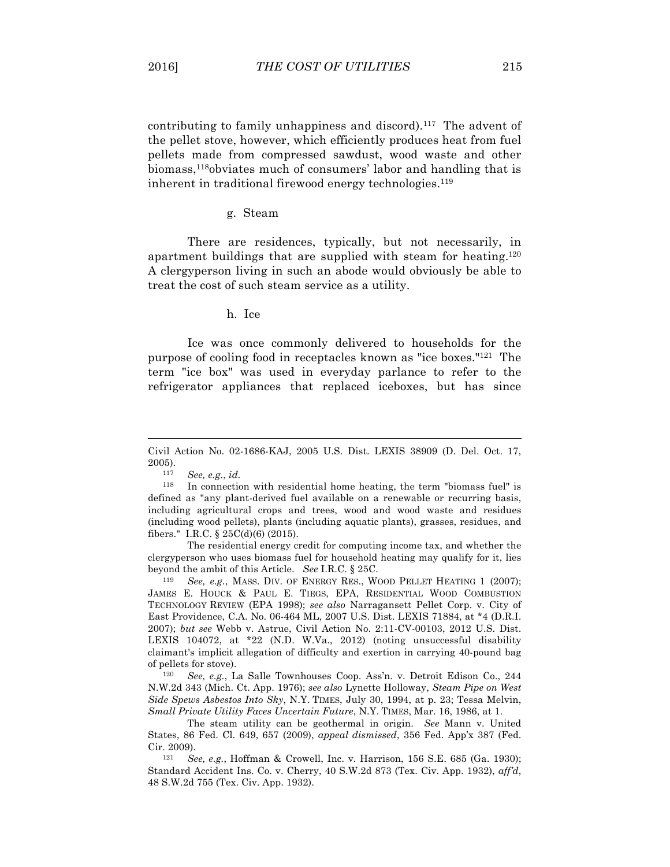contributing to family unhappiness and discord).117 The advent of the pellet stove, however, which efficiently produces heat from fuel pellets made from compressed sawdust, wood waste and other biomass,118obviates much of consumers' labor and handling that is inherent in traditional firewood energy technologies.<sup>119</sup>

#### g. Steam

There are residences, typically, but not necessarily, in apartment buildings that are supplied with steam for heating.120 A clergyperson living in such an abode would obviously be able to treat the cost of such steam service as a utility.

h. Ice

Ice was once commonly delivered to households for the purpose of cooling food in receptacles known as "ice boxes."121 The term "ice box" was used in everyday parlance to refer to the refrigerator appliances that replaced iceboxes, but has since

 $\overline{a}$ 

The residential energy credit for computing income tax, and whether the clergyperson who uses biomass fuel for household heating may qualify for it, lies beyond the ambit of this Article. *See* I.R.C. § 25C.

119 *See, e.g.*, MASS. DIV. OF ENERGY RES., WOOD PELLET HEATING 1 (2007); JAMES E. HOUCK & PAUL E. TIEGS, EPA, RESIDENTIAL WOOD COMBUSTION TECHNOLOGY REVIEW (EPA 1998); *see also* Narragansett Pellet Corp. v. City of East Providence, C.A. No. 06-464 ML, 2007 U.S. Dist. LEXIS 71884, at \*4 (D.R.I. 2007); *but see* Webb v. Astrue, Civil Action No. 2:11-CV-00103, 2012 U.S. Dist. LEXIS 104072, at \*22 (N.D. W.Va., 2012) (noting unsuccessful disability claimant's implicit allegation of difficulty and exertion in carrying 40-pound bag of pellets for stove).

120 *See, e.g.*, La Salle Townhouses Coop. Ass'n. v. Detroit Edison Co., 244 N.W.2d 343 (Mich. Ct. App. 1976); *see also* Lynette Holloway, *Steam Pipe on West Side Spews Asbestos Into Sky*, N.Y. TIMES, July 30, 1994, at p. 23; Tessa Melvin, *Small Private Utility Faces Uncertain Future*, N.Y. TIMES, Mar. 16, 1986, at 1.

The steam utility can be geothermal in origin. *See* Mann v. United States, 86 Fed. Cl. 649, 657 (2009), *appeal dismissed*, 356 Fed. App'x 387 (Fed. Cir. 2009).

121 *See, e.g.*, Hoffman & Crowell, Inc. v. Harrison, 156 S.E. 685 (Ga. 1930); Standard Accident Ins. Co. v. Cherry, 40 S.W.2d 873 (Tex. Civ. App. 1932), *aff'd*, 48 S.W.2d 755 (Tex. Civ. App. 1932).

Civil Action No. 02-1686-KAJ, 2005 U.S. Dist. LEXIS 38909 (D. Del. Oct. 17, 2005).

<sup>117</sup> *See, e.g.*, *id.*

<sup>118</sup> In connection with residential home heating, the term "biomass fuel" is defined as "any plant-derived fuel available on a renewable or recurring basis, including agricultural crops and trees, wood and wood waste and residues (including wood pellets), plants (including aquatic plants), grasses, residues, and fibers." I.R.C. § 25C(d)(6) (2015).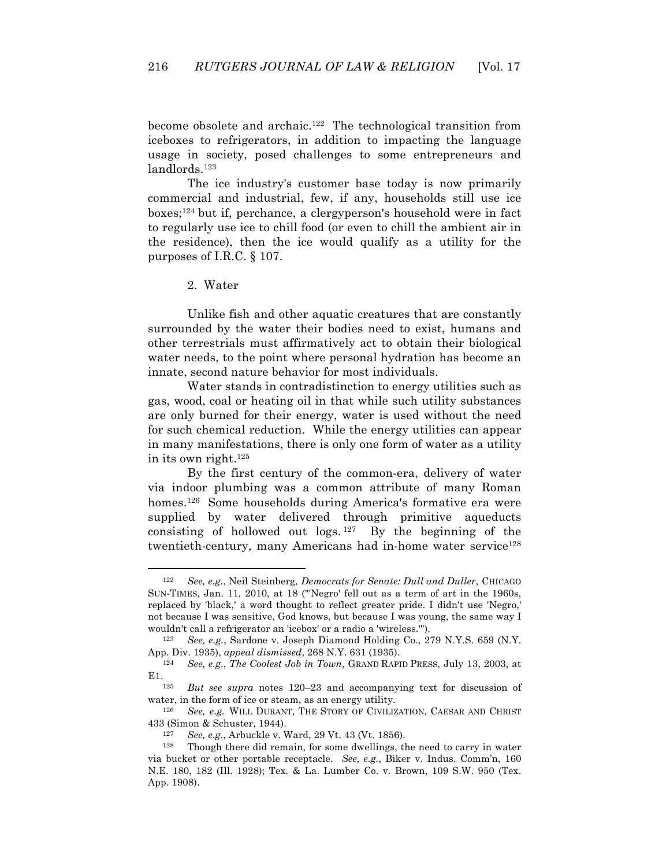become obsolete and archaic.122 The technological transition from iceboxes to refrigerators, in addition to impacting the language usage in society, posed challenges to some entrepreneurs and landlords.123

The ice industry's customer base today is now primarily commercial and industrial, few, if any, households still use ice boxes;124 but if, perchance, a clergyperson's household were in fact to regularly use ice to chill food (or even to chill the ambient air in the residence), then the ice would qualify as a utility for the purposes of I.R.C. § 107.

2. Water

 $\overline{a}$ 

Unlike fish and other aquatic creatures that are constantly surrounded by the water their bodies need to exist, humans and other terrestrials must affirmatively act to obtain their biological water needs, to the point where personal hydration has become an innate, second nature behavior for most individuals.

Water stands in contradistinction to energy utilities such as gas, wood, coal or heating oil in that while such utility substances are only burned for their energy, water is used without the need for such chemical reduction. While the energy utilities can appear in many manifestations, there is only one form of water as a utility in its own right.125

By the first century of the common-era, delivery of water via indoor plumbing was a common attribute of many Roman homes.126 Some households during America's formative era were supplied by water delivered through primitive aqueducts consisting of hollowed out logs. 127 By the beginning of the twentieth-century, many Americans had in-home water service<sup>128</sup>

<sup>122</sup> *See, e.g.*, Neil Steinberg, *Democrats for Senate: Dull and Duller*, CHICAGO SUN-TIMES, Jan. 11, 2010, at 18 ("'Negro' fell out as a term of art in the 1960s, replaced by 'black,' a word thought to reflect greater pride. I didn't use 'Negro,' not because I was sensitive, God knows, but because I was young, the same way I wouldn't call a refrigerator an 'icebox' or a radio a 'wireless.'").

<sup>123</sup> *See, e.g.*, Sardone v. Joseph Diamond Holding Co., 279 N.Y.S. 659 (N.Y. App. Div. 1935), *appeal dismissed*, 268 N.Y. 631 (1935).

<sup>124</sup> *See, e.g.*, *The Coolest Job in Town*, GRAND RAPID PRESS, July 13, 2003, at E1.125 *But see supra* notes 120–23 and accompanying text for discussion of

water, in the form of ice or steam, as an energy utility.

<sup>126</sup> *See, e.g.* WILL DURANT, THE STORY OF CIVILIZATION, CAESAR AND CHRIST 433 (Simon & Schuster, 1944).

<sup>127</sup> *See, e.g.*, Arbuckle v. Ward, 29 Vt. 43 (Vt. 1856).

<sup>128</sup> Though there did remain, for some dwellings, the need to carry in water via bucket or other portable receptacle. *See, e.g.*, Biker v. Indus. Comm'n, 160 N.E. 180, 182 (Ill. 1928); Tex. & La. Lumber Co. v. Brown, 109 S.W. 950 (Tex. App. 1908).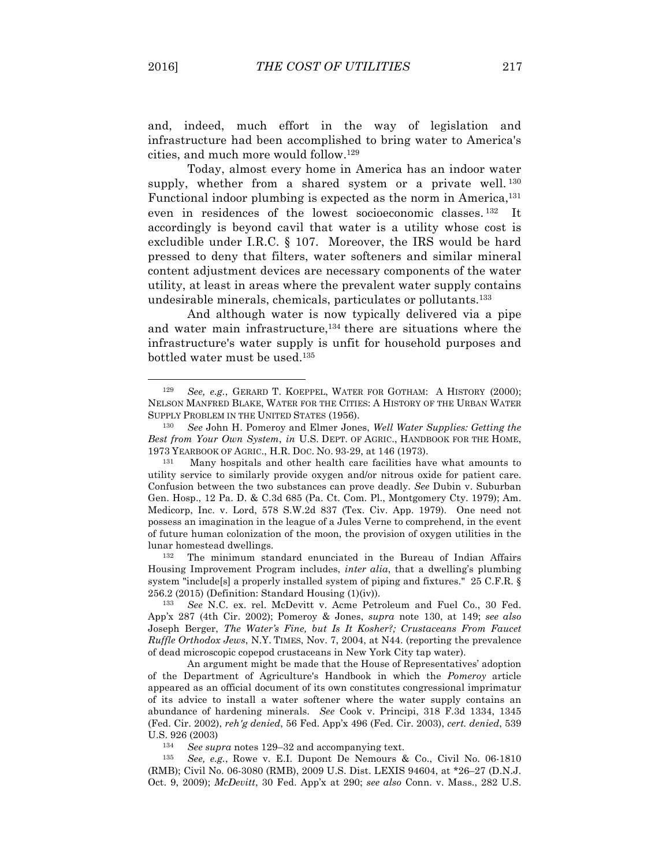$\overline{a}$ 

and, indeed, much effort in the way of legislation and infrastructure had been accomplished to bring water to America's cities, and much more would follow.129

Today, almost every home in America has an indoor water supply, whether from a shared system or a private well.<sup>130</sup> Functional indoor plumbing is expected as the norm in America,<sup>131</sup> even in residences of the lowest socioeconomic classes. 132 It accordingly is beyond cavil that water is a utility whose cost is excludible under I.R.C. § 107. Moreover, the IRS would be hard pressed to deny that filters, water softeners and similar mineral content adjustment devices are necessary components of the water utility, at least in areas where the prevalent water supply contains undesirable minerals, chemicals, particulates or pollutants.133

And although water is now typically delivered via a pipe and water main infrastructure,134 there are situations where the infrastructure's water supply is unfit for household purposes and bottled water must be used.135

132 The minimum standard enunciated in the Bureau of Indian Affairs Housing Improvement Program includes, *inter alia*, that a dwelling's plumbing system "include[s] a properly installed system of piping and fixtures." 25 C.F.R. § 256.2 (2015) (Definition: Standard Housing (1)(iv)).

133 *See* N.C. ex. rel. McDevitt v. Acme Petroleum and Fuel Co., 30 Fed. App'x 287 (4th Cir. 2002); Pomeroy & Jones, *supra* note 130, at 149; *see also* Joseph Berger, *The Water's Fine, but Is It Kosher?; Crustaceans From Faucet Ruffle Orthodox Jews*, N.Y. TIMES, Nov. 7, 2004, at N44. (reporting the prevalence of dead microscopic copepod crustaceans in New York City tap water).

An argument might be made that the House of Representatives' adoption of the Department of Agriculture's Handbook in which the *Pomeroy* article appeared as an official document of its own constitutes congressional imprimatur of its advice to install a water softener where the water supply contains an abundance of hardening minerals. *See* Cook v. Principi, 318 F.3d 1334, 1345 (Fed. Cir. 2002), *reh'g denied*, 56 Fed. App'x 496 (Fed. Cir. 2003), *cert. denied*, 539 U.S. 926 (2003)

134 *See supra* notes 129–32 and accompanying text.

135 *See, e.g.*, Rowe v. E.I. Dupont De Nemours & Co., Civil No. 06-1810 (RMB); Civil No. 06-3080 (RMB), 2009 U.S. Dist. LEXIS 94604, at \*26–27 (D.N.J. Oct. 9, 2009); *McDevitt*, 30 Fed. App'x at 290; *see also* Conn. v. Mass., 282 U.S.

<sup>129</sup> *See, e.g.*, GERARD T. KOEPPEL, WATER FOR GOTHAM: A HISTORY (2000); NELSON MANFRED BLAKE, WATER FOR THE CITIES: A HISTORY OF THE URBAN WATER SUPPLY PROBLEM IN THE UNITED STATES (1956).

<sup>130</sup> *See* John H. Pomeroy and Elmer Jones, *Well Water Supplies: Getting the Best from Your Own System*, *in* U.S. DEPT. OF AGRIC., HANDBOOK FOR THE HOME, 1973 YEARBOOK OF AGRIC., H.R. DOC. NO. 93-29, at 146 (1973).

<sup>131</sup> Many hospitals and other health care facilities have what amounts to utility service to similarly provide oxygen and/or nitrous oxide for patient care. Confusion between the two substances can prove deadly. *See* Dubin v. Suburban Gen. Hosp., 12 Pa. D. & C.3d 685 (Pa. Ct. Com. Pl., Montgomery Cty. 1979); Am. Medicorp, Inc. v. Lord, 578 S.W.2d 837 (Tex. Civ. App. 1979). One need not possess an imagination in the league of a Jules Verne to comprehend, in the event of future human colonization of the moon, the provision of oxygen utilities in the lunar homestead dwellings.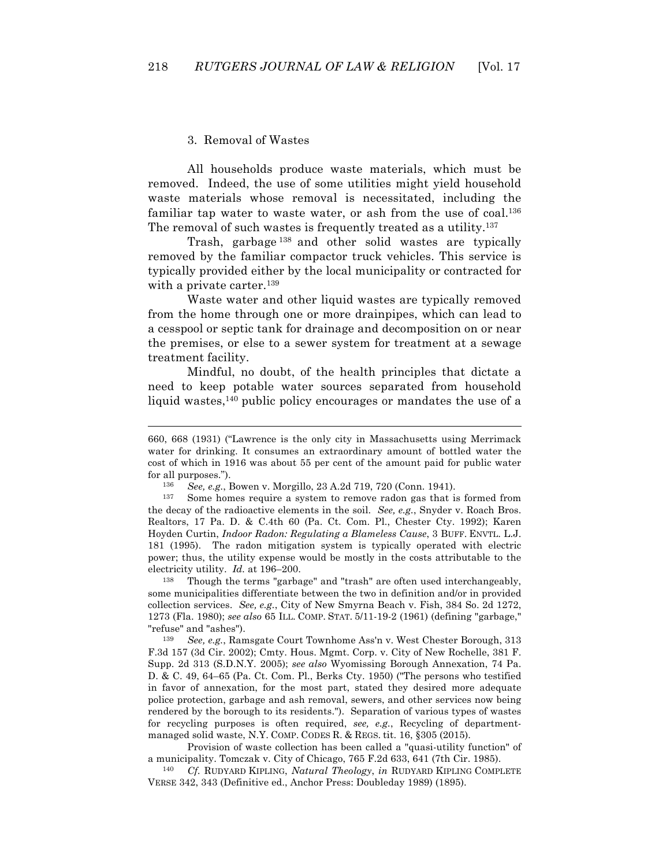### 3. Removal of Wastes

 $\overline{a}$ 

All households produce waste materials, which must be removed. Indeed, the use of some utilities might yield household waste materials whose removal is necessitated, including the familiar tap water to waste water, or ash from the use of coal.<sup>136</sup> The removal of such wastes is frequently treated as a utility.<sup>137</sup>

Trash, garbage <sup>138</sup> and other solid wastes are typically removed by the familiar compactor truck vehicles. This service is typically provided either by the local municipality or contracted for with a private carter.<sup>139</sup>

Waste water and other liquid wastes are typically removed from the home through one or more drainpipes, which can lead to a cesspool or septic tank for drainage and decomposition on or near the premises, or else to a sewer system for treatment at a sewage treatment facility.

Mindful, no doubt, of the health principles that dictate a need to keep potable water sources separated from household liquid wastes,<sup>140</sup> public policy encourages or mandates the use of a

138 Though the terms "garbage" and "trash" are often used interchangeably, some municipalities differentiate between the two in definition and/or in provided collection services. *See, e.g.*, City of New Smyrna Beach v. Fish, 384 So. 2d 1272, 1273 (Fla. 1980); *see also* 65 ILL. COMP. STAT. 5/11-19-2 (1961) (defining "garbage," "refuse" and "ashes").

139 *See, e.g.*, Ramsgate Court Townhome Ass'n v. West Chester Borough, 313 F.3d 157 (3d Cir. 2002); Cmty. Hous. Mgmt. Corp. v. City of New Rochelle, 381 F. Supp. 2d 313 (S.D.N.Y. 2005); *see also* Wyomissing Borough Annexation, 74 Pa. D. & C. 49, 64–65 (Pa. Ct. Com. Pl., Berks Cty. 1950) ("The persons who testified in favor of annexation, for the most part, stated they desired more adequate police protection, garbage and ash removal, sewers, and other services now being rendered by the borough to its residents."). Separation of various types of wastes for recycling purposes is often required, *see, e.g.*, Recycling of departmentmanaged solid waste, N.Y. COMP. CODES R. & REGS. tit. 16, §305 (2015).

Provision of waste collection has been called a "quasi-utility function" of a municipality. Tomczak v. City of Chicago, 765 F.2d 633, 641 (7th Cir. 1985).

140 *Cf.* RUDYARD KIPLING, *Natural Theology*, *in* RUDYARD KIPLING COMPLETE VERSE 342, 343 (Definitive ed., Anchor Press: Doubleday 1989) (1895).

<sup>660, 668 (1931) (&</sup>quot;Lawrence is the only city in Massachusetts using Merrimack water for drinking. It consumes an extraordinary amount of bottled water the cost of which in 1916 was about 55 per cent of the amount paid for public water for all purposes.").

<sup>136</sup> *See, e.g.*, Bowen v. Morgillo, 23 A.2d 719, 720 (Conn. 1941).

<sup>137</sup> Some homes require a system to remove radon gas that is formed from the decay of the radioactive elements in the soil. *See, e.g.*, Snyder v. Roach Bros. Realtors, 17 Pa. D. & C.4th 60 (Pa. Ct. Com. Pl., Chester Cty. 1992); Karen Hoyden Curtin, *Indoor Radon: Regulating a Blameless Cause*, 3 BUFF. ENVTL. L.J. 181 (1995). The radon mitigation system is typically operated with electric power; thus, the utility expense would be mostly in the costs attributable to the electricity utility. *Id.* at 196–200.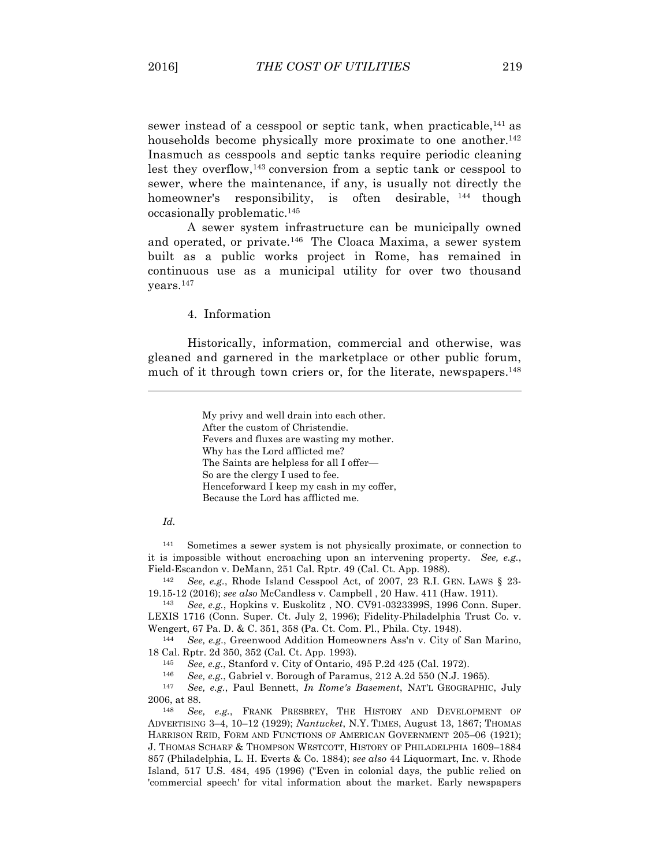sewer instead of a cesspool or septic tank, when practicable,<sup>141</sup> as households become physically more proximate to one another.<sup>142</sup> Inasmuch as cesspools and septic tanks require periodic cleaning lest they overflow,143 conversion from a septic tank or cesspool to sewer, where the maintenance, if any, is usually not directly the homeowner's responsibility, is often desirable, <sup>144</sup> though occasionally problematic.145

A sewer system infrastructure can be municipally owned and operated, or private.146 The Cloaca Maxima, a sewer system built as a public works project in Rome, has remained in continuous use as a municipal utility for over two thousand years.147

4. Information

Historically, information, commercial and otherwise, was gleaned and garnered in the marketplace or other public forum, much of it through town criers or, for the literate, newspapers.<sup>148</sup>

> My privy and well drain into each other. After the custom of Christendie. Fevers and fluxes are wasting my mother. Why has the Lord afflicted me? The Saints are helpless for all I offer— So are the clergy I used to fee. Henceforward I keep my cash in my coffer, Because the Lord has afflicted me.

#### *Id.*

 $\overline{a}$ 

141 Sometimes a sewer system is not physically proximate, or connection to it is impossible without encroaching upon an intervening property. *See, e.g.*, Field-Escandon v. DeMann, 251 Cal. Rptr. 49 (Cal. Ct. App. 1988).

142 *See, e.g.*, Rhode Island Cesspool Act, of 2007, 23 R.I. GEN. LAWS § 23- 19.15-12 (2016); *see also* McCandless v. Campbell , 20 Haw. 411 (Haw. 1911).

143 *See, e.g.*, Hopkins v. Euskolitz , NO. CV91-0323399S, 1996 Conn. Super. LEXIS 1716 (Conn. Super. Ct. July 2, 1996); Fidelity-Philadelphia Trust Co. v. Wengert, 67 Pa. D. & C. 351, 358 (Pa. Ct. Com. Pl., Phila. Cty. 1948).

144 *See, e.g.*, Greenwood Addition Homeowners Ass'n v. City of San Marino, 18 Cal. Rptr. 2d 350, 352 (Cal. Ct. App. 1993).

145 *See, e.g.*, Stanford v. City of Ontario, 495 P.2d 425 (Cal. 1972).

146 *See, e.g.*, Gabriel v. Borough of Paramus, 212 A.2d 550 (N.J. 1965).

147 *See, e.g.*, Paul Bennett, *In Rome's Basement*, NAT'L GEOGRAPHIC, July 2006, at 88.

148 *See, e.g.*, FRANK PRESBREY, THE HISTORY AND DEVELOPMENT OF ADVERTISING 3–4, 10–12 (1929); *Nantucket*, N.Y. TIMES, August 13, 1867; THOMAS HARRISON REID, FORM AND FUNCTIONS OF AMERICAN GOVERNMENT 205–06 (1921); J. THOMAS SCHARF & THOMPSON WESTCOTT, HISTORY OF PHILADELPHIA 1609–1884 857 (Philadelphia, L. H. Everts & Co. 1884); *see also* 44 Liquormart, Inc. v. Rhode Island, 517 U.S. 484, 495 (1996) ("Even in colonial days, the public relied on 'commercial speech' for vital information about the market. Early newspapers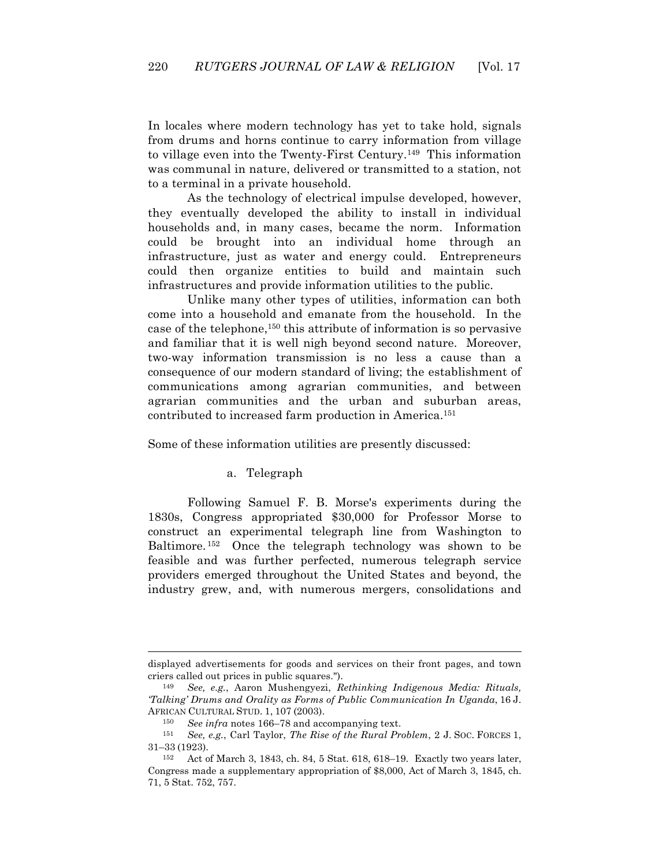In locales where modern technology has yet to take hold, signals from drums and horns continue to carry information from village to village even into the Twenty-First Century.149 This information was communal in nature, delivered or transmitted to a station, not to a terminal in a private household.

As the technology of electrical impulse developed, however, they eventually developed the ability to install in individual households and, in many cases, became the norm. Information could be brought into an individual home through an infrastructure, just as water and energy could. Entrepreneurs could then organize entities to build and maintain such infrastructures and provide information utilities to the public.

Unlike many other types of utilities, information can both come into a household and emanate from the household. In the case of the telephone,150 this attribute of information is so pervasive and familiar that it is well nigh beyond second nature. Moreover, two-way information transmission is no less a cause than a consequence of our modern standard of living; the establishment of communications among agrarian communities, and between agrarian communities and the urban and suburban areas, contributed to increased farm production in America.151

Some of these information utilities are presently discussed:

### a. Telegraph

Following Samuel F. B. Morse's experiments during the 1830s, Congress appropriated \$30,000 for Professor Morse to construct an experimental telegraph line from Washington to Baltimore. 152 Once the telegraph technology was shown to be feasible and was further perfected, numerous telegraph service providers emerged throughout the United States and beyond, the industry grew, and, with numerous mergers, consolidations and

displayed advertisements for goods and services on their front pages, and town criers called out prices in public squares.").

<sup>149</sup> *See, e.g.*, Aaron Mushengyezi, *Rethinking Indigenous Media: Rituals, 'Talking' Drums and Orality as Forms of Public Communication In Uganda*, 16 J. AFRICAN CULTURAL STUD. 1, 107 (2003).

<sup>&</sup>lt;sup>150</sup> *See infra* notes 166–78 and accompanying text.<br><sup>151</sup> *See e g* Carl Taylor *The Rise of the Bural Pr.* 

<sup>151</sup> *See, e.g.*, Carl Taylor, *The Rise of the Rural Problem*, 2 J. SOC. FORCES 1,  $31-33$  (1923).

Act of March 3, 1843, ch. 84, 5 Stat. 618, 618–19. Exactly two years later, Congress made a supplementary appropriation of \$8,000, Act of March 3, 1845, ch. 71, 5 Stat. 752, 757.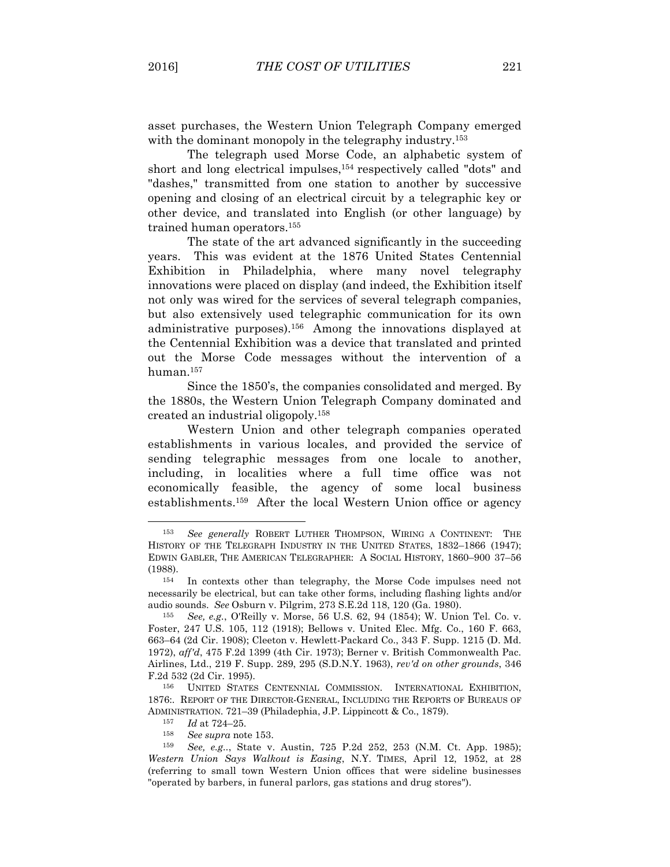asset purchases, the Western Union Telegraph Company emerged with the dominant monopoly in the telegraphy industry.<sup>153</sup>

The telegraph used Morse Code, an alphabetic system of short and long electrical impulses,154 respectively called "dots" and "dashes," transmitted from one station to another by successive opening and closing of an electrical circuit by a telegraphic key or other device, and translated into English (or other language) by trained human operators.155

The state of the art advanced significantly in the succeeding years. This was evident at the 1876 United States Centennial Exhibition in Philadelphia, where many novel telegraphy innovations were placed on display (and indeed, the Exhibition itself not only was wired for the services of several telegraph companies, but also extensively used telegraphic communication for its own administrative purposes).156 Among the innovations displayed at the Centennial Exhibition was a device that translated and printed out the Morse Code messages without the intervention of a human.157

Since the 1850's, the companies consolidated and merged. By the 1880s, the Western Union Telegraph Company dominated and created an industrial oligopoly. 158

Western Union and other telegraph companies operated establishments in various locales, and provided the service of sending telegraphic messages from one locale to another, including, in localities where a full time office was not economically feasible, the agency of some local business establishments.159 After the local Western Union office or agency

 $\overline{a}$ 

<sup>158</sup> *See supra* note 153.

<sup>153</sup> *See generally* ROBERT LUTHER THOMPSON, WIRING A CONTINENT: THE HISTORY OF THE TELEGRAPH INDUSTRY IN THE UNITED STATES, 1832–1866 (1947); EDWIN GABLER, THE AMERICAN TELEGRAPHER: A SOCIAL HISTORY, 1860–900 37–56 (1988).

<sup>154</sup> In contexts other than telegraphy, the Morse Code impulses need not necessarily be electrical, but can take other forms, including flashing lights and/or audio sounds. *See* Osburn v. Pilgrim, 273 S.E.2d 118, 120 (Ga. 1980).

<sup>155</sup> *See, e.g.*, O'Reilly v. Morse, 56 U.S. 62, 94 (1854); W. Union Tel. Co. v. Foster, 247 U.S. 105, 112 (1918); Bellows v. United Elec. Mfg. Co., 160 F. 663, 663–64 (2d Cir. 1908); Cleeton v. Hewlett-Packard Co., 343 F. Supp. 1215 (D. Md. 1972), *aff'd*, 475 F.2d 1399 (4th Cir. 1973); Berner v. British Commonwealth Pac. Airlines, Ltd., 219 F. Supp. 289, 295 (S.D.N.Y. 1963), *rev'd on other grounds*, 346 F.2d 532 (2d Cir. 1995).

<sup>156</sup> UNITED STATES CENTENNIAL COMMISSION. INTERNATIONAL EXHIBITION, 1876:. REPORT OF THE DIRECTOR-GENERAL, INCLUDING THE REPORTS OF BUREAUS OF ADMINISTRATION. 721–39 (Philadephia, J.P. Lippincott & Co., 1879).

<sup>157</sup> *Id* at 724–25.

<sup>159</sup> *See, e.g..*, State v. Austin, 725 P.2d 252, 253 (N.M. Ct. App. 1985); *Western Union Says Walkout is Easing*, N.Y. TIMES, April 12, 1952, at 28 (referring to small town Western Union offices that were sideline businesses "operated by barbers, in funeral parlors, gas stations and drug stores").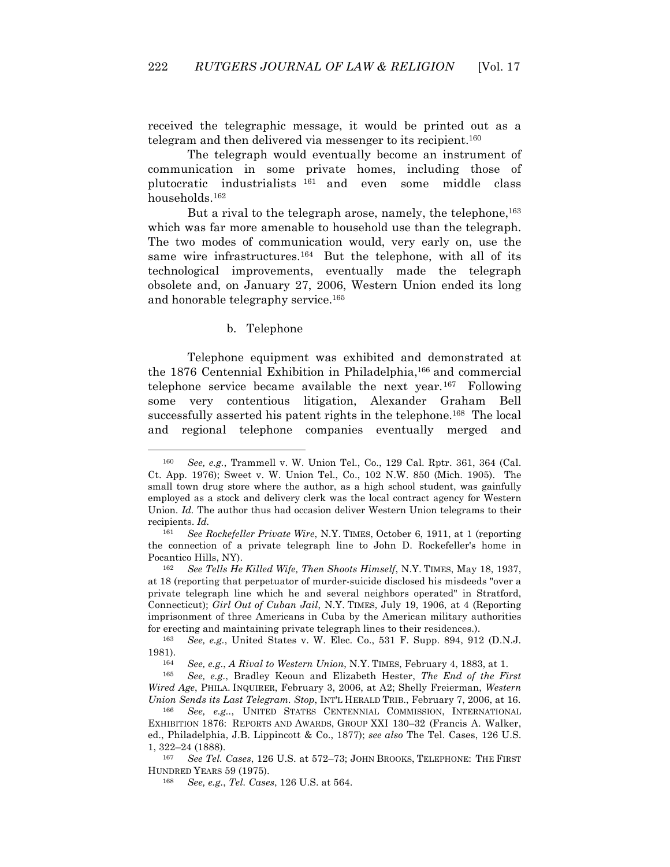received the telegraphic message, it would be printed out as a telegram and then delivered via messenger to its recipient.<sup>160</sup>

The telegraph would eventually become an instrument of communication in some private homes, including those of plutocratic industrialists <sup>161</sup> and even some middle class households.162

But a rival to the telegraph arose, namely, the telephone,<sup>163</sup> which was far more amenable to household use than the telegraph. The two modes of communication would, very early on, use the same wire infrastructures.<sup>164</sup> But the telephone, with all of its technological improvements, eventually made the telegraph obsolete and, on January 27, 2006, Western Union ended its long and honorable telegraphy service.165

#### b. Telephone

 $\overline{a}$ 

Telephone equipment was exhibited and demonstrated at the 1876 Centennial Exhibition in Philadelphia,<sup>166</sup> and commercial telephone service became available the next year.167 Following some very contentious litigation, Alexander Graham Bell successfully asserted his patent rights in the telephone.<sup>168</sup> The local and regional telephone companies eventually merged and

<sup>160</sup> *See, e.g.*, Trammell v. W. Union Tel., Co., 129 Cal. Rptr. 361, 364 (Cal. Ct. App. 1976); Sweet v. W. Union Tel., Co., 102 N.W. 850 (Mich. 1905). The small town drug store where the author, as a high school student, was gainfully employed as a stock and delivery clerk was the local contract agency for Western Union. *Id.* The author thus had occasion deliver Western Union telegrams to their recipients. *Id.*

<sup>161</sup> *See Rockefeller Private Wire*, N.Y. TIMES, October 6, 1911, at 1 (reporting the connection of a private telegraph line to John D. Rockefeller's home in Pocantico Hills, NY).

<sup>162</sup> *See Tells He Killed Wife, Then Shoots Himself*, N.Y. TIMES, May 18, 1937, at 18 (reporting that perpetuator of murder-suicide disclosed his misdeeds "over a private telegraph line which he and several neighbors operated" in Stratford, Connecticut); *Girl Out of Cuban Jail*, N.Y. TIMES, July 19, 1906, at 4 (Reporting imprisonment of three Americans in Cuba by the American military authorities for erecting and maintaining private telegraph lines to their residences.).

<sup>163</sup> *See, e.g.*, United States v. W. Elec. Co., 531 F. Supp. 894, 912 (D.N.J. 1981).

<sup>164</sup> *See, e.g*., *A Rival to Western Union*, N.Y. TIMES, February 4, 1883, at 1.

<sup>165</sup> *See, e.g.*, Bradley Keoun and Elizabeth Hester, *The End of the First Wired Age*, PHILA. INQUIRER, February 3, 2006, at A2; Shelly Freierman, *Western Union Sends its Last Telegram. Stop*, INT'L HERALD TRIB., February 7, 2006, at 16.

See, e.g.., UNITED STATES CENTENNIAL COMMISSION, INTERNATIONAL EXHIBITION 1876: REPORTS AND AWARDS, GROUP XXI 130–32 (Francis A. Walker, ed., Philadelphia, J.B. Lippincott & Co., 1877); *see also* The Tel. Cases, 126 U.S. 1, 322–24 (1888).

<sup>167</sup> *See Tel. Cases*, 126 U.S. at 572–73; JOHN BROOKS, TELEPHONE: THE FIRST HUNDRED YEARS 59 (1975).

<sup>168</sup> *See, e.g.*, *Tel. Cases*, 126 U.S. at 564.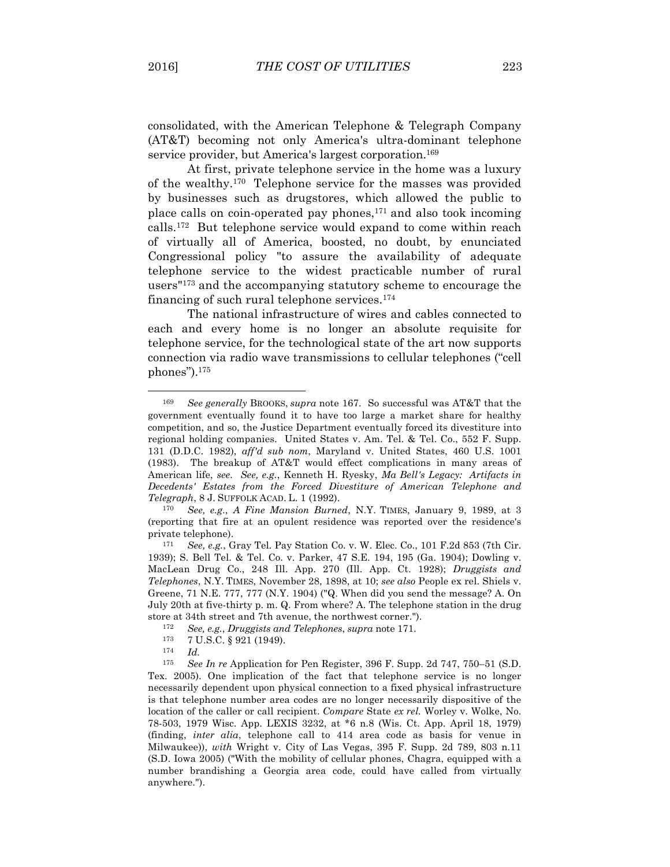$\overline{a}$ 

consolidated, with the American Telephone & Telegraph Company (AT&T) becoming not only America's ultra-dominant telephone service provider, but America's largest corporation.<sup>169</sup>

At first, private telephone service in the home was a luxury of the wealthy.170 Telephone service for the masses was provided by businesses such as drugstores, which allowed the public to place calls on coin-operated pay phones,171 and also took incoming calls.172 But telephone service would expand to come within reach of virtually all of America, boosted, no doubt, by enunciated Congressional policy "to assure the availability of adequate telephone service to the widest practicable number of rural users"173 and the accompanying statutory scheme to encourage the financing of such rural telephone services.174

The national infrastructure of wires and cables connected to each and every home is no longer an absolute requisite for telephone service, for the technological state of the art now supports connection via radio wave transmissions to cellular telephones ("cell phones").175

<sup>170</sup> *See, e.g*., *A Fine Mansion Burned*, N.Y. TIMES, January 9, 1989, at 3 (reporting that fire at an opulent residence was reported over the residence's private telephone).

<sup>169</sup> *See generally* BROOKS, *supra* note 167. So successful was AT&T that the government eventually found it to have too large a market share for healthy competition, and so, the Justice Department eventually forced its divestiture into regional holding companies. United States v. Am. Tel. & Tel. Co., 552 F. Supp. 131 (D.D.C. 1982), *aff'd sub nom*, Maryland v. United States, 460 U.S. 1001 (1983). The breakup of AT&T would effect complications in many areas of American life, *see*. *See, e.g.*, Kenneth H. Ryesky, *Ma Bell's Legacy: Artifacts in Decedents' Estates from the Forced Divestiture of American Telephone and Telegraph*, 8 J. SUFFOLK ACAD. L. 1 (1992).

<sup>171</sup> *See, e.g.*, Gray Tel. Pay Station Co. v. W. Elec. Co., 101 F.2d 853 (7th Cir. 1939); S. Bell Tel. & Tel. Co. v. Parker, 47 S.E. 194, 195 (Ga. 1904); Dowling v. MacLean Drug Co., 248 Ill. App. 270 (Ill. App. Ct. 1928); *Druggists and Telephones*, N.Y. TIMES, November 28, 1898, at 10; *see also* People ex rel. Shiels v. Greene, 71 N.E. 777, 777 (N.Y. 1904) ("Q. When did you send the message? A. On July 20th at five-thirty p. m. Q. From where? A. The telephone station in the drug store at 34th street and 7th avenue, the northwest corner.").

<sup>172</sup> *See, e.g.*, *Druggists and Telephones*, *supra* note 171.

 $173$  7 U.S.C. § 921 (1949).

<sup>174</sup> *Id.*

<sup>175</sup> *See In re* Application for Pen Register, 396 F. Supp. 2d 747, 750–51 (S.D. Tex. 2005). One implication of the fact that telephone service is no longer necessarily dependent upon physical connection to a fixed physical infrastructure is that telephone number area codes are no longer necessarily dispositive of the location of the caller or call recipient. *Compare* State *ex rel.* Worley v. Wolke, No. 78-503, 1979 Wisc. App. LEXIS 3232, at \*6 n.8 (Wis. Ct. App. April 18, 1979) (finding, *inter alia*, telephone call to 414 area code as basis for venue in Milwaukee)), *with* Wright v. City of Las Vegas, 395 F. Supp. 2d 789, 803 n.11 (S.D. Iowa 2005) ("With the mobility of cellular phones, Chagra, equipped with a number brandishing a Georgia area code, could have called from virtually anywhere.").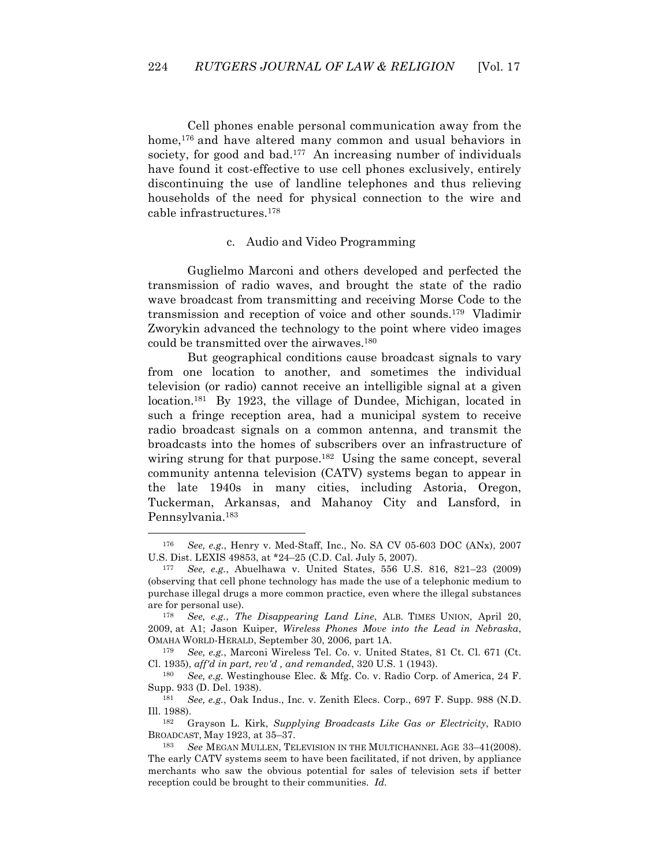Cell phones enable personal communication away from the home,<sup>176</sup> and have altered many common and usual behaviors in society, for good and bad.<sup>177</sup> An increasing number of individuals have found it cost-effective to use cell phones exclusively, entirely discontinuing the use of landline telephones and thus relieving households of the need for physical connection to the wire and cable infrastructures.178

### c. Audio and Video Programming

Guglielmo Marconi and others developed and perfected the transmission of radio waves, and brought the state of the radio wave broadcast from transmitting and receiving Morse Code to the transmission and reception of voice and other sounds.179 Vladimir Zworykin advanced the technology to the point where video images could be transmitted over the airwaves.180

But geographical conditions cause broadcast signals to vary from one location to another, and sometimes the individual television (or radio) cannot receive an intelligible signal at a given location.181 By 1923, the village of Dundee, Michigan, located in such a fringe reception area, had a municipal system to receive radio broadcast signals on a common antenna, and transmit the broadcasts into the homes of subscribers over an infrastructure of wiring strung for that purpose.182 Using the same concept, several community antenna television (CATV) systems began to appear in the late 1940s in many cities, including Astoria, Oregon, Tuckerman, Arkansas, and Mahanoy City and Lansford, in Pennsylvania.<sup>183</sup>

<sup>176</sup> *See, e.g.*, Henry v. Med-Staff, Inc., No. SA CV 05-603 DOC (ANx), 2007 U.S. Dist. LEXIS 49853, at \*24–25 (C.D. Cal. July 5, 2007).

<sup>177</sup> *See, e.g.*, Abuelhawa v. United States, 556 U.S. 816, 821–23 (2009) (observing that cell phone technology has made the use of a telephonic medium to purchase illegal drugs a more common practice, even where the illegal substances are for personal use).

<sup>178</sup> *See, e.g.*, *The Disappearing Land Line*, ALB. TIMES UNION, April 20, 2009, at A1; Jason Kuiper, *Wireless Phones Move into the Lead in Nebraska*, OMAHA WORLD-HERALD, September 30, 2006, part 1A.

<sup>179</sup> *See, e.g.*, Marconi Wireless Tel. Co. v. United States, 81 Ct. Cl. 671 (Ct. Cl. 1935), *aff'd in part, rev'd , and remanded*, 320 U.S. 1 (1943).

<sup>180</sup> *See, e.g.* Westinghouse Elec. & Mfg. Co. v. Radio Corp. of America, 24 F. Supp. 933 (D. Del. 1938).

<sup>181</sup> *See, e.g.*, Oak Indus., Inc. v. Zenith Elecs. Corp., 697 F. Supp. 988 (N.D. Ill. 1988).

<sup>182</sup> Grayson L. Kirk, *Supplying Broadcasts Like Gas or Electricity*, RADIO BROADCAST, May 1923, at 35–37.

<sup>183</sup> *See* MEGAN MULLEN, TELEVISION IN THE MULTICHANNEL AGE 33–41(2008). The early CATV systems seem to have been facilitated, if not driven, by appliance merchants who saw the obvious potential for sales of television sets if better reception could be brought to their communities. *Id.*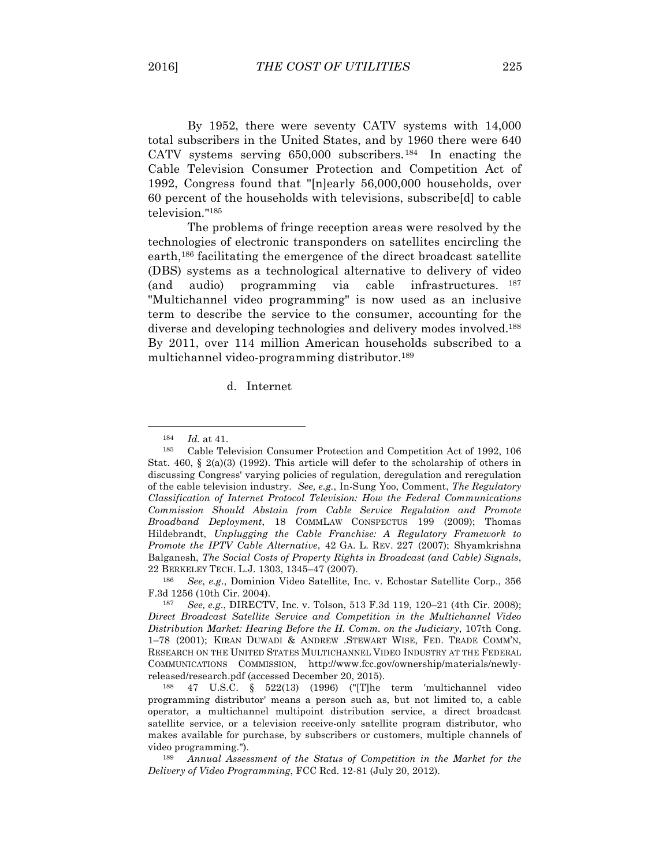By 1952, there were seventy CATV systems with 14,000 total subscribers in the United States, and by 1960 there were 640 CATV systems serving  $650,000$  subscribers.<sup>184</sup> In enacting the Cable Television Consumer Protection and Competition Act of 1992, Congress found that "[n]early 56,000,000 households, over 60 percent of the households with televisions, subscribe[d] to cable television."185

The problems of fringe reception areas were resolved by the technologies of electronic transponders on satellites encircling the earth,186 facilitating the emergence of the direct broadcast satellite (DBS) systems as a technological alternative to delivery of video (and audio) programming via cable infrastructures. 187 "Multichannel video programming" is now used as an inclusive term to describe the service to the consumer, accounting for the diverse and developing technologies and delivery modes involved.188 By 2011, over 114 million American households subscribed to a multichannel video-programming distributor.189

d. Internet

<sup>184</sup> *Id.* at 41.<br>185 Coble To.

<sup>185</sup> Cable Television Consumer Protection and Competition Act of 1992, 106 Stat. 460, § 2(a)(3) (1992). This article will defer to the scholarship of others in discussing Congress' varying policies of regulation, deregulation and reregulation of the cable television industry. *See, e.g.*, In-Sung Yoo, Comment, *The Regulatory Classification of Internet Protocol Television: How the Federal Communications Commission Should Abstain from Cable Service Regulation and Promote Broadband Deployment*, 18 COMMLAW CONSPECTUS 199 (2009); Thomas Hildebrandt, *Unplugging the Cable Franchise: A Regulatory Framework to Promote the IPTV Cable Alternative*, 42 GA. L. REV. 227 (2007); Shyamkrishna Balganesh, *The Social Costs of Property Rights in Broadcast (and Cable) Signals*, 22 BERKELEY TECH. L.J. 1303, 1345–47 (2007).

<sup>186</sup> *See, e.g*., Dominion Video Satellite, Inc. v. Echostar Satellite Corp., 356 F.3d 1256 (10th Cir. 2004).

<sup>187</sup> *See, e.g*., DIRECTV, Inc. v. Tolson, 513 F.3d 119, 120–21 (4th Cir. 2008); *Direct Broadcast Satellite Service and Competition in the Multichannel Video Distribution Market: Hearing Before the H. Comm. on the Judiciary*, 107th Cong. 1–78 (2001); KIRAN DUWADI & ANDREW .STEWART WISE, FED. TRADE COMM'N, RESEARCH ON THE UNITED STATES MULTICHANNEL VIDEO INDUSTRY AT THE FEDERAL COMMUNICATIONS COMMISSION, http://www.fcc.gov/ownership/materials/newlyreleased/research.pdf (accessed December 20, 2015).

<sup>188</sup> 47 U.S.C. § 522(13) (1996) ("[T]he term 'multichannel video programming distributor' means a person such as, but not limited to, a cable operator, a multichannel multipoint distribution service, a direct broadcast satellite service, or a television receive-only satellite program distributor, who makes available for purchase, by subscribers or customers, multiple channels of video programming.").

<sup>189</sup> *Annual Assessment of the Status of Competition in the Market for the Delivery of Video Programming*, FCC Rcd. 12-81 (July 20, 2012).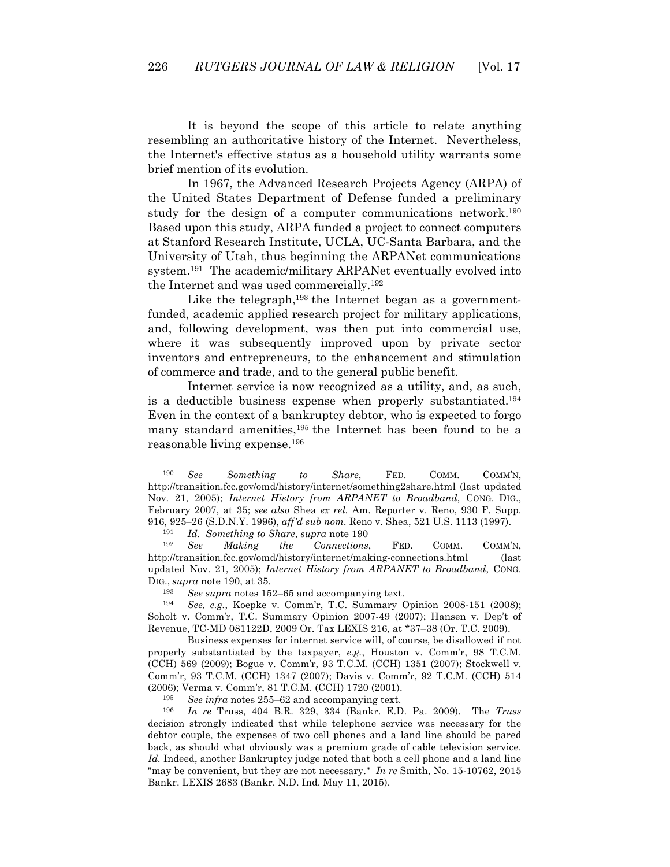It is beyond the scope of this article to relate anything resembling an authoritative history of the Internet. Nevertheless, the Internet's effective status as a household utility warrants some brief mention of its evolution.

In 1967, the Advanced Research Projects Agency (ARPA) of the United States Department of Defense funded a preliminary study for the design of a computer communications network.190 Based upon this study, ARPA funded a project to connect computers at Stanford Research Institute, UCLA, UC-Santa Barbara, and the University of Utah, thus beginning the ARPANet communications system.191 The academic/military ARPANet eventually evolved into the Internet and was used commercially.192

Like the telegraph, $193$  the Internet began as a governmentfunded, academic applied research project for military applications, and, following development, was then put into commercial use, where it was subsequently improved upon by private sector inventors and entrepreneurs, to the enhancement and stimulation of commerce and trade, and to the general public benefit.

Internet service is now recognized as a utility, and, as such, is a deductible business expense when properly substantiated.194 Even in the context of a bankruptcy debtor, who is expected to forgo many standard amenities,<sup>195</sup> the Internet has been found to be a reasonable living expense.196

 $\overline{a}$ 

195 *See infra* notes 255–62 and accompanying text.

<sup>190</sup> *See Something to Share*, FED. COMM. COMM'N, http://transition.fcc.gov/omd/history/internet/something2share.html (last updated Nov. 21, 2005); *Internet History from ARPANET to Broadband*, CONG. DIG., February 2007, at 35; *see also* Shea *ex rel.* Am. Reporter v. Reno, 930 F. Supp. 916, 925–26 (S.D.N.Y. 1996), *aff'd sub nom.* Reno v. Shea, 521 U.S. 1113 (1997).

<sup>191</sup> *Id*. *Something to Share*, *supra* note 190

<sup>192</sup> *See Making the Connections*, FED. COMM. COMM'N, http://transition.fcc.gov/omd/history/internet/making-connections.html (last updated Nov. 21, 2005); *Internet History from ARPANET to Broadband*, CONG. DIG., *supra* note 190, at 35.

<sup>193</sup> *See supra* notes 152–65 and accompanying text.

<sup>194</sup> *See, e.g.*, Koepke v. Comm'r, T.C. Summary Opinion 2008-151 (2008); Soholt v. Comm'r, T.C. Summary Opinion 2007-49 (2007); Hansen v. Dep't of Revenue, TC-MD 081122D, 2009 Or. Tax LEXIS 216, at \*37–38 (Or. T.C. 2009).

Business expenses for internet service will, of course, be disallowed if not properly substantiated by the taxpayer, *e.g.*, Houston v. Comm'r, 98 T.C.M. (CCH) 569 (2009); Bogue v. Comm'r, 93 T.C.M. (CCH) 1351 (2007); Stockwell v. Comm'r, 93 T.C.M. (CCH) 1347 (2007); Davis v. Comm'r, 92 T.C.M. (CCH) 514 (2006); Verma v. Comm'r, 81 T.C.M. (CCH) 1720 (2001).

<sup>196</sup> *In re* Truss, 404 B.R. 329, 334 (Bankr. E.D. Pa. 2009). The *Truss* decision strongly indicated that while telephone service was necessary for the debtor couple, the expenses of two cell phones and a land line should be pared back, as should what obviously was a premium grade of cable television service. *Id.* Indeed, another Bankruptcy judge noted that both a cell phone and a land line "may be convenient, but they are not necessary." *In re* Smith, No. 15-10762, 2015 Bankr. LEXIS 2683 (Bankr. N.D. Ind. May 11, 2015).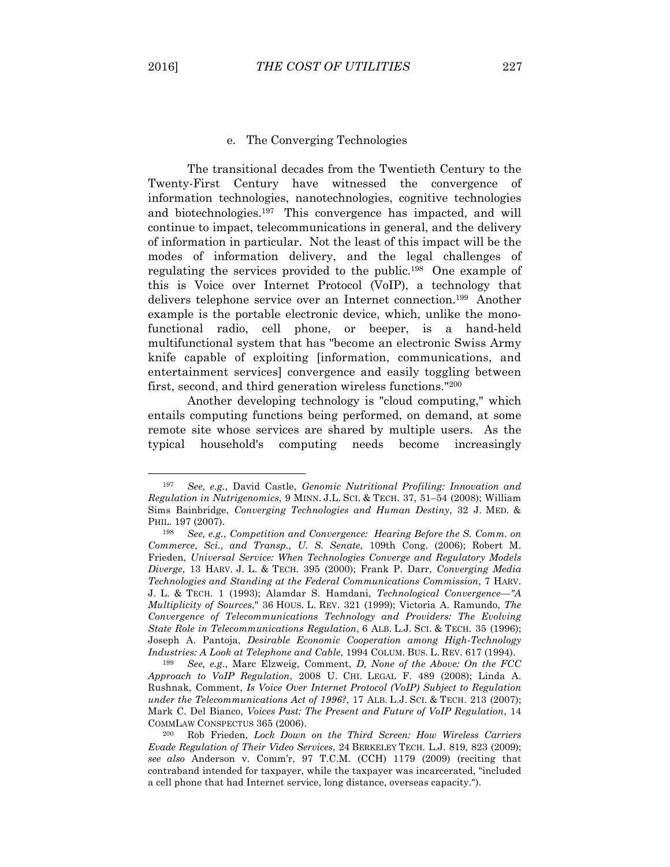$\overline{a}$ 

### e. The Converging Technologies

The transitional decades from the Twentieth Century to the Twenty-First Century have witnessed the convergence of information technologies, nanotechnologies, cognitive technologies and biotechnologies.197 This convergence has impacted, and will continue to impact, telecommunications in general, and the delivery of information in particular. Not the least of this impact will be the modes of information delivery, and the legal challenges of regulating the services provided to the public.198 One example of this is Voice over Internet Protocol (VoIP), a technology that delivers telephone service over an Internet connection.199 Another example is the portable electronic device, which, unlike the monofunctional radio, cell phone, or beeper, is a hand-held multifunctional system that has "become an electronic Swiss Army knife capable of exploiting [information, communications, and entertainment services] convergence and easily toggling between first, second, and third generation wireless functions."200

Another developing technology is "cloud computing," which entails computing functions being performed, on demand, at some remote site whose services are shared by multiple users. As the typical household's computing needs become increasingly

<sup>197</sup> *See, e.g.*, David Castle, *Genomic Nutritional Profiling: Innovation and Regulation in Nutrigenomics*, 9 MINN. J.L. SCI. & TECH. 37, 51–54 (2008); William Sims Bainbridge, *Converging Technologies and Human Destiny*, 32 J. MED. & PHIL. 197 (2007).

<sup>198</sup> *See, e.g.*, *Competition and Convergence: Hearing Before the S. Comm. on Commerce, Sci., and Transp., U. S. Senate*, 109th Cong. (2006); Robert M. Frieden, *Universal Service: When Technologies Converge and Regulatory Models Diverge*, 13 HARV. J. L. & TECH. 395 (2000); Frank P. Darr, *Converging Media Technologies and Standing at the Federal Communications Commission*, 7 HARV. J. L. & TECH. 1 (1993); Alamdar S. Hamdani, *Technological Convergence—"A Multiplicity of Sources*," 36 HOUS. L. REV. 321 (1999); Victoria A. Ramundo, *The Convergence of Telecommunications Technology and Providers: The Evolving State Role in Telecommunications Regulation*, 6 ALB. L.J. SCI. & TECH. 35 (1996); Joseph A. Pantoja, *Desirable Economic Cooperation among High-Technology Industries: A Look at Telephone and Cable*, 1994 COLUM. BUS. L. REV. 617 (1994).

<sup>199</sup> *See, e.g.*, Marc Elzweig, Comment, *D, None of the Above: On the FCC Approach to VoIP Regulation*, 2008 U. CHI. LEGAL F. 489 (2008); Linda A. Rushnak, Comment, *Is Voice Over Internet Protocol (VoIP) Subject to Regulation under the Telecommunications Act of 1996?*, 17 ALB. L.J. SCI. & TECH. 213 (2007); Mark C. Del Bianco, *Voices Past: The Present and Future of VoIP Regulation*, 14 COMMLAW CONSPECTUS 365 (2006).

<sup>200</sup> Rob Frieden, *Lock Down on the Third Screen: How Wireless Carriers Evade Regulation of Their Video Services*, 24 BERKELEY TECH. L.J. 819, 823 (2009); *see also* Anderson v. Comm'r, 97 T.C.M. (CCH) 1179 (2009) (reciting that contraband intended for taxpayer, while the taxpayer was incarcerated, "included a cell phone that had Internet service, long distance, overseas capacity.").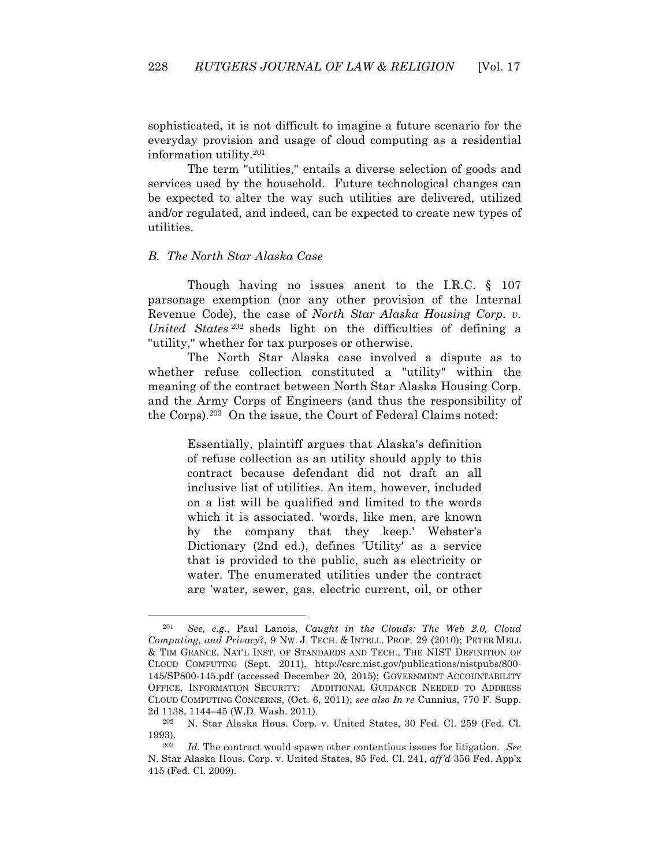sophisticated, it is not difficult to imagine a future scenario for the everyday provision and usage of cloud computing as a residential information utility.201

The term "utilities," entails a diverse selection of goods and services used by the household. Future technological changes can be expected to alter the way such utilities are delivered, utilized and/or regulated, and indeed, can be expected to create new types of utilities.

### *B. The North Star Alaska Case*

 $\overline{a}$ 

Though having no issues anent to the I.R.C. § 107 parsonage exemption (nor any other provision of the Internal Revenue Code), the case of *North Star Alaska Housing Corp. v. United States* <sup>202</sup> sheds light on the difficulties of defining a "utility," whether for tax purposes or otherwise.

The North Star Alaska case involved a dispute as to whether refuse collection constituted a "utility" within the meaning of the contract between North Star Alaska Housing Corp. and the Army Corps of Engineers (and thus the responsibility of the Corps).203 On the issue, the Court of Federal Claims noted:

> Essentially, plaintiff argues that Alaska's definition of refuse collection as an utility should apply to this contract because defendant did not draft an all inclusive list of utilities. An item, however, included on a list will be qualified and limited to the words which it is associated. 'words, like men, are known by the company that they keep.' Webster's Dictionary (2nd ed.), defines 'Utility' as a service that is provided to the public, such as electricity or water. The enumerated utilities under the contract are 'water, sewer, gas, electric current, oil, or other

<sup>201</sup> *See, e.g.*, Paul Lanois, *Caught in the Clouds: The Web 2.0, Cloud Computing, and Privacy?, 9 Nw. J. TECH. & INTELL. PROP. 29 (2010); PETER MELL* & TIM GRANCE, NAT'L INST. OF STANDARDS AND TECH., THE NIST DEFINITION OF CLOUD COMPUTING (Sept. 2011), http://csrc.nist.gov/publications/nistpubs/800- 145/SP800-145.pdf (accessed December 20, 2015); GOVERNMENT ACCOUNTABILITY OFFICE, INFORMATION SECURITY: ADDITIONAL GUIDANCE NEEDED TO ADDRESS CLOUD COMPUTING CONCERNS, (Oct. 6, 2011); *see also In re* Cunnius, 770 F. Supp. 2d 1138, 1144–45 (W.D. Wash. 2011).

<sup>202</sup> N. Star Alaska Hous. Corp. v. United States, 30 Fed. Cl. 259 (Fed. Cl. 1993).

<sup>203</sup> *Id.* The contract would spawn other contentious issues for litigation. *See* N. Star Alaska Hous. Corp. v. United States, 85 Fed. Cl. 241, *aff'd* 356 Fed. App'x 415 (Fed. Cl. 2009).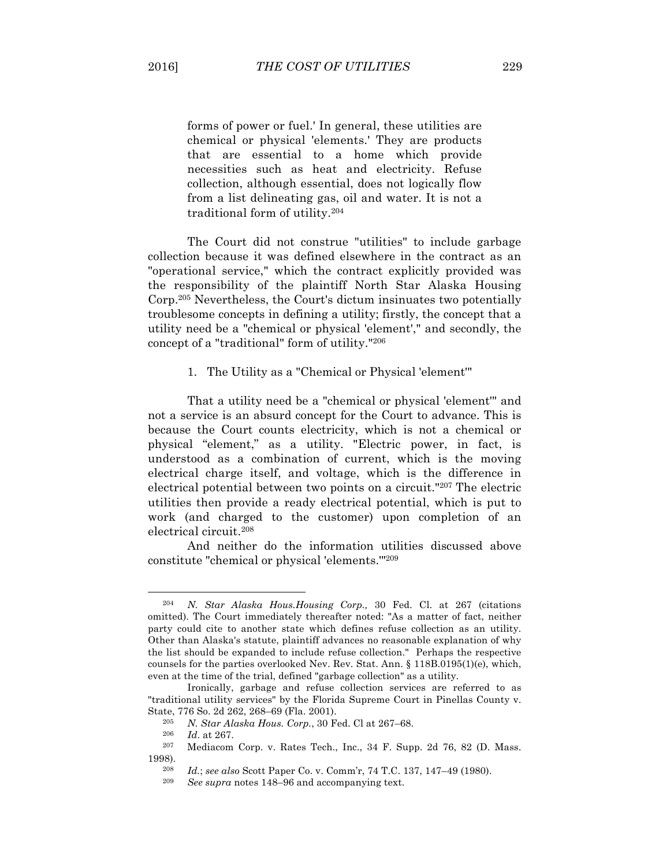forms of power or fuel.' In general, these utilities are chemical or physical 'elements.' They are products that are essential to a home which provide necessities such as heat and electricity. Refuse collection, although essential, does not logically flow from a list delineating gas, oil and water. It is not a traditional form of utility.204

The Court did not construe "utilities" to include garbage collection because it was defined elsewhere in the contract as an "operational service," which the contract explicitly provided was the responsibility of the plaintiff North Star Alaska Housing Corp.205 Nevertheless, the Court's dictum insinuates two potentially troublesome concepts in defining a utility; firstly, the concept that a utility need be a "chemical or physical 'element'," and secondly, the concept of a "traditional" form of utility."206

1. The Utility as a "Chemical or Physical 'element'"

That a utility need be a "chemical or physical 'element'" and not a service is an absurd concept for the Court to advance. This is because the Court counts electricity, which is not a chemical or physical "element," as a utility. "Electric power, in fact, is understood as a combination of current, which is the moving electrical charge itself, and voltage, which is the difference in electrical potential between two points on a circuit."207 The electric utilities then provide a ready electrical potential, which is put to work (and charged to the customer) upon completion of an electrical circuit.208

And neither do the information utilities discussed above constitute "chemical or physical 'elements.'"209

<sup>204</sup> *N. Star Alaska Hous.Housing Corp.,* 30 Fed. Cl. at 267 (citations omitted). The Court immediately thereafter noted: "As a matter of fact, neither party could cite to another state which defines refuse collection as an utility. Other than Alaska's statute, plaintiff advances no reasonable explanation of why the list should be expanded to include refuse collection." Perhaps the respective counsels for the parties overlooked Nev. Rev. Stat. Ann. § 118B.0195(1)(e), which, even at the time of the trial, defined "garbage collection" as a utility.

Ironically, garbage and refuse collection services are referred to as "traditional utility services" by the Florida Supreme Court in Pinellas County v. State, 776 So. 2d 262, 268–69 (Fla. 2001).

<sup>205</sup> *N. Star Alaska Hous. Corp.*, 30 Fed. Cl at 267–68.

*Id.* at 267.

<sup>207</sup> Mediacom Corp. v. Rates Tech., Inc., 34 F. Supp. 2d 76, 82 (D. Mass. 1998).

<sup>208</sup> *Id.*; *see also* Scott Paper Co. v. Comm'r, 74 T.C. 137, 147–49 (1980).

See *supra* notes 148–96 and accompanying text.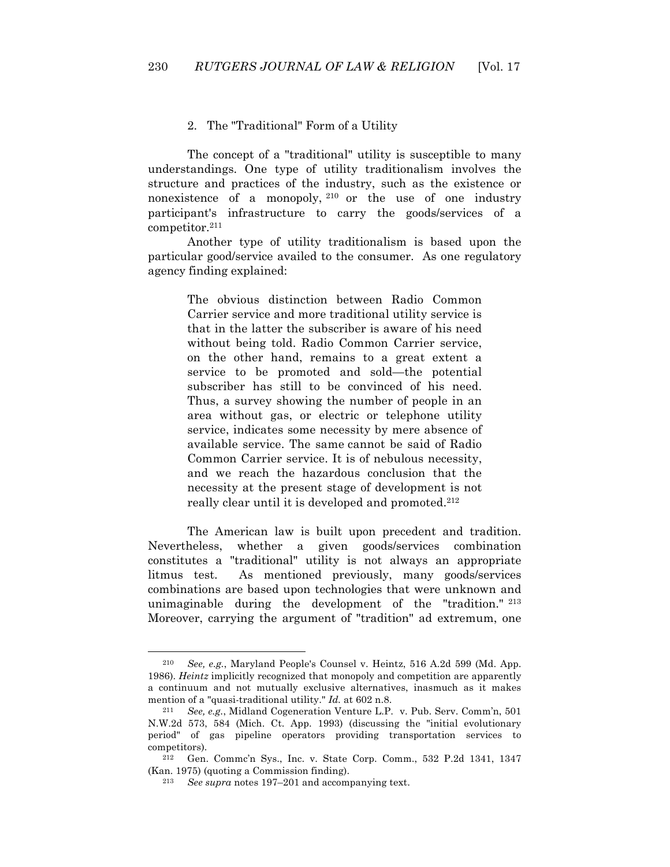### 2. The "Traditional" Form of a Utility

The concept of a "traditional" utility is susceptible to many understandings. One type of utility traditionalism involves the structure and practices of the industry, such as the existence or nonexistence of a monopoly, <sup>210</sup> or the use of one industry participant's infrastructure to carry the goods/services of a competitor.211

Another type of utility traditionalism is based upon the particular good/service availed to the consumer. As one regulatory agency finding explained:

> The obvious distinction between Radio Common Carrier service and more traditional utility service is that in the latter the subscriber is aware of his need without being told. Radio Common Carrier service, on the other hand, remains to a great extent a service to be promoted and sold—the potential subscriber has still to be convinced of his need. Thus, a survey showing the number of people in an area without gas, or electric or telephone utility service, indicates some necessity by mere absence of available service. The same cannot be said of Radio Common Carrier service. It is of nebulous necessity, and we reach the hazardous conclusion that the necessity at the present stage of development is not really clear until it is developed and promoted.<sup>212</sup>

The American law is built upon precedent and tradition. Nevertheless, whether a given goods/services combination constitutes a "traditional" utility is not always an appropriate litmus test. As mentioned previously, many goods/services combinations are based upon technologies that were unknown and unimaginable during the development of the "tradition." <sup>213</sup> Moreover, carrying the argument of "tradition" ad extremum, one

<sup>210</sup> *See, e.g.*, Maryland People's Counsel v. Heintz, 516 A.2d 599 (Md. App. 1986). *Heintz* implicitly recognized that monopoly and competition are apparently a continuum and not mutually exclusive alternatives, inasmuch as it makes mention of a "quasi-traditional utility." *Id.* at 602 n.8.

<sup>211</sup> *See, e.g.*, Midland Cogeneration Venture L.P. v. Pub. Serv. Comm'n, 501 N.W.2d 573, 584 (Mich. Ct. App. 1993) (discussing the "initial evolutionary period" of gas pipeline operators providing transportation services to competitors).<br> $^{212}$  Con

<sup>212</sup> Gen. Commc'n Sys., Inc. v. State Corp. Comm., 532 P.2d 1341, 1347 (Kan. 1975) (quoting a Commission finding).

<sup>213</sup> *See supra* notes 197–201 and accompanying text.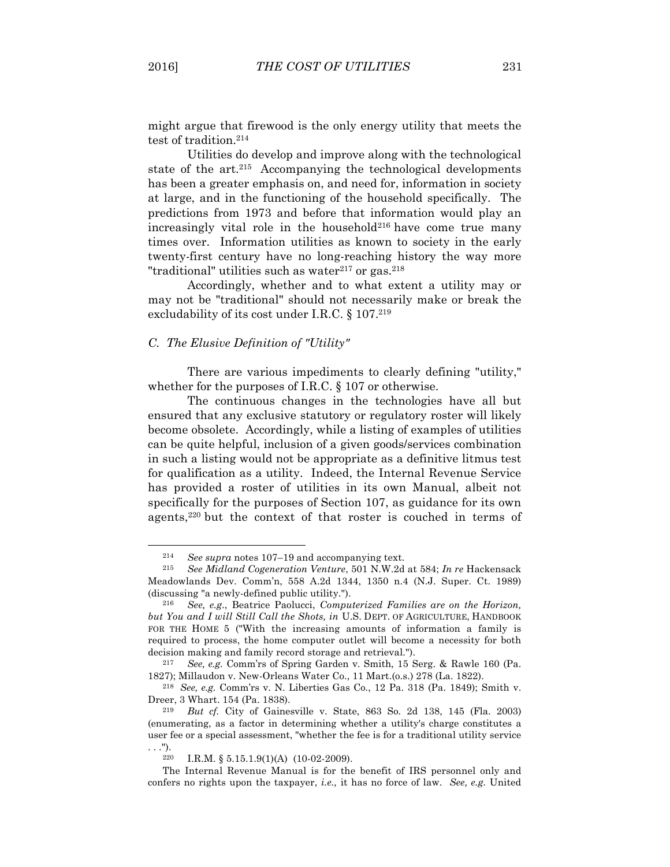$\overline{a}$ 

might argue that firewood is the only energy utility that meets the test of tradition.<sup>214</sup>

Utilities do develop and improve along with the technological state of the art.<sup>215</sup> Accompanying the technological developments has been a greater emphasis on, and need for, information in society at large, and in the functioning of the household specifically. The predictions from 1973 and before that information would play an increasingly vital role in the household<sup>216</sup> have come true many times over. Information utilities as known to society in the early twenty-first century have no long-reaching history the way more "traditional" utilities such as water $217$  or gas. $218$ 

Accordingly, whether and to what extent a utility may or may not be "traditional" should not necessarily make or break the excludability of its cost under I.R.C. § 107.<sup>219</sup>

# *C. The Elusive Definition of "Utility"*

There are various impediments to clearly defining "utility," whether for the purposes of I.R.C. § 107 or otherwise.

The continuous changes in the technologies have all but ensured that any exclusive statutory or regulatory roster will likely become obsolete. Accordingly, while a listing of examples of utilities can be quite helpful, inclusion of a given goods/services combination in such a listing would not be appropriate as a definitive litmus test for qualification as a utility. Indeed, the Internal Revenue Service has provided a roster of utilities in its own Manual, albeit not specifically for the purposes of Section 107, as guidance for its own agents,220 but the context of that roster is couched in terms of

<sup>214</sup> *See supra* notes 107–19 and accompanying text.

<sup>215</sup> *See Midland Cogeneration Venture*, 501 N.W.2d at 584; *In re* Hackensack Meadowlands Dev. Comm'n, 558 A.2d 1344, 1350 n.4 (N.J. Super. Ct. 1989) (discussing "a newly-defined public utility.").

<sup>216</sup> *See, e.g*., Beatrice Paolucci, *Computerized Families are on the Horizon, but You and I will Still Call the Shots, in* U.S. DEPT. OF AGRICULTURE, HANDBOOK FOR THE HOME 5 ("With the increasing amounts of information a family is required to process, the home computer outlet will become a necessity for both decision making and family record storage and retrieval.").

<sup>217</sup> *See, e.g.* Comm'rs of Spring Garden v. Smith, 15 Serg. & Rawle 160 (Pa. 1827); Millaudon v. New-Orleans Water Co., 11 Mart.(o.s.) 278 (La. 1822). 218 *See, e.g.* Comm'rs v. N. Liberties Gas Co., 12 Pa. 318 (Pa. 1849); Smith v.

Dreer, 3 Whart. 154 (Pa. 1838).

<sup>219</sup> *But cf.* City of Gainesville v. State, 863 So. 2d 138, 145 (Fla. 2003) (enumerating, as a factor in determining whether a utility's charge constitutes a user fee or a special assessment, "whether the fee is for a traditional utility service . . .").<br> $_{220}$ 

I.R.M. §  $5.15.1.9(1)(A)$  (10-02-2009).

The Internal Revenue Manual is for the benefit of IRS personnel only and confers no rights upon the taxpayer, *i.e.,* it has no force of law. *See, e.g.* United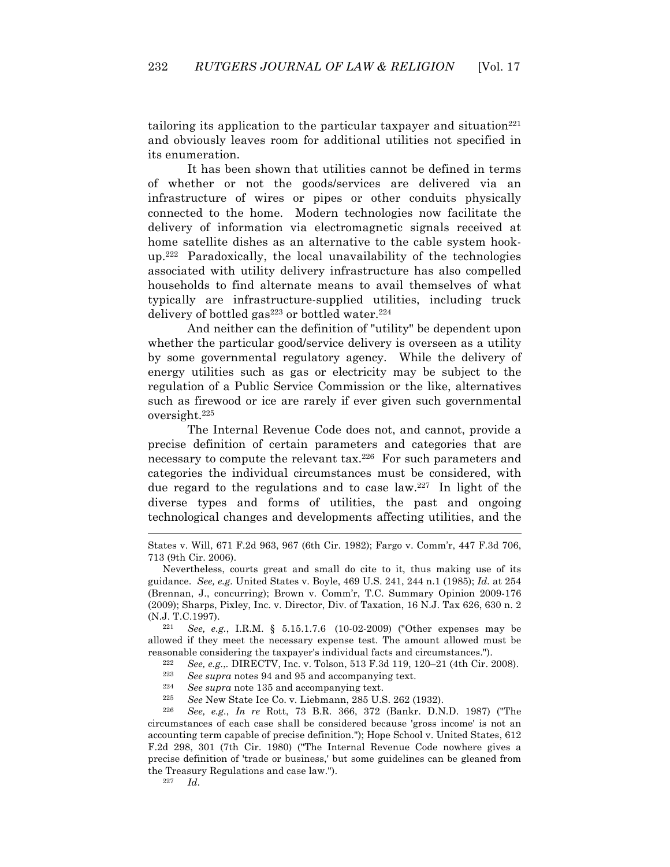tailoring its application to the particular taxpayer and situation $221$ and obviously leaves room for additional utilities not specified in its enumeration.

It has been shown that utilities cannot be defined in terms of whether or not the goods/services are delivered via an infrastructure of wires or pipes or other conduits physically connected to the home. Modern technologies now facilitate the delivery of information via electromagnetic signals received at home satellite dishes as an alternative to the cable system hookup.222 Paradoxically, the local unavailability of the technologies associated with utility delivery infrastructure has also compelled households to find alternate means to avail themselves of what typically are infrastructure-supplied utilities, including truck delivery of bottled gas<sup>223</sup> or bottled water.<sup>224</sup>

And neither can the definition of "utility" be dependent upon whether the particular good/service delivery is overseen as a utility by some governmental regulatory agency. While the delivery of energy utilities such as gas or electricity may be subject to the regulation of a Public Service Commission or the like, alternatives such as firewood or ice are rarely if ever given such governmental oversight.225

The Internal Revenue Code does not, and cannot, provide a precise definition of certain parameters and categories that are necessary to compute the relevant tax.226 For such parameters and categories the individual circumstances must be considered, with due regard to the regulations and to case law.227 In light of the diverse types and forms of utilities, the past and ongoing technological changes and developments affecting utilities, and the

221 *See, e.g.*, I.R.M. § 5.15.1.7.6 (10-02-2009) ("Other expenses may be allowed if they meet the necessary expense test. The amount allowed must be reasonable considering the taxpayer's individual facts and circumstances.").

222 *See, e.g.,*, DIRECTV, Inc. v. Tolson, 513 F.3d 119, 120–21 (4th Cir. 2008).<br> $\frac{223}{868 \text{ sums}}$  Secondary pates 94 and 95 and accompanying to the state of the Secondary of the Secondary Secondary Secondary Secondary Se

See supra notes 94 and 95 and accompanying text.

224 *See supra* note 135 and accompanying text.

225 *See* New State Ice Co. v. Liebmann, 285 U.S. 262 (1932).

226 *See, e.g.*, *In re* Rott, 73 B.R. 366, 372 (Bankr. D.N.D. 1987) ("The circumstances of each case shall be considered because 'gross income' is not an accounting term capable of precise definition."); Hope School v. United States, 612 F.2d 298, 301 (7th Cir. 1980) ("The Internal Revenue Code nowhere gives a precise definition of 'trade or business,' but some guidelines can be gleaned from the Treasury Regulations and case law.").<br> $^{227}$  Ld

 $Id.$ 

States v. Will, 671 F.2d 963, 967 (6th Cir. 1982); Fargo v. Comm'r, 447 F.3d 706, 713 (9th Cir. 2006).

Nevertheless, courts great and small do cite to it, thus making use of its guidance. *See, e.g.* United States v. Boyle, 469 U.S. 241, 244 n.1 (1985); *Id.* at 254 (Brennan, J., concurring); Brown v. Comm'r, T.C. Summary Opinion 2009-176 (2009); Sharps, Pixley, Inc. v. Director, Div. of Taxation, 16 N.J. Tax 626, 630 n. 2 (N.J. T.C.1997).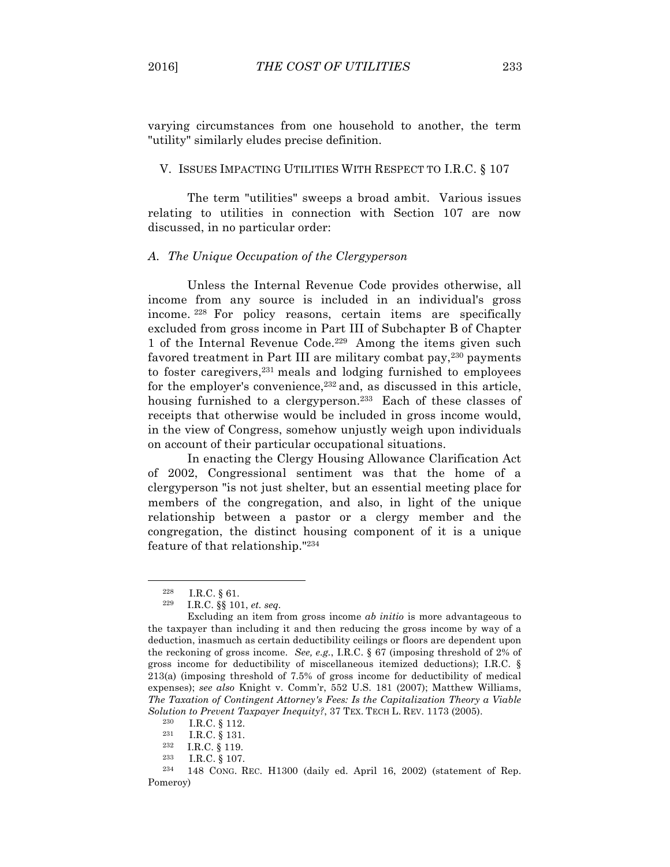varying circumstances from one household to another, the term "utility" similarly eludes precise definition.

#### V. ISSUES IMPACTING UTILITIES WITH RESPECT TO I.R.C. § 107

The term "utilities" sweeps a broad ambit. Various issues relating to utilities in connection with Section 107 are now discussed, in no particular order:

#### *A. The Unique Occupation of the Clergyperson*

Unless the Internal Revenue Code provides otherwise, all income from any source is included in an individual's gross income. <sup>228</sup> For policy reasons, certain items are specifically excluded from gross income in Part III of Subchapter B of Chapter 1 of the Internal Revenue Code.229 Among the items given such favored treatment in Part III are military combat pay,230 payments to foster caregivers, $231$  meals and lodging furnished to employees for the employer's convenience,232 and, as discussed in this article, housing furnished to a clergyperson.<sup>233</sup> Each of these classes of receipts that otherwise would be included in gross income would, in the view of Congress, somehow unjustly weigh upon individuals on account of their particular occupational situations.

In enacting the Clergy Housing Allowance Clarification Act of 2002, Congressional sentiment was that the home of a clergyperson "is not just shelter, but an essential meeting place for members of the congregation, and also, in light of the unique relationship between a pastor or a clergy member and the congregation, the distinct housing component of it is a unique feature of that relationship."234

<sup>228</sup> I.R.C. § 61.

<sup>229</sup> I.R.C. §§ 101, *et. seq.*

Excluding an item from gross income *ab initio* is more advantageous to the taxpayer than including it and then reducing the gross income by way of a deduction, inasmuch as certain deductibility ceilings or floors are dependent upon the reckoning of gross income. *See, e.g.*, I.R.C. § 67 (imposing threshold of 2% of gross income for deductibility of miscellaneous itemized deductions); I.R.C. § 213(a) (imposing threshold of 7.5% of gross income for deductibility of medical expenses); *see also* Knight v. Comm'r, 552 U.S. 181 (2007); Matthew Williams, *The Taxation of Contingent Attorney's Fees: Is the Capitalization Theory a Viable Solution to Prevent Taxpayer Inequity?*, 37 TEX. TECH L. REV. 1173 (2005).

 $\begin{array}{c} 230 \text{ } \text{I.R.C.} \text{ § } 112. \\ 231 \text{ } \text{I R C.} \text{ § } 131. \end{array}$ 

I.R.C. § 131.

 $\frac{232}{233}$  I.R.C. § 119.

I.R.C. § 107.

<sup>234</sup> 148 CONG. REC. H1300 (daily ed. April 16, 2002) (statement of Rep. Pomeroy)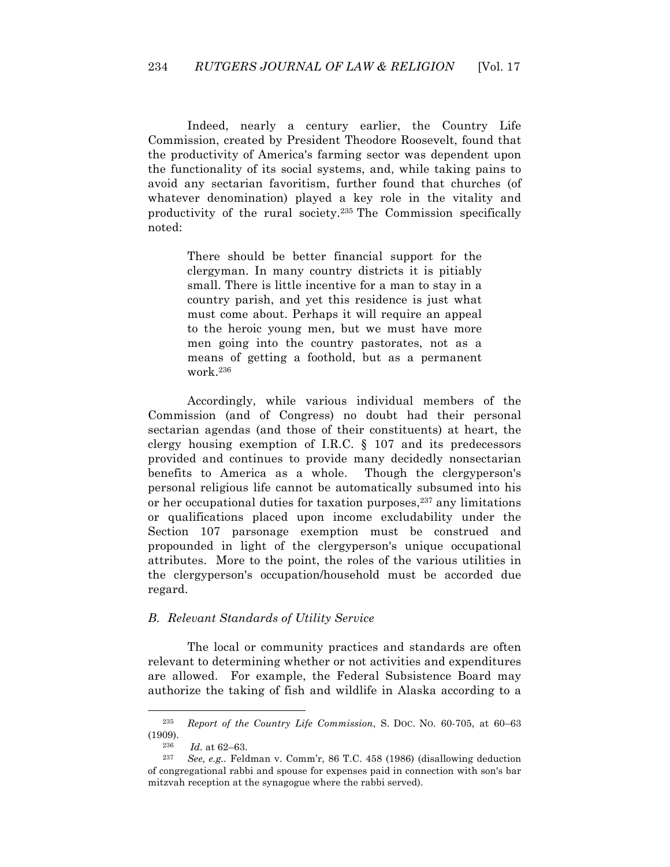Indeed, nearly a century earlier, the Country Life Commission, created by President Theodore Roosevelt, found that the productivity of America's farming sector was dependent upon the functionality of its social systems, and, while taking pains to avoid any sectarian favoritism, further found that churches (of whatever denomination) played a key role in the vitality and productivity of the rural society.235 The Commission specifically noted:

> There should be better financial support for the clergyman. In many country districts it is pitiably small. There is little incentive for a man to stay in a country parish, and yet this residence is just what must come about. Perhaps it will require an appeal to the heroic young men, but we must have more men going into the country pastorates, not as a means of getting a foothold, but as a permanent work.236

Accordingly, while various individual members of the Commission (and of Congress) no doubt had their personal sectarian agendas (and those of their constituents) at heart, the clergy housing exemption of I.R.C. § 107 and its predecessors provided and continues to provide many decidedly nonsectarian benefits to America as a whole. Though the clergyperson's personal religious life cannot be automatically subsumed into his or her occupational duties for taxation purposes, $237$  any limitations or qualifications placed upon income excludability under the Section 107 parsonage exemption must be construed and propounded in light of the clergyperson's unique occupational attributes. More to the point, the roles of the various utilities in the clergyperson's occupation/household must be accorded due regard.

#### *B. Relevant Standards of Utility Service*

The local or community practices and standards are often relevant to determining whether or not activities and expenditures are allowed. For example, the Federal Subsistence Board may authorize the taking of fish and wildlife in Alaska according to a

<sup>235</sup> *Report of the Country Life Commission*, S. DOC. NO. 60-705, at 60–63 (1909).

<sup>&</sup>lt;sup>236</sup> *Id.* at 62–63.<br><sup>237</sup> Sec. a.g. Feli

See, e.g.. Feldman v. Comm'r, 86 T.C. 458 (1986) (disallowing deduction of congregational rabbi and spouse for expenses paid in connection with son's bar mitzvah reception at the synagogue where the rabbi served).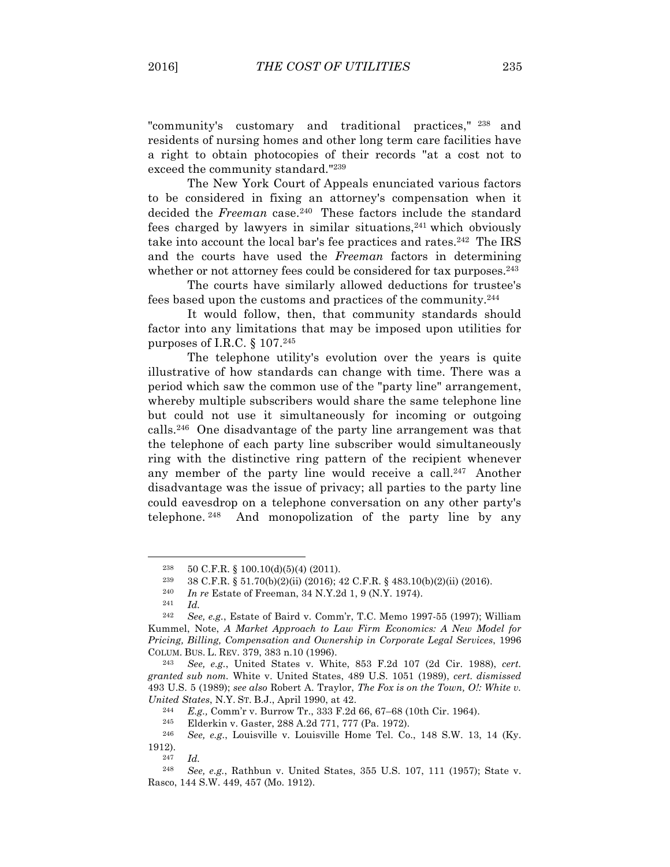"community's customary and traditional practices," <sup>238</sup> and residents of nursing homes and other long term care facilities have a right to obtain photocopies of their records "at a cost not to exceed the community standard."239

The New York Court of Appeals enunciated various factors to be considered in fixing an attorney's compensation when it decided the *Freeman* case.<sup>240</sup> These factors include the standard fees charged by lawyers in similar situations,  $241$  which obviously take into account the local bar's fee practices and rates. $242$  The IRS and the courts have used the *Freeman* factors in determining whether or not attorney fees could be considered for tax purposes.<sup>243</sup>

The courts have similarly allowed deductions for trustee's fees based upon the customs and practices of the community.244

It would follow, then, that community standards should factor into any limitations that may be imposed upon utilities for purposes of I.R.C.  $\S 107.^{245}$ 

The telephone utility's evolution over the years is quite illustrative of how standards can change with time. There was a period which saw the common use of the "party line" arrangement, whereby multiple subscribers would share the same telephone line but could not use it simultaneously for incoming or outgoing calls.246 One disadvantage of the party line arrangement was that the telephone of each party line subscriber would simultaneously ring with the distinctive ring pattern of the recipient whenever any member of the party line would receive a call.<sup>247</sup> Another disadvantage was the issue of privacy; all parties to the party line could eavesdrop on a telephone conversation on any other party's telephone. <sup>248</sup> And monopolization of the party line by any

 $238$  50 C.F.R. § 100.10(d)(5)(4) (2011).

<sup>239 38</sup> C.F.R. § 51.70(b)(2)(ii) (2016); 42 C.F.R. § 483.10(b)(2)(ii) (2016). 240 *In re* Estate of Freeman, 34 N.Y.2d 1, 9 (N.Y. 1974). 241 *Id.*

<sup>242</sup> *See, e.g.*, Estate of Baird v. Comm'r, T.C. Memo 1997-55 (1997); William Kummel, Note, *A Market Approach to Law Firm Economics: A New Model for Pricing, Billing, Compensation and Ownership in Corporate Legal Services*, 1996 COLUM. BUS. L. REV. 379, 383 n.10 (1996).

<sup>243</sup> *See, e.g.*, United States v. White, 853 F.2d 107 (2d Cir. 1988), *cert. granted sub nom.* White v. United States, 489 U.S. 1051 (1989), *cert. dismissed* 493 U.S. 5 (1989); *see also* Robert A. Traylor, *The Fox is on the Town, O!: White v. United States*, N.Y. ST. B.J., April 1990, at 42.

<sup>244</sup> *E.g.,* Comm'r v. Burrow Tr., 333 F.2d 66, 67–68 (10th Cir. 1964).

<sup>&</sup>lt;sup>245</sup> Elderkin v. Gaster, 288 A.2d 771, 777 (Pa. 1972).<br><sup>246</sup> See e g Louisville v Louisville Home Tel Co.

<sup>246</sup> *See, e.g.*, Louisville v. Louisville Home Tel. Co., 148 S.W. 13, 14 (Ky. 1912).

*Id.* 

<sup>248</sup> *See, e.g.*, Rathbun v. United States, 355 U.S. 107, 111 (1957); State v. Rasco, 144 S.W. 449, 457 (Mo. 1912).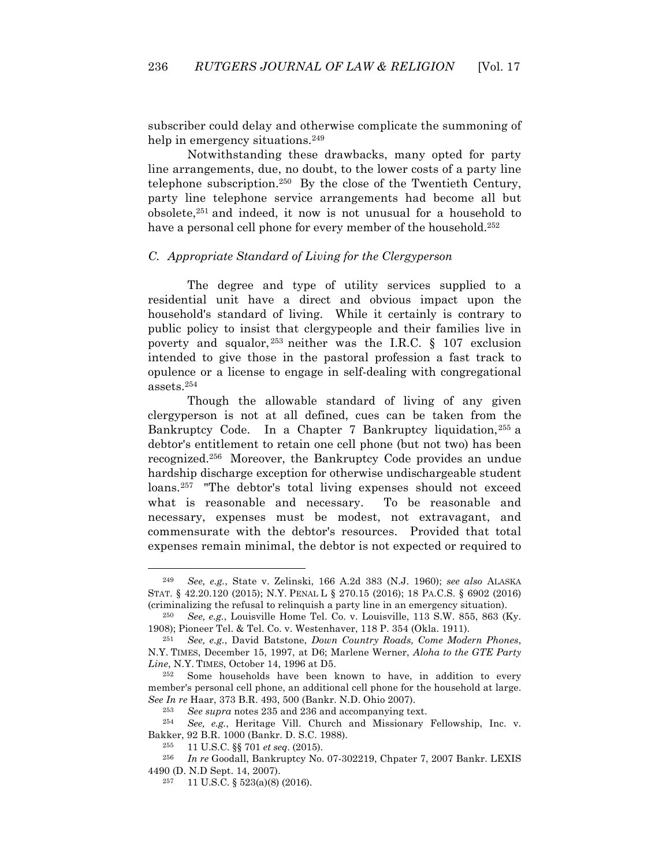subscriber could delay and otherwise complicate the summoning of help in emergency situations.<sup>249</sup>

Notwithstanding these drawbacks, many opted for party line arrangements, due, no doubt, to the lower costs of a party line telephone subscription.250 By the close of the Twentieth Century, party line telephone service arrangements had become all but obsolete,251 and indeed, it now is not unusual for a household to have a personal cell phone for every member of the household.<sup>252</sup>

### *C. Appropriate Standard of Living for the Clergyperson*

The degree and type of utility services supplied to a residential unit have a direct and obvious impact upon the household's standard of living. While it certainly is contrary to public policy to insist that clergypeople and their families live in poverty and squalor, <sup>253</sup> neither was the I.R.C. § 107 exclusion intended to give those in the pastoral profession a fast track to opulence or a license to engage in self-dealing with congregational assets.254

Though the allowable standard of living of any given clergyperson is not at all defined, cues can be taken from the Bankruptcy Code. In a Chapter 7 Bankruptcy liquidation,<sup>255</sup> a debtor's entitlement to retain one cell phone (but not two) has been recognized.256 Moreover, the Bankruptcy Code provides an undue hardship discharge exception for otherwise undischargeable student loans.<sup>257</sup> "The debtor's total living expenses should not exceed what is reasonable and necessary. To be reasonable and necessary, expenses must be modest, not extravagant, and commensurate with the debtor's resources. Provided that total expenses remain minimal, the debtor is not expected or required to

<sup>249</sup> *See, e.g.*, State v. Zelinski, 166 A.2d 383 (N.J. 1960); *see also* ALASKA STAT. § 42.20.120 (2015); N.Y. PENAL L § 270.15 (2016); 18 PA.C.S. § 6902 (2016) (criminalizing the refusal to relinquish a party line in an emergency situation). 250 *See, e.g.*, Louisville Home Tel. Co. v. Louisville, 113 S.W. 855, 863 (Ky.

<sup>1908);</sup> Pioneer Tel. & Tel. Co. v. Westenhaver, 118 P. 354 (Okla. 1911).

<sup>251</sup> *See, e.g.*, David Batstone, *Down Country Roads, Come Modern Phones*, N.Y. TIMES, December 15, 1997, at D6; Marlene Werner, *Aloha to the GTE Party Line*, N.Y. TIMES, October 14, 1996 at D5.

<sup>252</sup> Some households have been known to have, in addition to every member's personal cell phone, an additional cell phone for the household at large. *See In re* Haar, 373 B.R. 493, 500 (Bankr. N.D. Ohio 2007).

<sup>253</sup> *See supra* notes 235 and 236 and accompanying text.

<sup>254</sup> *See, e.g.*, Heritage Vill. Church and Missionary Fellowship, Inc. v. Bakker, 92 B.R. 1000 (Bankr. D. S.C. 1988).

<sup>255 11</sup> U.S.C. §§ 701 *et seq*. (2015).

<sup>256</sup> *In re* Goodall, Bankruptcy No. 07-302219, Chpater 7, 2007 Bankr. LEXIS 4490 (D. N.D Sept. 14, 2007).

<sup>257 11</sup> U.S.C. § 523(a)(8) (2016).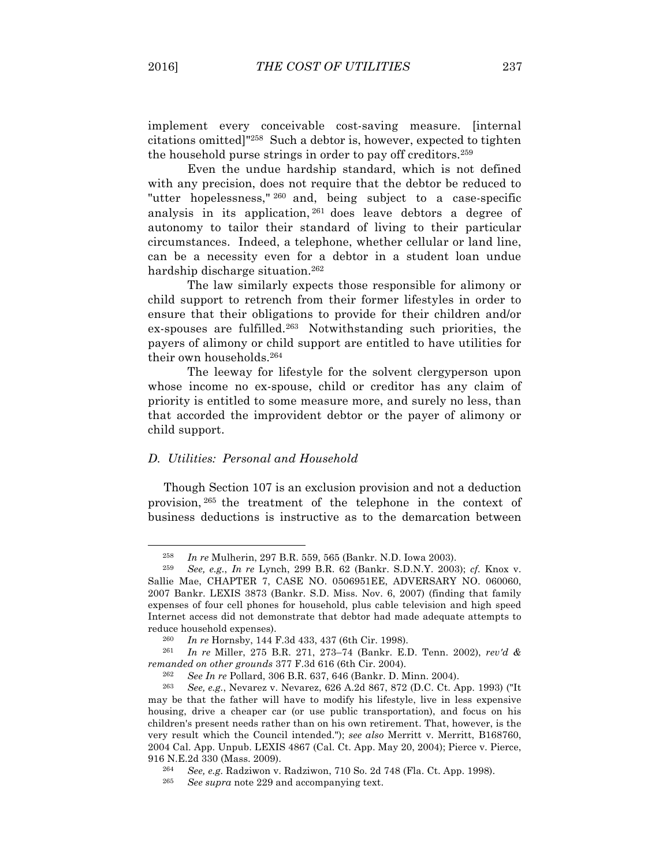implement every conceivable cost-saving measure. [internal citations omitted]"258 Such a debtor is, however, expected to tighten the household purse strings in order to pay off creditors.259

Even the undue hardship standard, which is not defined with any precision, does not require that the debtor be reduced to "utter hopelessness," <sup>260</sup> and, being subject to a case-specific analysis in its application, <sup>261</sup> does leave debtors a degree of autonomy to tailor their standard of living to their particular circumstances. Indeed, a telephone, whether cellular or land line, can be a necessity even for a debtor in a student loan undue hardship discharge situation.262

The law similarly expects those responsible for alimony or child support to retrench from their former lifestyles in order to ensure that their obligations to provide for their children and/or ex-spouses are fulfilled.263 Notwithstanding such priorities, the payers of alimony or child support are entitled to have utilities for their own households.264

The leeway for lifestyle for the solvent clergyperson upon whose income no ex-spouse, child or creditor has any claim of priority is entitled to some measure more, and surely no less, than that accorded the improvident debtor or the payer of alimony or child support.

### *D. Utilities: Personal and Household*

Though Section 107 is an exclusion provision and not a deduction provision, <sup>265</sup> the treatment of the telephone in the context of business deductions is instructive as to the demarcation between

<sup>258</sup> *In re* Mulherin, 297 B.R. 559, 565 (Bankr. N.D. Iowa 2003).

<sup>259</sup> *See, e.g.*, *In re* Lynch, 299 B.R. 62 (Bankr. S.D.N.Y. 2003); *cf.* Knox v. Sallie Mae, CHAPTER 7, CASE NO. 0506951EE, ADVERSARY NO. 060060, 2007 Bankr. LEXIS 3873 (Bankr. S.D. Miss. Nov. 6, 2007) (finding that family expenses of four cell phones for household, plus cable television and high speed Internet access did not demonstrate that debtor had made adequate attempts to reduce household expenses).

<sup>260</sup> *In re* Hornsby, 144 F.3d 433, 437 (6th Cir. 1998).

<sup>261</sup> *In re* Miller, 275 B.R. 271, 273–74 (Bankr. E.D. Tenn. 2002), *rev'd & remanded on other grounds* 377 F.3d 616 (6th Cir. 2004).

<sup>262</sup> *See In re* Pollard, 306 B.R. 637, 646 (Bankr. D. Minn. 2004).

<sup>263</sup> *See, e.g.*, Nevarez v. Nevarez, 626 A.2d 867, 872 (D.C. Ct. App. 1993) ("It may be that the father will have to modify his lifestyle, live in less expensive housing, drive a cheaper car (or use public transportation), and focus on his children's present needs rather than on his own retirement. That, however, is the very result which the Council intended."); *see also* Merritt v. Merritt, B168760, 2004 Cal. App. Unpub. LEXIS 4867 (Cal. Ct. App. May 20, 2004); Pierce v. Pierce, 916 N.E.2d 330 (Mass. 2009).

<sup>&</sup>lt;sup>264</sup> *See, e.g.* Radziwon v. Radziwon, 710 So. 2d 748 (Fla. Ct. App. 1998).

See *supra* note 229 and accompanying text.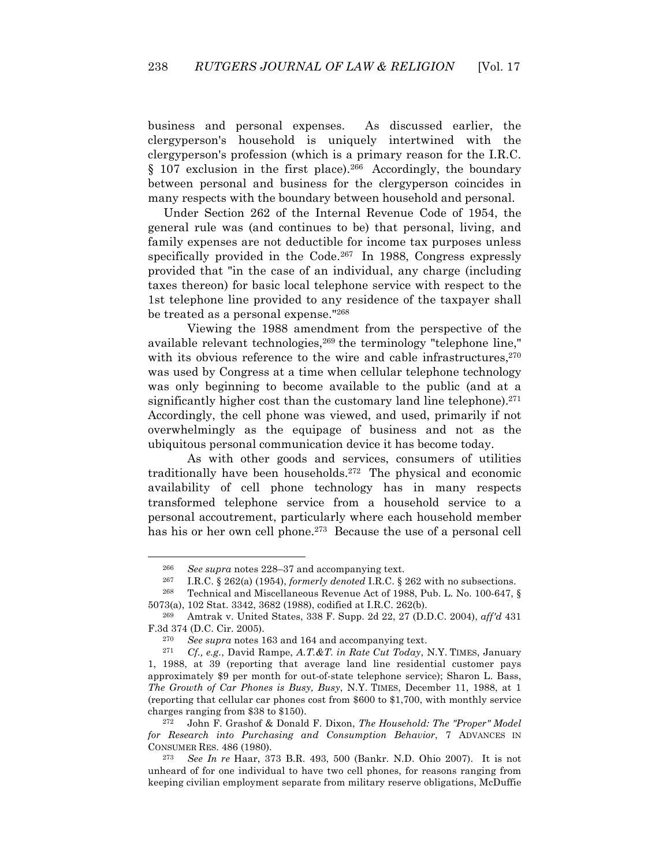business and personal expenses. As discussed earlier, the clergyperson's household is uniquely intertwined with the clergyperson's profession (which is a primary reason for the I.R.C.  $§$  107 exclusion in the first place).<sup>266</sup> Accordingly, the boundary between personal and business for the clergyperson coincides in many respects with the boundary between household and personal.

Under Section 262 of the Internal Revenue Code of 1954, the general rule was (and continues to be) that personal, living, and family expenses are not deductible for income tax purposes unless specifically provided in the Code.<sup>267</sup> In 1988, Congress expressly provided that "in the case of an individual, any charge (including taxes thereon) for basic local telephone service with respect to the 1st telephone line provided to any residence of the taxpayer shall be treated as a personal expense."268

Viewing the 1988 amendment from the perspective of the available relevant technologies, <sup>269</sup> the terminology "telephone line," with its obvious reference to the wire and cable infrastructures,  $270$ was used by Congress at a time when cellular telephone technology was only beginning to become available to the public (and at a significantly higher cost than the customary land line telephone). $271$ Accordingly, the cell phone was viewed, and used, primarily if not overwhelmingly as the equipage of business and not as the ubiquitous personal communication device it has become today.

As with other goods and services, consumers of utilities traditionally have been households.272 The physical and economic availability of cell phone technology has in many respects transformed telephone service from a household service to a personal accoutrement, particularly where each household member has his or her own cell phone.273 Because the use of a personal cell

<sup>266</sup> *See supra* notes 228–37 and accompanying text.

<sup>267</sup> I.R.C. § 262(a) (1954), *formerly denoted* I.R.C. § 262 with no subsections.

<sup>268</sup> Technical and Miscellaneous Revenue Act of 1988, Pub. L. No. 100-647, § 5073(a), 102 Stat. 3342, 3682 (1988), codified at I.R.C. 262(b).

<sup>269</sup> Amtrak v. United States, 338 F. Supp. 2d 22, 27 (D.D.C. 2004), *aff'd* 431 F.3d 374 (D.C. Cir. 2005).

<sup>270</sup> *See supra* notes 163 and 164 and accompanying text.

<sup>271</sup> *Cf., e.g.*, David Rampe, *A.T.&T. in Rate Cut Today*, N.Y. TIMES, January 1, 1988, at 39 (reporting that average land line residential customer pays approximately \$9 per month for out-of-state telephone service); Sharon L. Bass, *The Growth of Car Phones is Busy, Busy*, N.Y. TIMES, December 11, 1988, at 1 (reporting that cellular car phones cost from \$600 to \$1,700, with monthly service charges ranging from \$38 to \$150).

<sup>272</sup> John F. Grashof & Donald F. Dixon, *The Household: The "Proper" Model for Research into Purchasing and Consumption Behavior*, 7 ADVANCES IN CONSUMER RES. 486 (1980).<br><sup>273</sup> See In re Haar, <sup>37</sup>

<sup>273</sup> *See In re* Haar, 373 B.R. 493, 500 (Bankr. N.D. Ohio 2007). It is not unheard of for one individual to have two cell phones, for reasons ranging from keeping civilian employment separate from military reserve obligations, McDuffie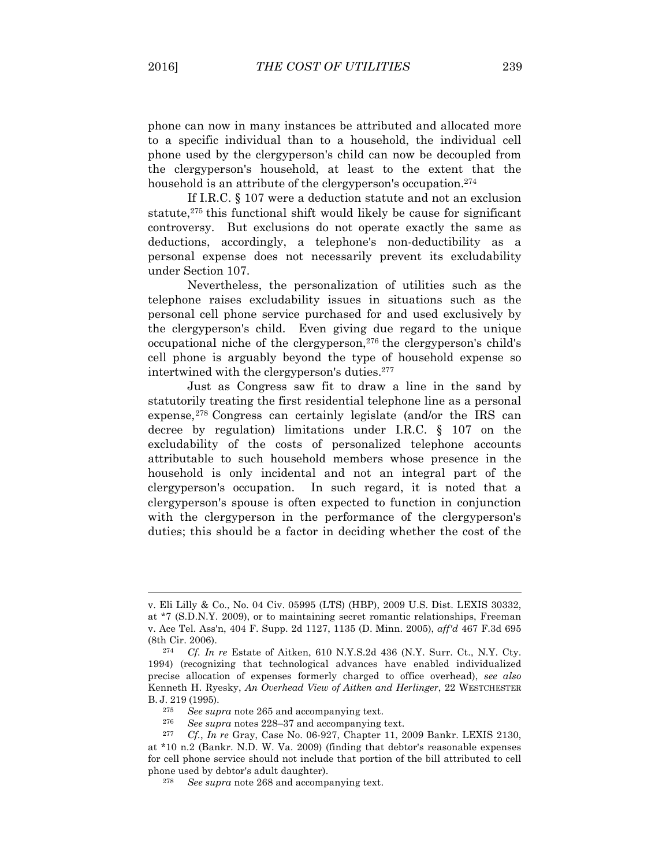phone can now in many instances be attributed and allocated more to a specific individual than to a household, the individual cell phone used by the clergyperson's child can now be decoupled from the clergyperson's household, at least to the extent that the household is an attribute of the clergy person's occupation.<sup>274</sup>

If I.R.C. § 107 were a deduction statute and not an exclusion statute,<sup>275</sup> this functional shift would likely be cause for significant controversy. But exclusions do not operate exactly the same as deductions, accordingly, a telephone's non-deductibility as a personal expense does not necessarily prevent its excludability under Section 107.

Nevertheless, the personalization of utilities such as the telephone raises excludability issues in situations such as the personal cell phone service purchased for and used exclusively by the clergyperson's child. Even giving due regard to the unique occupational niche of the clergyperson,276 the clergyperson's child's cell phone is arguably beyond the type of household expense so intertwined with the clergyperson's duties.277

Just as Congress saw fit to draw a line in the sand by statutorily treating the first residential telephone line as a personal expense,<sup>278</sup> Congress can certainly legislate (and/or the IRS can decree by regulation) limitations under I.R.C. § 107 on the excludability of the costs of personalized telephone accounts attributable to such household members whose presence in the household is only incidental and not an integral part of the clergyperson's occupation. In such regard, it is noted that a clergyperson's spouse is often expected to function in conjunction with the clergyperson in the performance of the clergyperson's duties; this should be a factor in deciding whether the cost of the

v. Eli Lilly & Co., No. 04 Civ. 05995 (LTS) (HBP), 2009 U.S. Dist. LEXIS 30332, at \*7 (S.D.N.Y. 2009), or to maintaining secret romantic relationships, Freeman v. Ace Tel. Ass'n, 404 F. Supp. 2d 1127, 1135 (D. Minn. 2005), *aff'd* 467 F.3d 695 (8th Cir. 2006).<br> $274 \, \text{C}f \, \text{In}$ 

Cf. In re Estate of Aitken, 610 N.Y.S.2d 436 (N.Y. Surr. Ct., N.Y. Cty. 1994) (recognizing that technological advances have enabled individualized precise allocation of expenses formerly charged to office overhead), *see also* Kenneth H. Ryesky, *An Overhead View of Aitken and Herlinger*, 22 WESTCHESTER B. J. 219 (1995).

<sup>275</sup> *See supra* note 265 and accompanying text.

<sup>&</sup>lt;sup>276</sup> *See supra* notes 228–37 and accompanying text.<br><sup>277</sup> *Cf In re* Gray Case No. 06-927 Chanter 11. 2

<sup>277</sup> *Cf.*, *In re* Gray, Case No. 06-927, Chapter 11, 2009 Bankr. LEXIS 2130, at \*10 n.2 (Bankr. N.D. W. Va. 2009) (finding that debtor's reasonable expenses for cell phone service should not include that portion of the bill attributed to cell phone used by debtor's adult daughter).

<sup>278</sup> *See supra* note 268 and accompanying text.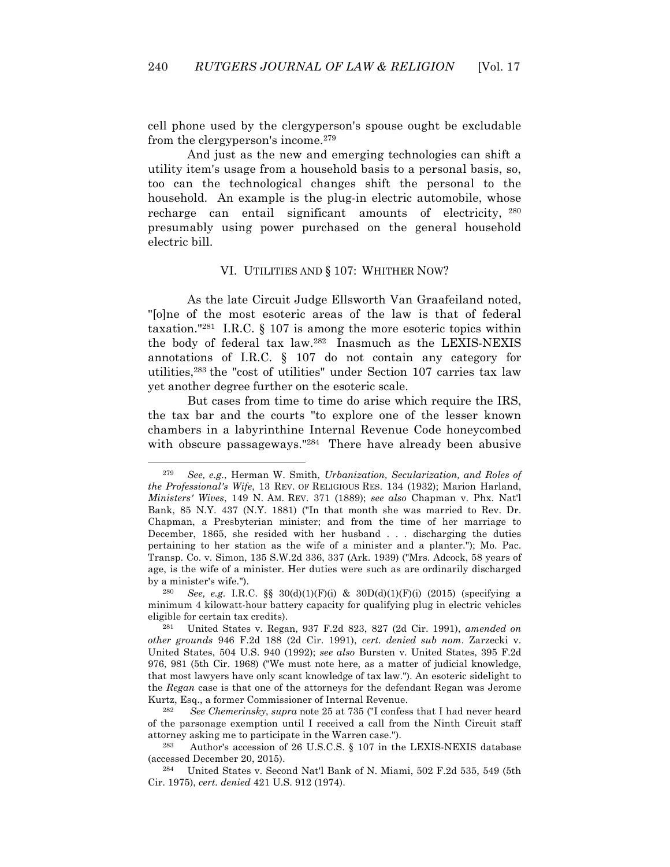cell phone used by the clergyperson's spouse ought be excludable from the clergyperson's income.279

And just as the new and emerging technologies can shift a utility item's usage from a household basis to a personal basis, so, too can the technological changes shift the personal to the household. An example is the plug-in electric automobile, whose recharge can entail significant amounts of electricity, <sup>280</sup> presumably using power purchased on the general household electric bill.

### VI. UTILITIES AND § 107: WHITHER NOW?

As the late Circuit Judge Ellsworth Van Graafeiland noted, "[o]ne of the most esoteric areas of the law is that of federal taxation."281 I.R.C. § 107 is among the more esoteric topics within the body of federal tax law.282 Inasmuch as the LEXIS-NEXIS annotations of I.R.C. § 107 do not contain any category for utilities,283 the "cost of utilities" under Section 107 carries tax law yet another degree further on the esoteric scale.

But cases from time to time do arise which require the IRS, the tax bar and the courts "to explore one of the lesser known chambers in a labyrinthine Internal Revenue Code honeycombed with obscure passageways."284 There have already been abusive

 $\overline{a}$ 

<sup>282</sup> *See Chemerinsky*, *supra* note 25 at 735 ("I confess that I had never heard of the parsonage exemption until I received a call from the Ninth Circuit staff attorney asking me to participate in the Warren case.").

<sup>279</sup> *See, e.g.*, Herman W. Smith, *Urbanization, Secularization, and Roles of the Professional's Wife*, 13 REV. OF RELIGIOUS RES. 134 (1932); Marion Harland, *Ministers' Wives*, 149 N. AM. REV. 371 (1889); *see also* Chapman v. Phx. Nat'l Bank, 85 N.Y. 437 (N.Y. 1881) ("In that month she was married to Rev. Dr. Chapman, a Presbyterian minister; and from the time of her marriage to December, 1865, she resided with her husband . . . discharging the duties pertaining to her station as the wife of a minister and a planter."); Mo. Pac. Transp. Co. v. Simon, 135 S.W.2d 336, 337 (Ark. 1939) ("Mrs. Adcock, 58 years of age, is the wife of a minister. Her duties were such as are ordinarily discharged by a minister's wife.").

<sup>280</sup> *See, e.g.* I.R.C. §§ 30(d)(1)(F)(i) & 30D(d)(1)(F)(i) (2015) (specifying a minimum 4 kilowatt-hour battery capacity for qualifying plug in electric vehicles eligible for certain tax credits).

<sup>281</sup> United States v. Regan, 937 F.2d 823, 827 (2d Cir. 1991), *amended on other grounds* 946 F.2d 188 (2d Cir. 1991), *cert. denied sub nom*. Zarzecki v. United States, 504 U.S. 940 (1992); *see also* Bursten v. United States, 395 F.2d 976, 981 (5th Cir. 1968) ("We must note here, as a matter of judicial knowledge, that most lawyers have only scant knowledge of tax law."). An esoteric sidelight to the *Regan* case is that one of the attorneys for the defendant Regan was Jerome Kurtz, Esq., a former Commissioner of Internal Revenue.

<sup>283</sup> Author's accession of 26 U.S.C.S. § 107 in the LEXIS-NEXIS database (accessed December 20, 2015).

<sup>284</sup> United States v. Second Nat'l Bank of N. Miami, 502 F.2d 535, 549 (5th Cir. 1975), *cert. denied* 421 U.S. 912 (1974).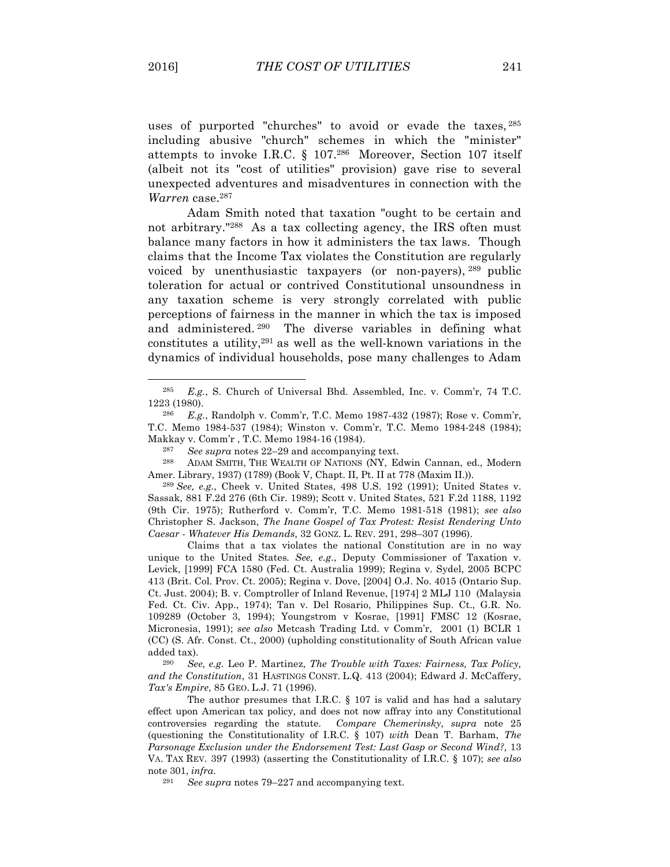uses of purported "churches" to avoid or evade the taxes, <sup>285</sup> including abusive "church" schemes in which the "minister" attempts to invoke I.R.C. § 107.286 Moreover, Section 107 itself (albeit not its "cost of utilities" provision) gave rise to several unexpected adventures and misadventures in connection with the *Warren* case.287

Adam Smith noted that taxation "ought to be certain and not arbitrary."<sup>288</sup> As a tax collecting agency, the IRS often must balance many factors in how it administers the tax laws. Though claims that the Income Tax violates the Constitution are regularly voiced by unenthusiastic taxpayers (or non-payers), <sup>289</sup> public toleration for actual or contrived Constitutional unsoundness in any taxation scheme is very strongly correlated with public perceptions of fairness in the manner in which the tax is imposed and administered. 290 The diverse variables in defining what constitutes a utility,291 as well as the well-known variations in the dynamics of individual households, pose many challenges to Adam

<sup>288</sup> ADAM SMITH, THE WEALTH OF NATIONS (NY, Edwin Cannan, ed., Modern Amer. Library, 1937) (1789) (Book V, Chapt. II, Pt. II at 778 (Maxim II.)).

<sup>289</sup> *See, e.g.*, Cheek v. United States, 498 U.S. 192 (1991); United States v. Sassak, 881 F.2d 276 (6th Cir. 1989); Scott v. United States, 521 F.2d 1188, 1192 (9th Cir. 1975); Rutherford v. Comm'r, T.C. Memo 1981-518 (1981); *see also* Christopher S. Jackson, *The Inane Gospel of Tax Protest: Resist Rendering Unto Caesar - Whatever His Demands*, 32 GONZ. L. REV. 291, 298–307 (1996).

Claims that a tax violates the national Constitution are in no way unique to the United States*. See, e.g*., Deputy Commissioner of Taxation v. Levick, [1999] FCA 1580 (Fed. Ct. Australia 1999); Regina v. Sydel, 2005 BCPC 413 (Brit. Col. Prov. Ct. 2005); Regina v. Dove, [2004] O.J. No. 4015 (Ontario Sup. Ct. Just. 2004); B. v. Comptroller of Inland Revenue, [1974] 2 MLJ 110 (Malaysia Fed. Ct. Civ. App., 1974); Tan v. Del Rosario, Philippines Sup. Ct., G.R. No. 109289 (October 3, 1994); Youngstrom v Kosrae, [1991] FMSC 12 (Kosrae, Micronesia, 1991); *see also* Metcash Trading Ltd. v Comm'r, 2001 (1) BCLR 1 (CC) (S. Afr. Const. Ct., 2000) (upholding constitutionality of South African value added tax).

290 *See, e.g.* Leo P. Martinez, *The Trouble with Taxes: Fairness, Tax Policy, and the Constitution*, 31 HASTINGS CONST. L.Q. 413 (2004); Edward J. McCaffery, *Tax's Empire*, 85 GEO. L.J. 71 (1996).

The author presumes that I.R.C. § 107 is valid and has had a salutary effect upon American tax policy, and does not now affray into any Constitutional controversies regarding the statute. *Compare Chemerinsky*, *supra* note 25 (questioning the Constitutionality of I.R.C. § 107) *with* Dean T. Barham, *The Parsonage Exclusion under the Endorsement Test: Last Gasp or Second Wind?,* 13 VA. TAX REV. 397 (1993) (asserting the Constitutionality of I.R.C. § 107); *see also*  note 301, *infra*.

See *supra* notes 79–227 and accompanying text.

<sup>285</sup> *E.g.*, S. Church of Universal Bhd. Assembled, Inc. v. Comm'r, 74 T.C. 1223 (1980).

<sup>286</sup> *E.g.*, Randolph v. Comm'r, T.C. Memo 1987-432 (1987); Rose v. Comm'r, T.C. Memo 1984-537 (1984); Winston v. Comm'r, T.C. Memo 1984-248 (1984); Makkay v. Comm'r , T.C. Memo 1984-16 (1984).

<sup>287</sup> *See supra* notes 22–29 and accompanying text.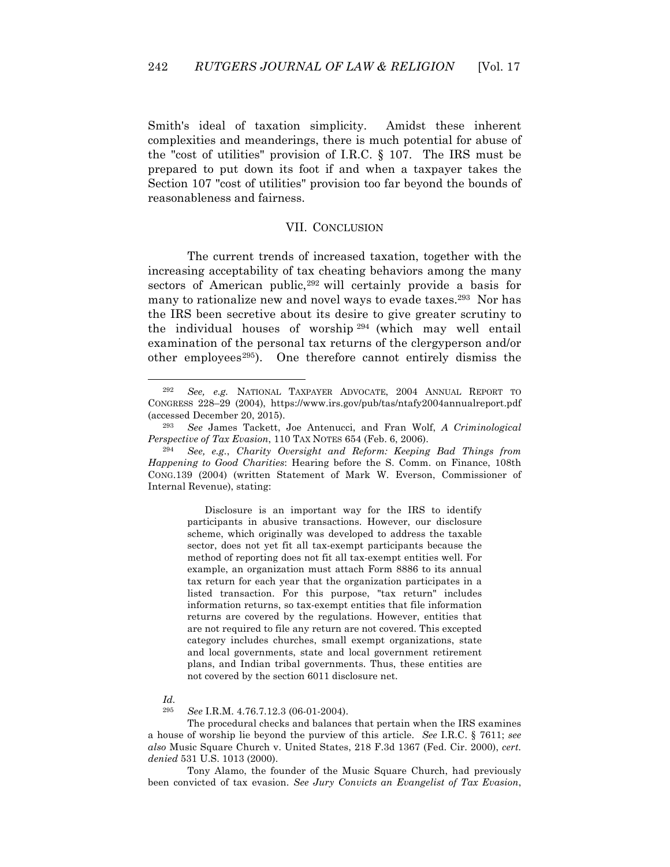Smith's ideal of taxation simplicity. Amidst these inherent complexities and meanderings, there is much potential for abuse of the "cost of utilities" provision of I.R.C. § 107. The IRS must be prepared to put down its foot if and when a taxpayer takes the Section 107 "cost of utilities" provision too far beyond the bounds of reasonableness and fairness.

### VII. CONCLUSION

The current trends of increased taxation, together with the increasing acceptability of tax cheating behaviors among the many sectors of American public,<sup>292</sup> will certainly provide a basis for many to rationalize new and novel ways to evade taxes.<sup>293</sup> Nor has the IRS been secretive about its desire to give greater scrutiny to the individual houses of worship <sup>294</sup> (which may well entail examination of the personal tax returns of the clergyperson and/or other employees<sup>295</sup>). One therefore cannot entirely dismiss the

Disclosure is an important way for the IRS to identify participants in abusive transactions. However, our disclosure scheme, which originally was developed to address the taxable sector, does not yet fit all tax-exempt participants because the method of reporting does not fit all tax-exempt entities well. For example, an organization must attach Form 8886 to its annual tax return for each year that the organization participates in a listed transaction. For this purpose, "tax return" includes information returns, so tax-exempt entities that file information returns are covered by the regulations. However, entities that are not required to file any return are not covered. This excepted category includes churches, small exempt organizations, state and local governments, state and local government retirement plans, and Indian tribal governments. Thus, these entities are not covered by the section 6011 disclosure net.

### *Id.*

 $\overline{a}$ 

295 *See* I.R.M. 4.76.7.12.3 (06-01-2004).

The procedural checks and balances that pertain when the IRS examines a house of worship lie beyond the purview of this article. *See* I.R.C. § 7611; *see also* Music Square Church v. United States, 218 F.3d 1367 (Fed. Cir. 2000), *cert. denied* 531 U.S. 1013 (2000).

Tony Alamo, the founder of the Music Square Church, had previously been convicted of tax evasion. *See Jury Convicts an Evangelist of Tax Evasion*,

<sup>292</sup> *See, e.g.* NATIONAL TAXPAYER ADVOCATE, 2004 ANNUAL REPORT TO CONGRESS 228–29 (2004), https://www.irs.gov/pub/tas/ntafy2004annualreport.pdf (accessed December 20, 2015).

<sup>293</sup> *See* James Tackett, Joe Antenucci, and Fran Wolf, *A Criminological Perspective of Tax Evasion*, 110 TAX NOTES 654 (Feb. 6, 2006).

<sup>294</sup> *See, e.g.*, *Charity Oversight and Reform: Keeping Bad Things from Happening to Good Charities*: Hearing before the S. Comm. on Finance, 108th CONG.139 (2004) (written Statement of Mark W. Everson, Commissioner of Internal Revenue), stating: